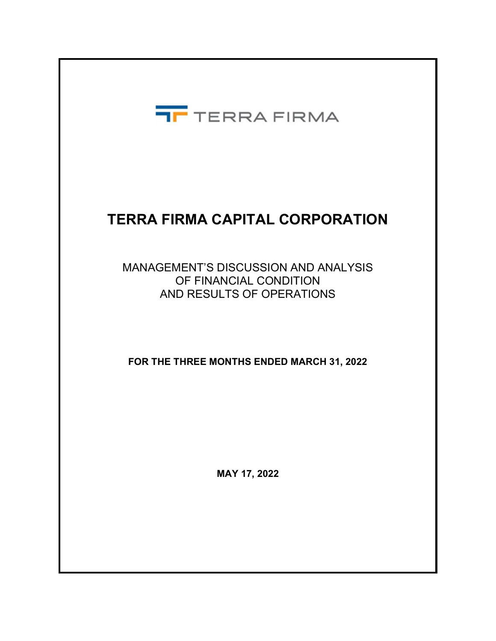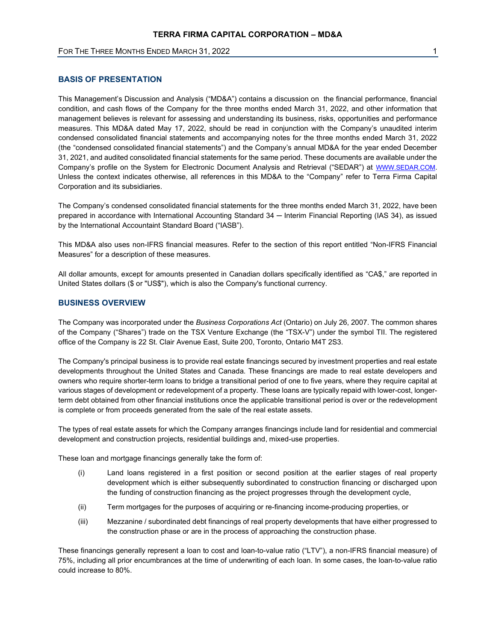# BASIS OF PRESENTATION

This Management's Discussion and Analysis ("MD&A") contains a discussion on the financial performance, financial condition, and cash flows of the Company for the three months ended March 31, 2022, and other information that management believes is relevant for assessing and understanding its business, risks, opportunities and performance measures. This MD&A dated May 17, 2022, should be read in conjunction with the Company's unaudited interim condensed consolidated financial statements and accompanying notes for the three months ended March 31, 2022 (the "condensed consolidated financial statements") and the Company's annual MD&A for the year ended December 31, 2021, and audited consolidated financial statements for the same period. These documents are available under the Company's profile on the System for Electronic Document Analysis and Retrieval ("SEDAR") at WWW.SEDAR.COM. Unless the context indicates otherwise, all references in this MD&A to the "Company" refer to Terra Firma Capital Corporation and its subsidiaries.

The Company's condensed consolidated financial statements for the three months ended March 31, 2022, have been prepared in accordance with International Accounting Standard 34 – Interim Financial Reporting (IAS 34), as issued by the International Accountaint Standard Board ("IASB").

This MD&A also uses non-IFRS financial measures. Refer to the section of this report entitled "Non-IFRS Financial Measures" for a description of these measures.

All dollar amounts, except for amounts presented in Canadian dollars specifically identified as "CA\$," are reported in United States dollars (\$ or "US\$"), which is also the Company's functional currency.

# BUSINESS OVERVIEW

The Company was incorporated under the Business Corporations Act (Ontario) on July 26, 2007. The common shares of the Company ("Shares") trade on the TSX Venture Exchange (the "TSX-V") under the symbol TII. The registered office of the Company is 22 St. Clair Avenue East, Suite 200, Toronto, Ontario M4T 2S3.

The Company's principal business is to provide real estate financings secured by investment properties and real estate developments throughout the United States and Canada. These financings are made to real estate developers and owners who require shorter-term loans to bridge a transitional period of one to five years, where they require capital at various stages of development or redevelopment of a property. These loans are typically repaid with lower-cost, longerterm debt obtained from other financial institutions once the applicable transitional period is over or the redevelopment is complete or from proceeds generated from the sale of the real estate assets.

The types of real estate assets for which the Company arranges financings include land for residential and commercial development and construction projects, residential buildings and, mixed-use properties.

These loan and mortgage financings generally take the form of:

- (i) Land loans registered in a first position or second position at the earlier stages of real property development which is either subsequently subordinated to construction financing or discharged upon the funding of construction financing as the project progresses through the development cycle,
- (ii) Term mortgages for the purposes of acquiring or re-financing income-producing properties, or
- (iii) Mezzanine / subordinated debt financings of real property developments that have either progressed to the construction phase or are in the process of approaching the construction phase.

These financings generally represent a loan to cost and loan-to-value ratio ("LTV"), a non-IFRS financial measure) of 75%, including all prior encumbrances at the time of underwriting of each loan. In some cases, the loan-to-value ratio could increase to 80%.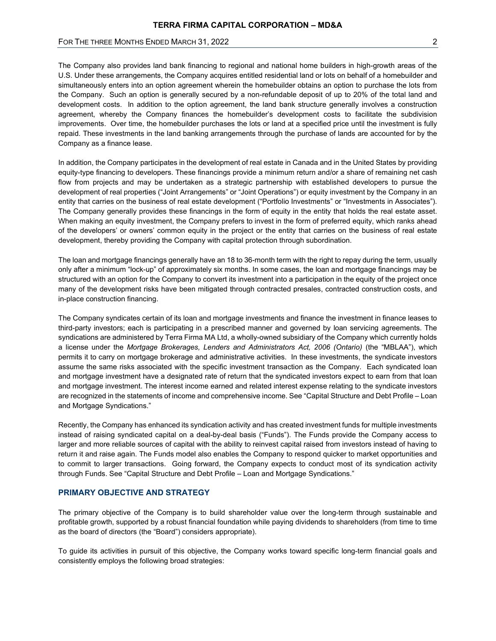The Company also provides land bank financing to regional and national home builders in high-growth areas of the U.S. Under these arrangements, the Company acquires entitled residential land or lots on behalf of a homebuilder and simultaneously enters into an option agreement wherein the homebuilder obtains an option to purchase the lots from the Company. Such an option is generally secured by a non-refundable deposit of up to 20% of the total land and development costs. In addition to the option agreement, the land bank structure generally involves a construction agreement, whereby the Company finances the homebuilder's development costs to facilitate the subdivision improvements. Over time, the homebuilder purchases the lots or land at a specified price until the investment is fully repaid. These investments in the land banking arrangements through the purchase of lands are accounted for by the Company as a finance lease.

In addition, the Company participates in the development of real estate in Canada and in the United States by providing equity-type financing to developers. These financings provide a minimum return and/or a share of remaining net cash flow from projects and may be undertaken as a strategic partnership with established developers to pursue the development of real properties ("Joint Arrangements" or "Joint Operations") or equity investment by the Company in an entity that carries on the business of real estate development ("Portfolio Investments" or "Investments in Associates"). The Company generally provides these financings in the form of equity in the entity that holds the real estate asset. When making an equity investment, the Company prefers to invest in the form of preferred equity, which ranks ahead of the developers' or owners' common equity in the project or the entity that carries on the business of real estate development, thereby providing the Company with capital protection through subordination.

The loan and mortgage financings generally have an 18 to 36-month term with the right to repay during the term, usually only after a minimum "lock-up" of approximately six months. In some cases, the loan and mortgage financings may be structured with an option for the Company to convert its investment into a participation in the equity of the project once many of the development risks have been mitigated through contracted presales, contracted construction costs, and in-place construction financing.

The Company syndicates certain of its loan and mortgage investments and finance the investment in finance leases to third-party investors; each is participating in a prescribed manner and governed by loan servicing agreements. The syndications are administered by Terra Firma MA Ltd, a wholly-owned subsidiary of the Company which currently holds a license under the Mortgage Brokerages, Lenders and Administrators Act, 2006 (Ontario) (the "MBLAA"), which permits it to carry on mortgage brokerage and administrative activities. In these investments, the syndicate investors assume the same risks associated with the specific investment transaction as the Company. Each syndicated loan and mortgage investment have a designated rate of return that the syndicated investors expect to earn from that loan and mortgage investment. The interest income earned and related interest expense relating to the syndicate investors are recognized in the statements of income and comprehensive income. See "Capital Structure and Debt Profile – Loan and Mortgage Syndications."

Recently, the Company has enhanced its syndication activity and has created investment funds for multiple investments instead of raising syndicated capital on a deal-by-deal basis ("Funds"). The Funds provide the Company access to larger and more reliable sources of capital with the ability to reinvest capital raised from investors instead of having to return it and raise again. The Funds model also enables the Company to respond quicker to market opportunities and to commit to larger transactions. Going forward, the Company expects to conduct most of its syndication activity through Funds. See "Capital Structure and Debt Profile – Loan and Mortgage Syndications."

# PRIMARY OBJECTIVE AND STRATEGY

The primary objective of the Company is to build shareholder value over the long-term through sustainable and profitable growth, supported by a robust financial foundation while paying dividends to shareholders (from time to time as the board of directors (the "Board") considers appropriate).

To guide its activities in pursuit of this objective, the Company works toward specific long-term financial goals and consistently employs the following broad strategies: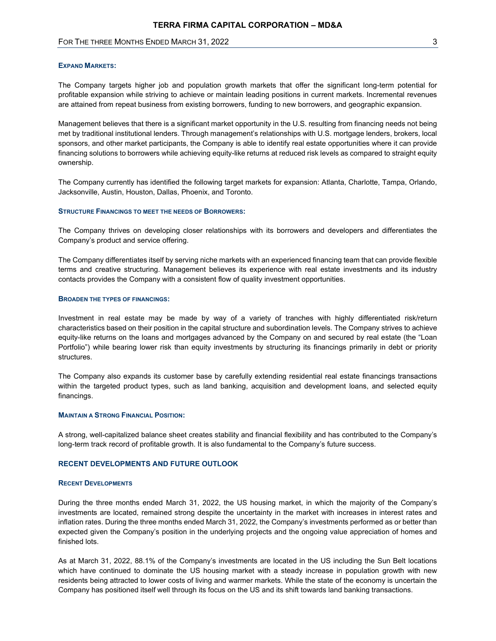#### EXPAND MARKETS:

The Company targets higher job and population growth markets that offer the significant long-term potential for profitable expansion while striving to achieve or maintain leading positions in current markets. Incremental revenues are attained from repeat business from existing borrowers, funding to new borrowers, and geographic expansion.

Management believes that there is a significant market opportunity in the U.S. resulting from financing needs not being met by traditional institutional lenders. Through management's relationships with U.S. mortgage lenders, brokers, local sponsors, and other market participants, the Company is able to identify real estate opportunities where it can provide financing solutions to borrowers while achieving equity-like returns at reduced risk levels as compared to straight equity ownership.

The Company currently has identified the following target markets for expansion: Atlanta, Charlotte, Tampa, Orlando, Jacksonville, Austin, Houston, Dallas, Phoenix, and Toronto.

#### STRUCTURE FINANCINGS TO MEET THE NEEDS OF BORROWERS:

The Company thrives on developing closer relationships with its borrowers and developers and differentiates the Company's product and service offering.

The Company differentiates itself by serving niche markets with an experienced financing team that can provide flexible terms and creative structuring. Management believes its experience with real estate investments and its industry contacts provides the Company with a consistent flow of quality investment opportunities.

#### BROADEN THE TYPES OF FINANCINGS:

Investment in real estate may be made by way of a variety of tranches with highly differentiated risk/return characteristics based on their position in the capital structure and subordination levels. The Company strives to achieve equity-like returns on the loans and mortgages advanced by the Company on and secured by real estate (the "Loan Portfolio") while bearing lower risk than equity investments by structuring its financings primarily in debt or priority structures.

The Company also expands its customer base by carefully extending residential real estate financings transactions within the targeted product types, such as land banking, acquisition and development loans, and selected equity financings.

## MAINTAIN A STRONG FINANCIAL POSITION:

A strong, well-capitalized balance sheet creates stability and financial flexibility and has contributed to the Company's long-term track record of profitable growth. It is also fundamental to the Company's future success.

#### RECENT DEVELOPMENTS AND FUTURE OUTLOOK

#### RECENT DEVELOPMENTS

During the three months ended March 31, 2022, the US housing market, in which the majority of the Company's investments are located, remained strong despite the uncertainty in the market with increases in interest rates and inflation rates. During the three months ended March 31, 2022, the Company's investments performed as or better than expected given the Company's position in the underlying projects and the ongoing value appreciation of homes and finished lots.

As at March 31, 2022, 88.1% of the Company's investments are located in the US including the Sun Belt locations which have continued to dominate the US housing market with a steady increase in population growth with new residents being attracted to lower costs of living and warmer markets. While the state of the economy is uncertain the Company has positioned itself well through its focus on the US and its shift towards land banking transactions.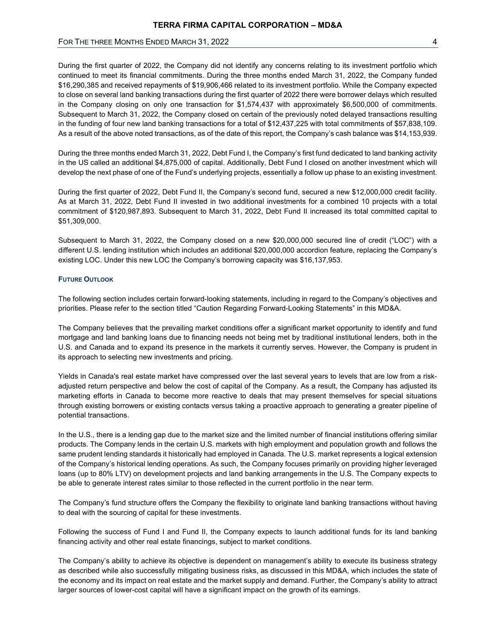During the first quarter of 2022, the Company did not identify any concerns relating to its investment portfolio which continued to meet its financial commitments. During the three months ended March 31, 2022, the Company funded \$16,290,385 and received repayments of \$19,906,466 related to its investment portfolio. While the Company expected to close on several land banking transactions during the first quarter of 2022 there were borrower delays which resulted in the Company closing on only one transaction for \$1,574,437 with approximately \$6,500,000 of commitments. Subsequent to March 31, 2022, the Company closed on certain of the previously noted delayed transactions resulting in the funding of four new land banking transactions for a total of \$12,437,225 with total commitments of \$57,838,109. As a result of the above noted transactions, as of the date of this report, the Company's cash balance was \$14,153,939.

During the three months ended March 31, 2022, Debt Fund I, the Company's first fund dedicated to land banking activity in the US called an additional \$4,875,000 of capital. Additionally, Debt Fund I closed on another investment which will develop the next phase of one of the Fund's underlying projects, essentially a follow up phase to an existing investment.

During the first quarter of 2022, Debt Fund II, the Company's second fund, secured a new \$12,000,000 credit facility. As at March 31, 2022, Debt Fund II invested in two additional investments for a combined 10 projects with a total commitment of \$120,987,893. Subsequent to March 31, 2022, Debt Fund II increased its total committed capital to \$51,309,000.

Subsequent to March 31, 2022, the Company closed on a new \$20,000,000 secured line of credit ("LOC") with a different U.S. lending institution which includes an additional \$20,000,000 accordion feature, replacing the Company's existing LOC. Under this new LOC the Company's borrowing capacity was \$16,137,953.

#### FUTURE OUTLOOK

The following section includes certain forward-looking statements, including in regard to the Company's objectives and priorities. Please refer to the section titled "Caution Regarding Forward-Looking Statements" in this MD&A.

The Company believes that the prevailing market conditions offer a significant market opportunity to identify and fund mortgage and land banking loans due to financing needs not being met by traditional institutional lenders, both in the U.S. and Canada and to expand its presence in the markets it currently serves. However, the Company is prudent in its approach to selecting new investments and pricing.

Yields in Canada's real estate market have compressed over the last several years to levels that are low from a riskadjusted return perspective and below the cost of capital of the Company. As a result, the Company has adjusted its marketing efforts in Canada to become more reactive to deals that may present themselves for special situations through existing borrowers or existing contacts versus taking a proactive approach to generating a greater pipeline of potential transactions.

In the U.S., there is a lending gap due to the market size and the limited number of financial institutions offering similar products. The Company lends in the certain U.S. markets with high employment and population growth and follows the same prudent lending standards it historically had employed in Canada. The U.S. market represents a logical extension of the Company's historical lending operations. As such, the Company focuses primarily on providing higher leveraged loans (up to 80% LTV) on development projects and land banking arrangements in the U.S. The Company expects to be able to generate interest rates similar to those reflected in the current portfolio in the near term.

The Company's fund structure offers the Company the flexibility to originate land banking transactions without having to deal with the sourcing of capital for these investments.

Following the success of Fund I and Fund II, the Company expects to launch additional funds for its land banking financing activity and other real estate financings, subject to market conditions.

The Company's ability to achieve its objective is dependent on management's ability to execute its business strategy as described while also successfully mitigating business risks, as discussed in this MD&A, which includes the state of the economy and its impact on real estate and the market supply and demand. Further, the Company's ability to attract larger sources of lower-cost capital will have a significant impact on the growth of its earnings.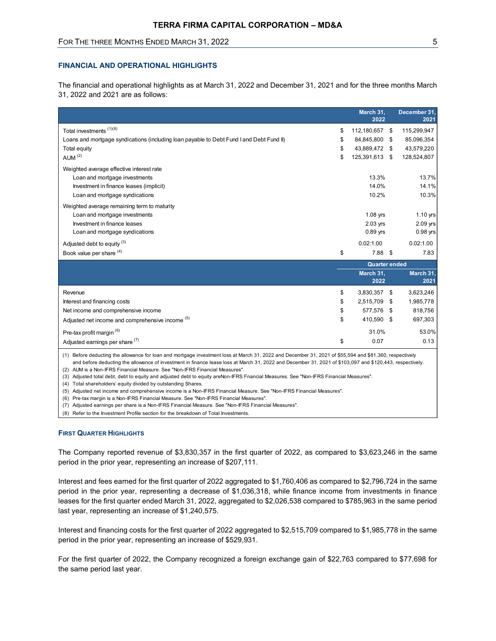# FOR THE THREE MONTHS ENDED MARCH 31, 2022 **FOR THE SET ASSAULT ASSAULT** 5

## FINANCIAL AND OPERATIONAL HIGHLIGHTS

|                                                                                                                                                            |               |                                                                    | 5                                                      |
|------------------------------------------------------------------------------------------------------------------------------------------------------------|---------------|--------------------------------------------------------------------|--------------------------------------------------------|
| <b>FINANCIAL AND OPERATIONAL HIGHLIGHTS</b>                                                                                                                |               |                                                                    |                                                        |
| The financial and operational highlights as at March 31, 2022 and December 31, 2021 and for the three months March<br>31, 2022 and 2021 are as follows:    |               |                                                                    |                                                        |
|                                                                                                                                                            |               | March 31,<br>2022                                                  | December 31.<br>2021                                   |
| Total investments (1)(8)<br>Loans and mortgage syndications (including loan payable to Debt Fund I and Debt Fund II)<br>Total equity<br>AUM <sup>(2)</sup> | S<br>\$.      | 112,180,657 \$<br>84,845,800 \$<br>43,889,472 \$<br>125,391,613 \$ | 115,299,947<br>85,096,354<br>43,579,220<br>128,524,807 |
| Weighted average effective interest rate<br>Loan and mortgage investments<br>Investment in finance leases (implicit)<br>Loan and mortgage syndications     |               | 13.3%<br>14.0%<br>10.2%                                            | 13.7%<br>14.1%<br>10.3%                                |
| Weighted average remaining term to maturity<br>Loan and mortgage investments<br>Investment in finance leases<br>Loan and mortgage syndications             |               | $1.08$ yrs<br>2.03 yrs<br>0.89 yrs                                 | 1.10 yrs<br>2.09 yrs<br>0.98 yrs                       |
| Adjusted debt to equity (3)<br>Book value per share (4)                                                                                                    | \$            | 0.02:1.00<br>$7.88$ \$                                             | 0.02:1.00<br>7.83                                      |
|                                                                                                                                                            |               | <b>Quarter ended</b>                                               |                                                        |
|                                                                                                                                                            |               | March 31,<br>2022                                                  | <b>March 31</b><br>2021                                |
| Revenue<br>Interest and financing costs<br>Net income and comprehensive income                                                                             | \$<br>S<br>\$ | 3,830,357 \$<br>2,515,709 \$<br>577,576 \$                         | 3,623,246<br>1,985,778<br>818,756                      |
| Adjusted net income and comprehensive income (5)<br>Pre-tax profit margin <sup>(6)</sup>                                                                   | S             | 410,590 \$<br>31.0%                                                | 697,303<br>53.0%                                       |
| Adjusted earnings per share (7)                                                                                                                            | \$            | 0.07                                                               | 0.13                                                   |

#### FIRST QUARTER HIGHLIGHTS

Interest and fees earned for the first quarter of 2022 aggregated to \$1,760,406 as compared to \$2,796,724 in the same period in the prior year, representing a decrease of \$1,036,318, while finance income from investments in finance leases for the first quarter ended March 31, 2022, aggregated to \$2,026,538 compared to \$785,963 in the same period last year, representing an increase of \$1,240,575.

Interest and financing costs for the first quarter of 2022 aggregated to \$2,515,709 compared to \$1,985,778 in the same period in the prior year, representing an increase of \$529,931.

For the first quarter of 2022, the Company recognized a foreign exchange gain of \$22,763 compared to \$77,698 for the same period last year.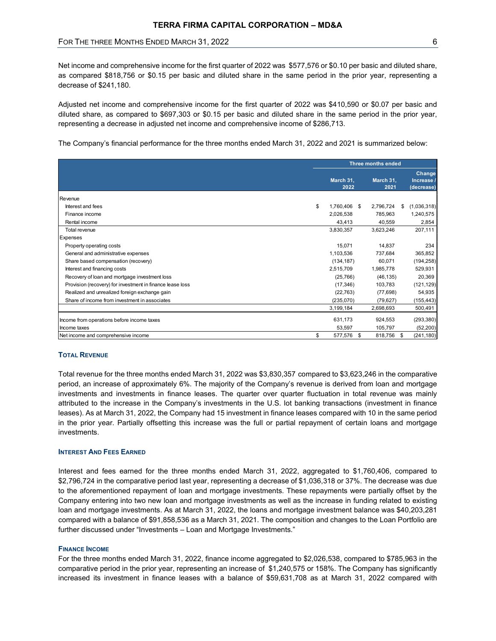| FOR THE THREE MONTHS ENDED MARCH 31, 2022                                                                                                                                                                                                                                                                                        |                            |                       | 6                                |
|----------------------------------------------------------------------------------------------------------------------------------------------------------------------------------------------------------------------------------------------------------------------------------------------------------------------------------|----------------------------|-----------------------|----------------------------------|
| Net income and comprehensive income for the first quarter of 2022 was \$577,576 or \$0.10 per basic and diluted share,<br>as compared \$818,756 or \$0.15 per basic and diluted share in the same period in the prior year, representing a<br>decrease of \$241,180.                                                             |                            |                       |                                  |
| Adjusted net income and comprehensive income for the first quarter of 2022 was \$410,590 or \$0.07 per basic and<br>diluted share, as compared to \$697,303 or \$0.15 per basic and diluted share in the same period in the prior year,<br>representing a decrease in adjusted net income and comprehensive income of \$286,713. |                            |                       |                                  |
| The Company's financial performance for the three months ended March 31, 2022 and 2021 is summarized below:                                                                                                                                                                                                                      |                            |                       |                                  |
|                                                                                                                                                                                                                                                                                                                                  |                            | Three months ended    |                                  |
|                                                                                                                                                                                                                                                                                                                                  | March 31,<br>2022          | March 31,<br>2021     | Change<br>Increase<br>(decrease) |
| Revenue                                                                                                                                                                                                                                                                                                                          |                            |                       |                                  |
| Interest and fees                                                                                                                                                                                                                                                                                                                | \$<br>1,760,406 \$         | 2,796,724 \$          | (1,036,318)                      |
|                                                                                                                                                                                                                                                                                                                                  | 2,026,538                  | 785,963               | 1,240,575                        |
| Finance income                                                                                                                                                                                                                                                                                                                   |                            | 40,559                | 2,854                            |
| Rental income                                                                                                                                                                                                                                                                                                                    | 43,413                     |                       |                                  |
| Total revenue                                                                                                                                                                                                                                                                                                                    | 3,830,357                  | 3,623,246             | 207,111                          |
| Expenses                                                                                                                                                                                                                                                                                                                         |                            |                       |                                  |
| Property operating costs                                                                                                                                                                                                                                                                                                         | 15,071                     | 14,837                | 234                              |
| General and administrative expenses                                                                                                                                                                                                                                                                                              | 1,103,536                  | 737,684               | 365,852                          |
| Share based compensation (recovery)                                                                                                                                                                                                                                                                                              | (134, 187)                 | 60,071                | (194, 258)                       |
| Interest and financing costs                                                                                                                                                                                                                                                                                                     | 2,515,709                  | 1,985,778             | 529,931                          |
| Recovery of loan and mortgage investment loss                                                                                                                                                                                                                                                                                    | (25, 766)                  | (46, 135)             | 20,369                           |
| Provision (recovery) for investment in finance lease loss                                                                                                                                                                                                                                                                        | (17, 346)                  | 103,783               | (121, 129)                       |
| Realized and unrealized foreign exchange gain                                                                                                                                                                                                                                                                                    | (22, 763)                  | (77, 698)             | 54,935                           |
| Share of income from investment in associates                                                                                                                                                                                                                                                                                    | (235,070)                  | (79, 627)             | (155, 443)                       |
|                                                                                                                                                                                                                                                                                                                                  | 3,199,184                  | 2,698,693             | 500,491                          |
|                                                                                                                                                                                                                                                                                                                                  |                            |                       |                                  |
| Income from operations before income taxes                                                                                                                                                                                                                                                                                       | 631,173                    | 924,553               | (293, 380)                       |
| Income taxes<br>Net income and comprehensive income                                                                                                                                                                                                                                                                              | \$<br>53,597<br>577,576 \$ | 105,797<br>818,756 \$ | (52, 200)<br>(241, 180)          |

## TOTAL REVENUE

Total revenue for the three months ended March 31, 2022 was \$3,830,357 compared to \$3,623,246 in the comparative period, an increase of approximately 6%. The majority of the Company's revenue is derived from loan and mortgage investments and investments in finance leases. The quarter over quarter fluctuation in total revenue was mainly attributed to the increase in the Company's investments in the U.S. lot banking transactions (investment in finance leases). As at March 31, 2022, the Company had 15 investment in finance leases compared with 10 in the same period in the prior year. Partially offsetting this increase was the full or partial repayment of certain loans and mortgage investments.

## INTEREST AND FEES EARNED

Interest and fees earned for the three months ended March 31, 2022, aggregated to \$1,760,406, compared to \$2,796,724 in the comparative period last year, representing a decrease of \$1,036,318 or 37%. The decrease was due to the aforementioned repayment of loan and mortgage investments. These repayments were partially offset by the Company entering into two new loan and mortgage investments as well as the increase in funding related to existing loan and mortgage investments. As at March 31, 2022, the loans and mortgage investment balance was \$40,203,281 compared with a balance of \$91,858,536 as a March 31, 2021. The composition and changes to the Loan Portfolio are further discussed under "Investments – Loan and Mortgage Investments."

## FINANCE INCOME

For the three months ended March 31, 2022, finance income aggregated to \$2,026,538, compared to \$785,963 in the comparative period in the prior year, representing an increase of \$1,240,575 or 158%. The Company has significantly increased its investment in finance leases with a balance of \$59,631,708 as at March 31, 2022 compared with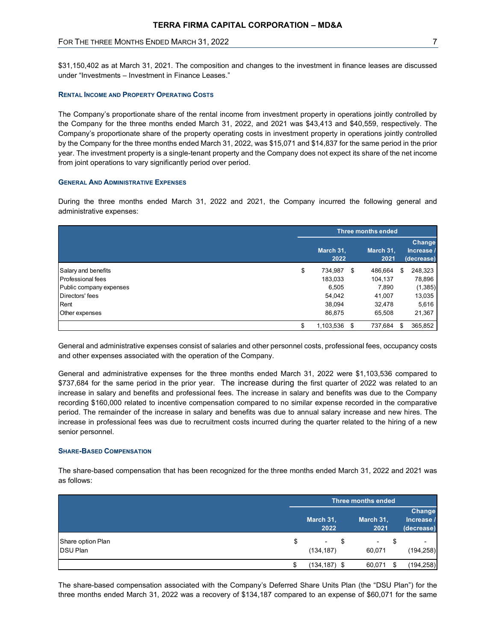# FOR THE THREE MONTHS ENDED MARCH 31, 2022 **7** And the state of the state of the state of the state of the state of the state of the state of the state of the state of the state of the state of the state of the state of the

## RENTAL INCOME AND PROPERTY OPERATING COSTS

## GENERAL AND ADMINISTRATIVE EXPENSES

| \$31,150,402 as at March 31, 2021. The composition and changes to the investment in finance leases are discussed<br>under "Investments – Investment in Finance Leases."                                                                                                                                                                                                                                                                                                                                                                                                                                                                                                          |                             |                    |                                    |
|----------------------------------------------------------------------------------------------------------------------------------------------------------------------------------------------------------------------------------------------------------------------------------------------------------------------------------------------------------------------------------------------------------------------------------------------------------------------------------------------------------------------------------------------------------------------------------------------------------------------------------------------------------------------------------|-----------------------------|--------------------|------------------------------------|
| <b>RENTAL INCOME AND PROPERTY OPERATING COSTS</b>                                                                                                                                                                                                                                                                                                                                                                                                                                                                                                                                                                                                                                |                             |                    |                                    |
| The Company's proportionate share of the rental income from investment property in operations jointly controlled by<br>the Company for the three months ended March 31, 2022, and 2021 was \$43,413 and \$40,559, respectively. The<br>Company's proportionate share of the property operating costs in investment property in operations jointly controlled<br>by the Company for the three months ended March 31, 2022, was \$15,071 and \$14,837 for the same period in the prior<br>year. The investment property is a single-tenant property and the Company does not expect its share of the net income<br>from joint operations to vary significantly period over period. |                             |                    |                                    |
|                                                                                                                                                                                                                                                                                                                                                                                                                                                                                                                                                                                                                                                                                  |                             |                    |                                    |
|                                                                                                                                                                                                                                                                                                                                                                                                                                                                                                                                                                                                                                                                                  |                             |                    |                                    |
|                                                                                                                                                                                                                                                                                                                                                                                                                                                                                                                                                                                                                                                                                  |                             |                    |                                    |
|                                                                                                                                                                                                                                                                                                                                                                                                                                                                                                                                                                                                                                                                                  |                             | Three months ended |                                    |
|                                                                                                                                                                                                                                                                                                                                                                                                                                                                                                                                                                                                                                                                                  | March 31,<br>2022           | March 31,<br>2021  | Change<br>Increase /<br>(decrease) |
| <b>GENERAL AND ADMINISTRATIVE EXPENSES</b><br>During the three months ended March 31, 2022 and 2021, the Company incurred the following general and<br>administrative expenses:<br>Salary and benefits<br><b>Professional fees</b>                                                                                                                                                                                                                                                                                                                                                                                                                                               | \$<br>734,987 \$<br>183,033 | 486,664<br>104,137 | 248,323<br>-\$<br>78,896           |
| Public company expenses<br>Directors' fees                                                                                                                                                                                                                                                                                                                                                                                                                                                                                                                                                                                                                                       | 6,505<br>54,042             | 7,890<br>41,007    | (1, 385)<br>13,035                 |
| Rent<br>Other expenses                                                                                                                                                                                                                                                                                                                                                                                                                                                                                                                                                                                                                                                           | 38,094<br>86,875            | 32,478<br>65,508   | 5,616<br>21,367                    |

#### SHARE-BASED COMPENSATION

| General and administrative expenses for the three months ended March 31, 2022 were \$1,103,536 compared to<br>\$737,684 for the same period in the prior year. The increase during the first quarter of 2022 was related to an        |            |                           |                      |
|---------------------------------------------------------------------------------------------------------------------------------------------------------------------------------------------------------------------------------------|------------|---------------------------|----------------------|
| increase in salary and benefits and professional fees. The increase in salary and benefits was due to the Company<br>recording \$160,000 related to incentive compensation compared to no similar expense recorded in the comparative |            |                           |                      |
| period. The remainder of the increase in salary and benefits was due to annual salary increase and new hires. The                                                                                                                     |            |                           |                      |
| increase in professional fees was due to recruitment costs incurred during the quarter related to the hiring of a new<br>senior personnel.                                                                                            |            |                           |                      |
|                                                                                                                                                                                                                                       |            |                           |                      |
| <b>SHARE-BASED COMPENSATION</b>                                                                                                                                                                                                       |            |                           |                      |
| The share-based compensation that has been recognized for the three months ended March 31, 2022 and 2021 was<br>as follows:                                                                                                           |            | <b>Three months ended</b> |                      |
|                                                                                                                                                                                                                                       | March 31,  | March 31,                 | Change<br>Increase / |
| Share option Plan                                                                                                                                                                                                                     | \$<br>2022 | \$<br>2021                | (decrease)           |
| <b>DSU Plan</b>                                                                                                                                                                                                                       | (134, 187) | 60,071                    | (194, 258)           |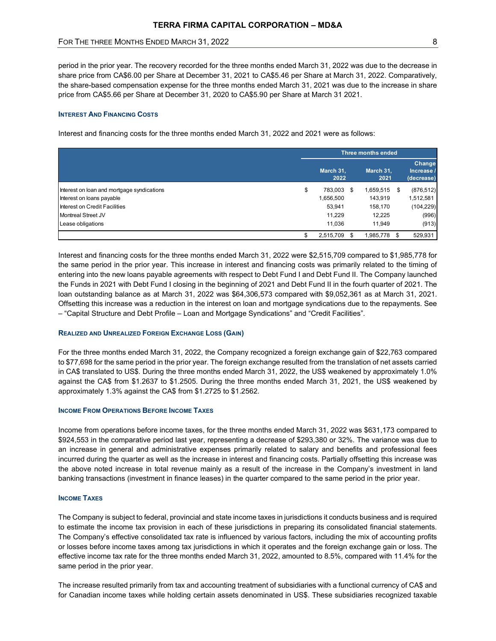## INTEREST AND FINANCING COSTS

| TERRA FIRMA CAPITAL CORPORATION - MD&A                                                                                                                                                                                                                                                                                                                                                                                                                    |                                                             |                                                        |           |                                            |
|-----------------------------------------------------------------------------------------------------------------------------------------------------------------------------------------------------------------------------------------------------------------------------------------------------------------------------------------------------------------------------------------------------------------------------------------------------------|-------------------------------------------------------------|--------------------------------------------------------|-----------|--------------------------------------------|
| FOR THE THREE MONTHS ENDED MARCH 31, 2022                                                                                                                                                                                                                                                                                                                                                                                                                 |                                                             |                                                        |           | 8                                          |
| period in the prior year. The recovery recorded for the three months ended March 31, 2022 was due to the decrease in<br>share price from CA\$6.00 per Share at December 31, 2021 to CA\$5.46 per Share at March 31, 2022. Comparatively,<br>the share-based compensation expense for the three months ended March 31, 2021 was due to the increase in share<br>price from CA\$5.66 per Share at December 31, 2020 to CA\$5.90 per Share at March 31 2021. |                                                             |                                                        |           |                                            |
| <b>INTEREST AND FINANCING COSTS</b><br>Interest and financing costs for the three months ended March 31, 2022 and 2021 were as follows:                                                                                                                                                                                                                                                                                                                   |                                                             | <b>Three months ended</b>                              |           |                                            |
|                                                                                                                                                                                                                                                                                                                                                                                                                                                           | March 31,<br>2022                                           | March 31,<br>2021                                      |           | Change<br>Increase /<br>(decrease)         |
| Interest on loan and mortgage syndications<br>Interest on loans payable<br>Interest on Credit Facilities<br>Montreal Street JV<br>Lease obligations                                                                                                                                                                                                                                                                                                       | \$<br>783,003 \$<br>1,656,500<br>53.941<br>11.229<br>11,036 | 1,659,515 \$<br>143,919<br>158,170<br>12,225<br>11,949 | 1,512,581 | (876, 512)<br>(104, 229)<br>(996)<br>(913) |

Interest and financing costs for the three months ended March 31, 2022 were \$2,515,709 compared to \$1,985,778 for the same period in the prior year. This increase in interest and financing costs was primarily related to the timing of entering into the new loans payable agreements with respect to Debt Fund I and Debt Fund II. The Company launched the Funds in 2021 with Debt Fund I closing in the beginning of 2021 and Debt Fund II in the fourh quarter of 2021. The loan outstanding balance as at March 31, 2022 was \$64,306,573 compared with \$9,052,361 as at March 31, 2021. Offsetting this increase was a reduction in the interest on loan and mortgage syndications due to the repayments. See – "Capital Structure and Debt Profile – Loan and Mortgage Syndications" and "Credit Facilities".

## REALIZED AND UNREALIZED FOREIGN EXCHANGE LOSS (GAIN)

For the three months ended March 31, 2022, the Company recognized a foreign exchange gain of \$22,763 compared to \$77,698 for the same period in the prior year. The foreign exchange resulted from the translation of net assets carried in CA\$ translated to US\$. During the three months ended March 31, 2022, the US\$ weakened by approximately 1.0% against the CA\$ from \$1.2637 to \$1.2505. During the three months ended March 31, 2021, the US\$ weakened by approximately 1.3% against the CA\$ from \$1.2725 to \$1.2562.

#### **INCOME FROM OPERATIONS BEFORE INCOME TAXES**

Income from operations before income taxes, for the three months ended March 31, 2022 was \$631,173 compared to \$924,553 in the comparative period last year, representing a decrease of \$293,380 or 32%. The variance was due to an increase in general and administrative expenses primarily related to salary and benefits and professional fees incurred during the quarter as well as the increase in interest and financing costs. Partially offsetting this increase was the above noted increase in total revenue mainly as a result of the increase in the Company's investment in land banking transactions (investment in finance leases) in the quarter compared to the same period in the prior year.

## **INCOME TAXES**

The Company is subject to federal, provincial and state income taxes in jurisdictions it conducts business and is required to estimate the income tax provision in each of these jurisdictions in preparing its consolidated financial statements. The Company's effective consolidated tax rate is influenced by various factors, including the mix of accounting profits or losses before income taxes among tax jurisdictions in which it operates and the foreign exchange gain or loss. The effective income tax rate for the three months ended March 31, 2022, amounted to 8.5%, compared with 11.4% for the same period in the prior year.

The increase resulted primarily from tax and accounting treatment of subsidiaries with a functional currency of CA\$ and for Canadian income taxes while holding certain assets denominated in US\$. These subsidiaries recognized taxable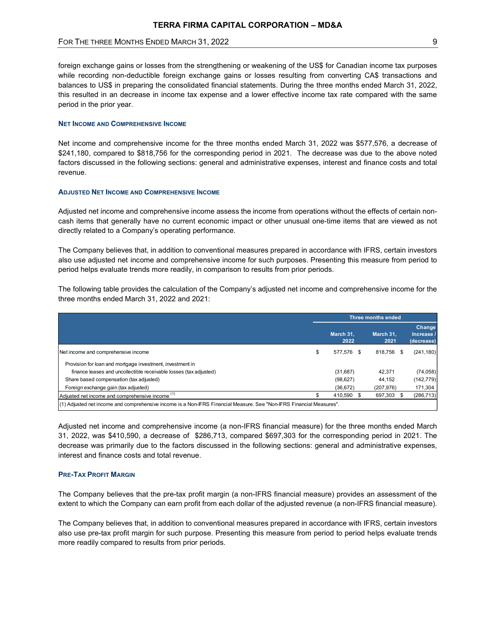# FOR THE THREE MONTHS ENDED MARCH 31, 2022 **PARTICLE 19 SET AND THE THREE MONTHS** 9

foreign exchange gains or losses from the strengthening or weakening of the US\$ for Canadian income tax purposes while recording non-deductible foreign exchange gains or losses resulting from converting CA\$ transactions and balances to US\$ in preparing the consolidated financial statements. During the three months ended March 31, 2022, this resulted in an decrease in income tax expense and a lower effective income tax rate compared with the same period in the prior year.

#### NET INCOME AND COMPREHENSIVE INCOME

#### ADJUSTED NET INCOME AND COMPREHENSIVE INCOME

| \$241,180, compared to \$818,756 for the corresponding period in 2021. The decrease was due to the above noted<br>factors discussed in the following sections: general and administrative expenses, interest and finance costs and total<br>revenue.                                                                              |                                     | Net income and comprehensive income for the three months ended March 31, 2022 was \$577,576, a decrease of |                                    |
|-----------------------------------------------------------------------------------------------------------------------------------------------------------------------------------------------------------------------------------------------------------------------------------------------------------------------------------|-------------------------------------|------------------------------------------------------------------------------------------------------------|------------------------------------|
| <b>ADJUSTED NET INCOME AND COMPREHENSIVE INCOME</b>                                                                                                                                                                                                                                                                               |                                     |                                                                                                            |                                    |
| Adjusted net income and comprehensive income assess the income from operations without the effects of certain non-<br>cash items that generally have no current economic impact or other unusual one-time items that are viewed as not<br>directly related to a Company's operating performance.                                  |                                     |                                                                                                            |                                    |
| The Company believes that, in addition to conventional measures prepared in accordance with IFRS, certain investors<br>also use adjusted net income and comprehensive income for such purposes. Presenting this measure from period to<br>period helps evaluate trends more readily, in comparison to results from prior periods. |                                     |                                                                                                            |                                    |
| The following table provides the calculation of the Company's adjusted net income and comprehensive income for the<br>three months ended March 31, 2022 and 2021:                                                                                                                                                                 |                                     |                                                                                                            |                                    |
|                                                                                                                                                                                                                                                                                                                                   |                                     | <b>Three months ended</b>                                                                                  |                                    |
|                                                                                                                                                                                                                                                                                                                                   |                                     |                                                                                                            | Change                             |
|                                                                                                                                                                                                                                                                                                                                   | March 31,<br>2022                   | March 31,<br>2021                                                                                          | Increase<br>(decrease)             |
| Net income and comprehensive income                                                                                                                                                                                                                                                                                               | \$<br>577,576 \$                    | 818,756 \$                                                                                                 | (241, 180)                         |
| Provision for loan and mortgage investment, investment in<br>finance leases and uncollectible receivable losses (tax adjusted)<br>Share based compensation (tax adjusted)<br>Foreign exchange gain (tax adjusted)                                                                                                                 | (31, 687)<br>(98, 627)<br>(36, 672) | 42,371<br>44,152<br>(207, 976)                                                                             | (74, 058)<br>(142, 779)<br>171,304 |
|                                                                                                                                                                                                                                                                                                                                   | \$<br>410,590 \$                    | 697,303 \$                                                                                                 | (286, 713)                         |
| Adjusted net income and comprehensive income (1)                                                                                                                                                                                                                                                                                  |                                     |                                                                                                            |                                    |

Adjusted net income and comprehensive income (a non-IFRS financial measure) for the three months ended March 31, 2022, was \$410,590, a decrease of \$286,713, compared \$697,303 for the corresponding period in 2021. The decrease was primarily due to the factors discussed in the following sections: general and administrative expenses, interest and finance costs and total revenue.

#### PRE-TAX PROFIT MARGIN

The Company believes that the pre-tax profit margin (a non-IFRS financial measure) provides an assessment of the extent to which the Company can earn profit from each dollar of the adjusted revenue (a non-IFRS financial measure).

The Company believes that, in addition to conventional measures prepared in accordance with IFRS, certain investors also use pre-tax profit margin for such purpose. Presenting this measure from period to period helps evaluate trends more readily compared to results from prior periods.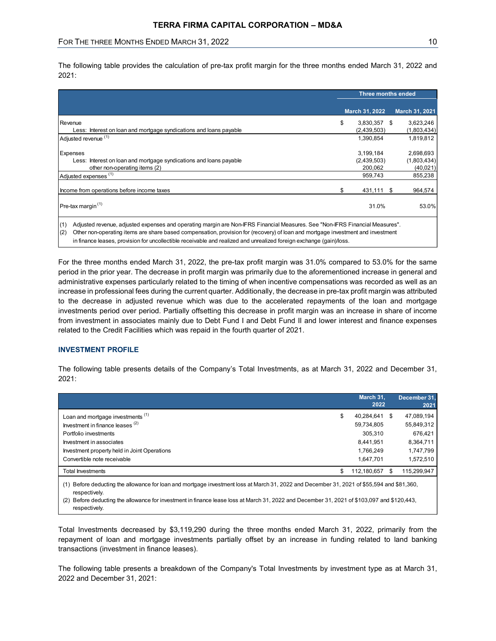| TERRA FIRMA CAPITAL CORPORATION - MD&A                             |                           |                |
|--------------------------------------------------------------------|---------------------------|----------------|
|                                                                    |                           |                |
|                                                                    |                           |                |
|                                                                    |                           |                |
|                                                                    |                           |                |
|                                                                    |                           |                |
| FOR THE THREE MONTHS ENDED MARCH 31, 2022                          |                           | 10             |
|                                                                    |                           |                |
|                                                                    |                           |                |
| 2021:                                                              | <b>Three months ended</b> |                |
|                                                                    | March 31, 2022            | March 31, 2021 |
| Revenue                                                            | \$<br>3,830,357 \$        | 3,623,246      |
| Less: Interest on loan and mortgage syndications and loans payable | (2,439,503)               | (1,803,434)    |
| Adjusted revenue (1)                                               | 1,390,854                 | 1,819,812      |
|                                                                    | 3,199,184                 | 2,698,693      |
| Less: Interest on loan and mortgage syndications and loans payable | (2,439,503)               | (1,803,434)    |
| other non-operating items (2)                                      | 200,062                   | (40,021)       |
| <b>Expenses</b><br>Adjusted expenses <sup>(1)</sup>                | 959,743                   | 855,238        |
| Income from operations before income taxes                         | \$<br>431,111 \$          | 964,574        |

# INVESTMENT PROFILE

| in finance leases, provision for uncollectible receivable and realized and unrealized foreign exchange (gain)/loss.                                                                                                                                                                                                                                                                                                                                                                                                                                                                                                                                                                                                                                                                                                                                                                                                                             | Other non-operating items are share based compensation, provision for (recovery) of loan and mortgage investment and investment |                                                                            |
|-------------------------------------------------------------------------------------------------------------------------------------------------------------------------------------------------------------------------------------------------------------------------------------------------------------------------------------------------------------------------------------------------------------------------------------------------------------------------------------------------------------------------------------------------------------------------------------------------------------------------------------------------------------------------------------------------------------------------------------------------------------------------------------------------------------------------------------------------------------------------------------------------------------------------------------------------|---------------------------------------------------------------------------------------------------------------------------------|----------------------------------------------------------------------------|
| For the three months ended March 31, 2022, the pre-tax profit margin was 31.0% compared to 53.0% for the same<br>period in the prior year. The decrease in profit margin was primarily due to the aforementioned increase in general and<br>administrative expenses particularly related to the timing of when incentive compensations was recorded as well as an<br>increase in professional fees during the current quarter. Additionally, the decrease in pre-tax profit margin was attributed<br>to the decrease in adjusted revenue which was due to the accelerated repayments of the loan and mortgage<br>investments period over period. Partially offsetting this decrease in profit margin was an increase in share of income<br>from investment in associates mainly due to Debt Fund I and Debt Fund II and lower interest and finance expenses<br>related to the Credit Facilities which was repaid in the fourth quarter of 2021. |                                                                                                                                 |                                                                            |
| <b>INVESTMENT PROFILE</b><br>The following table presents details of the Company's Total Investments, as at March 31, 2022 and December 31,<br>2021:                                                                                                                                                                                                                                                                                                                                                                                                                                                                                                                                                                                                                                                                                                                                                                                            | March 31,                                                                                                                       |                                                                            |
|                                                                                                                                                                                                                                                                                                                                                                                                                                                                                                                                                                                                                                                                                                                                                                                                                                                                                                                                                 | 2022                                                                                                                            | December 31.<br>2021                                                       |
| Loan and mortgage investments (1)<br>\$                                                                                                                                                                                                                                                                                                                                                                                                                                                                                                                                                                                                                                                                                                                                                                                                                                                                                                         | 40,284,641 \$                                                                                                                   |                                                                            |
| Investment in finance leases (2)<br>Portfolio investments<br>Investment in associates<br>Investment property held in Joint Operations<br>Convertible note receivable                                                                                                                                                                                                                                                                                                                                                                                                                                                                                                                                                                                                                                                                                                                                                                            | 59,734,805<br>305,310<br>8,441,951<br>1,766,249<br>1,647,701                                                                    | 47,089,194<br>55,849,312<br>676,421<br>8,364,711<br>1,747,799<br>1,572,510 |
| <b>Total Investments</b><br>\$                                                                                                                                                                                                                                                                                                                                                                                                                                                                                                                                                                                                                                                                                                                                                                                                                                                                                                                  | 112,180,657 \$                                                                                                                  | 115,299,947                                                                |

Total Investments decreased by \$3,119,290 during the three months ended March 31, 2022, primarily from the repayment of loan and mortgage investments partially offset by an increase in funding related to land banking transactions (investment in finance leases).

The following table presents a breakdown of the Company's Total Investments by investment type as at March 31, 2022 and December 31, 2021: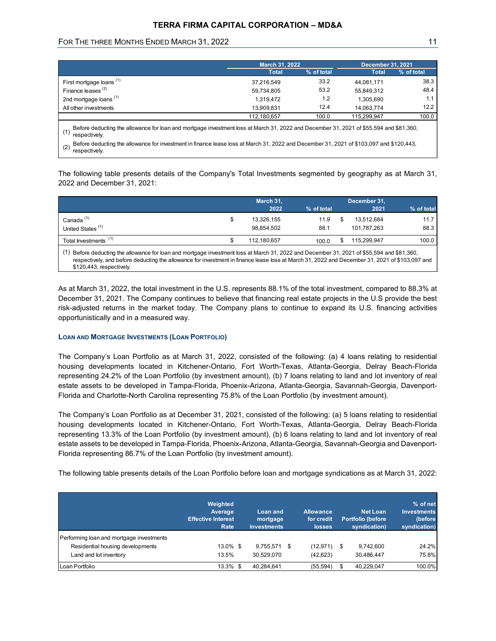# TERRA FIRMA CAPITAL CORPORATION – MD&A

# FOR THE THREE MONTHS ENDED MARCH 31, 2022 11 11 12 11 12 12 12 12 13 14 14 15 17 18 18 19 19 10 11 11 11 11 11

|                                                                                                                                               | <b>TERRA FIRMA CAPITAL CORPORATION - MD&amp;A</b>                                                                                       |              |                                          |              |
|-----------------------------------------------------------------------------------------------------------------------------------------------|-----------------------------------------------------------------------------------------------------------------------------------------|--------------|------------------------------------------|--------------|
|                                                                                                                                               |                                                                                                                                         |              |                                          | 11           |
| FOR THE THREE MONTHS ENDED MARCH 31, 2022                                                                                                     |                                                                                                                                         |              |                                          |              |
|                                                                                                                                               |                                                                                                                                         |              |                                          |              |
|                                                                                                                                               | March 31, 2022<br><b>Total</b>                                                                                                          | % of total   | <b>December 31, 2021</b><br><b>Total</b> | % of total   |
| First mortgage loans <sup>(1)</sup>                                                                                                           | 37,216,549                                                                                                                              | 33.2         | 44,081,171                               | 38.3         |
| Finance leases <sup>(2)</sup>                                                                                                                 | 59,734,805                                                                                                                              | 53.2         | 55,849,312                               | 48.4         |
| 2nd mortgage loans <sup>(1)</sup>                                                                                                             | 1,319,472                                                                                                                               | $1.2$        | 1,305,690                                | 1.1          |
| All other investments                                                                                                                         | 13,909,831                                                                                                                              | 12.4         | 14,063,774                               | 12.2         |
|                                                                                                                                               | 112,180,657                                                                                                                             | 100.0        | 115,299,947                              | 100.0        |
| (1)<br>respectively.                                                                                                                          | Before deducting the allowance for loan and mortgage investment loss at March 31, 2022 and December 31, 2021 of \$55,594 and \$81,360,  |              |                                          |              |
|                                                                                                                                               | Before deducting the allowance for investment in finance lease loss at March 31, 2022 and December 31, 2021 of \$103,097 and \$120,443, |              |                                          |              |
| (2)                                                                                                                                           |                                                                                                                                         |              |                                          |              |
| respectively.                                                                                                                                 |                                                                                                                                         |              |                                          |              |
|                                                                                                                                               |                                                                                                                                         |              |                                          |              |
|                                                                                                                                               |                                                                                                                                         |              |                                          |              |
|                                                                                                                                               |                                                                                                                                         |              |                                          |              |
|                                                                                                                                               |                                                                                                                                         |              |                                          |              |
| The following table presents details of the Company's Total Investments segmented by geography as at March 31,<br>2022 and December 31, 2021: | March 31,<br>2022                                                                                                                       | % of total   | December 31,<br>2021                     | % of total   |
|                                                                                                                                               |                                                                                                                                         |              |                                          |              |
| Canada <sup>(1)</sup><br>United States <sup>(1)</sup>                                                                                         | \$<br>13,326,155<br>98,854,502                                                                                                          | 11.9<br>88.1 | \$<br>13,512,684<br>101,787,263          | 11.7<br>88.3 |
| Total Investments <sup>(1)</sup>                                                                                                              | \$<br>112,180,657                                                                                                                       | 100.0        | \$ 115,299,947                           | 100.0        |

|                                                                                                                                            | March 31,   |            | December 31. |            |
|--------------------------------------------------------------------------------------------------------------------------------------------|-------------|------------|--------------|------------|
|                                                                                                                                            | 2022        | % of total | 2021         | % of total |
| Canada $(1)$                                                                                                                               | 13,326,155  | 11.9       | 13.512.684   | 11.7       |
| United States <sup>(1)</sup>                                                                                                               | 98.854.502  | 88.1       | 101.787.263  | 88.3       |
| Total Investments <sup>(1)</sup>                                                                                                           | 112.180.657 | 100.0      | 115.299.947  | 100.0      |
| (1) Before deducting the allowance for loan and mortgage investment loss at March 31, 2022 and December 31, 2021 of \$55,594 and \$81,360, |             |            |              |            |

respectively, and before deducting the allowance for investment in finance lease loss at March 31, 2022 and December 31, 2021 of \$103,097 and \$120,443, respectively.

As at March 31, 2022, the total investment in the U.S. represents 88.1% of the total investment, compared to 88.3% at December 31, 2021. The Company continues to believe that financing real estate projects in the U.S provide the best risk-adjusted returns in the market today. The Company plans to continue to expand its U.S. financing activities opportunistically and in a measured way.

## LOAN AND MORTGAGE INVESTMENTS (LOAN PORTFOLIO)

|                                                                                                                                                                                                                                                                                                                                                                                                                                                                                                                                                                                        | <b>LOAN AND MORTGAGE INVESTMENTS (LOAN PORTFOLIO)</b>    |                                     |                                                 |                                                             |                                                           |
|----------------------------------------------------------------------------------------------------------------------------------------------------------------------------------------------------------------------------------------------------------------------------------------------------------------------------------------------------------------------------------------------------------------------------------------------------------------------------------------------------------------------------------------------------------------------------------------|----------------------------------------------------------|-------------------------------------|-------------------------------------------------|-------------------------------------------------------------|-----------------------------------------------------------|
| The Company's Loan Portfolio as at March 31, 2022, consisted of the following: (a) 4 loans relating to residential<br>housing developments located in Kitchener-Ontario, Fort Worth-Texas, Atlanta-Georgia, Delray Beach-Florida<br>representing 24.2% of the Loan Portfolio (by investment amount), (b) 7 loans relating to land and lot inventory of real<br>estate assets to be developed in Tampa-Florida, Phoenix-Arizona, Atlanta-Georgia, Savannah-Georgia, Davenport-<br>Florida and Charlotte-North Carolina representing 75.8% of the Loan Portfolio (by investment amount). |                                                          |                                     |                                                 |                                                             |                                                           |
| The Company's Loan Portfolio as at December 31, 2021, consisted of the following: (a) 5 loans relating to residential<br>housing developments located in Kitchener-Ontario, Fort Worth-Texas, Atlanta-Georgia, Delray Beach-Florida<br>representing 13.3% of the Loan Portfolio (by investment amount), (b) 6 loans relating to land and lot inventory of real                                                                                                                                                                                                                         |                                                          |                                     |                                                 |                                                             |                                                           |
| estate assets to be developed in Tampa-Florida, Phoenix-Arizona, Atlanta-Georgia, Savannah-Georgia and Davenport-<br>Florida representing 86.7% of the Loan Portfolio (by investment amount).<br>The following table presents details of the Loan Portfolio before loan and mortgage syndications as at March 31, 2022:                                                                                                                                                                                                                                                                | Weighted<br>Average<br><b>Effective Interest</b><br>Rate | Loan and<br>mortgage<br>investments | <b>Allowance</b><br>for credit<br><b>losses</b> | <b>Net Loan</b><br><b>Portfolio (before</b><br>syndication) | % of net<br><b>Investments</b><br>(before<br>syndication) |
| Performing loan and mortgage investments                                                                                                                                                                                                                                                                                                                                                                                                                                                                                                                                               |                                                          |                                     |                                                 |                                                             |                                                           |
| Residential housing developments<br>Land and lot inventory                                                                                                                                                                                                                                                                                                                                                                                                                                                                                                                             | 13.0% \$<br>13.5%                                        | 9,755,571 \$<br>30,529,070          | $(12, 971)$ \$<br>(42, 623)                     | 9,742,600<br>30,486,447                                     | 24.2%<br>75.8%                                            |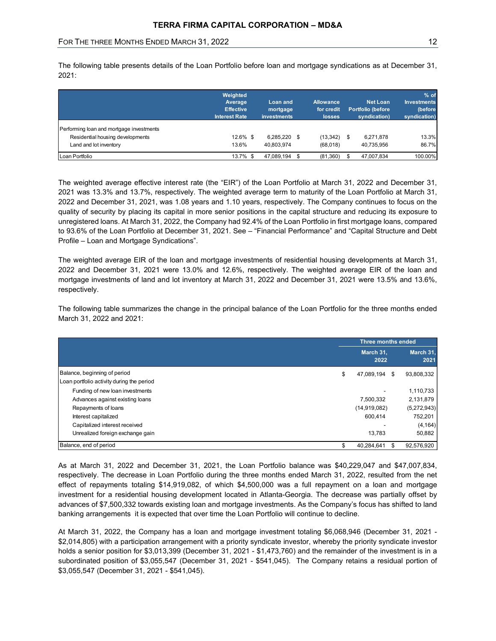|                                                                              | <b>TERRA FIRMA CAPITAL CORPORATION - MD&amp;A</b> |                         |                             |                                   |                            |
|------------------------------------------------------------------------------|---------------------------------------------------|-------------------------|-----------------------------|-----------------------------------|----------------------------|
| FOR THE THREE MONTHS ENDED MARCH 31, 2022                                    |                                                   |                         |                             |                                   | 12                         |
| 2021:                                                                        |                                                   |                         |                             |                                   |                            |
|                                                                              | Weighted<br>Average                               | <b>Loan and</b>         | <b>Allowance</b>            | <b>Net Loan</b>                   | % of<br><b>Investments</b> |
|                                                                              | <b>Effective</b><br><b>Interest Rate</b>          | mortgage<br>investments | for credit<br><b>losses</b> | Portfolio (before<br>syndication) | (before<br>syndication)    |
|                                                                              |                                                   |                         |                             |                                   |                            |
| Performing loan and mortgage investments<br>Residential housing developments | 12.6% \$                                          | 6,285,220 \$            | $(13,342)$ \$               | 6,271,878                         | 13.3%                      |
| Land and lot inventory                                                       | 13.6%                                             | 40,803,974              | (68,018)                    | 40,735,956                        | 86.7%                      |

| 2021 was 13.3% and 13.7%, respectively. The weighted average term to maturity of the Loan Portfolio at March 31,<br>2022 and December 31, 2021, was 1.08 years and 1.10 years, respectively. The Company continues to focus on the<br>quality of security by placing its capital in more senior positions in the capital structure and reducing its exposure to<br>unregistered loans. At March 31, 2022, the Company had 92.4% of the Loan Portfolio in first mortgage loans, compared<br>to 93.6% of the Loan Portfolio at December 31, 2021. See - "Financial Performance" and "Capital Structure and Debt<br>Profile - Loan and Mortgage Syndications". | The weighted average effective interest rate (the "EIR") of the Loan Portfolio at March 31, 2022 and December 31, |                   |
|-------------------------------------------------------------------------------------------------------------------------------------------------------------------------------------------------------------------------------------------------------------------------------------------------------------------------------------------------------------------------------------------------------------------------------------------------------------------------------------------------------------------------------------------------------------------------------------------------------------------------------------------------------------|-------------------------------------------------------------------------------------------------------------------|-------------------|
| The weighted average EIR of the loan and mortgage investments of residential housing developments at March 31,<br>2022 and December 31, 2021 were 13.0% and 12.6%, respectively. The weighted average EIR of the loan and<br>mortgage investments of land and lot inventory at March 31, 2022 and December 31, 2021 were 13.5% and 13.6%,<br>respectively.                                                                                                                                                                                                                                                                                                  |                                                                                                                   |                   |
| The following table summarizes the change in the principal balance of the Loan Portfolio for the three months ended                                                                                                                                                                                                                                                                                                                                                                                                                                                                                                                                         |                                                                                                                   |                   |
| March 31, 2022 and 2021:                                                                                                                                                                                                                                                                                                                                                                                                                                                                                                                                                                                                                                    | Three months ended                                                                                                |                   |
|                                                                                                                                                                                                                                                                                                                                                                                                                                                                                                                                                                                                                                                             | March 31,<br>2022                                                                                                 | March 31,<br>2021 |
| Balance, beginning of period<br>Loan portfolio activity during the period                                                                                                                                                                                                                                                                                                                                                                                                                                                                                                                                                                                   | 47,089,194 \$                                                                                                     | 93,808,332        |
| Funding of new loan investments                                                                                                                                                                                                                                                                                                                                                                                                                                                                                                                                                                                                                             |                                                                                                                   | 1,110,733         |
| Advances against existing loans                                                                                                                                                                                                                                                                                                                                                                                                                                                                                                                                                                                                                             | 7,500,332                                                                                                         | 2,131,879         |
| Repayments of loans                                                                                                                                                                                                                                                                                                                                                                                                                                                                                                                                                                                                                                         | (14, 919, 082)                                                                                                    | (5,272,943)       |
| Interest capitalized                                                                                                                                                                                                                                                                                                                                                                                                                                                                                                                                                                                                                                        | 600,414                                                                                                           | 752,201           |
| Capitalized interest received                                                                                                                                                                                                                                                                                                                                                                                                                                                                                                                                                                                                                               |                                                                                                                   | (4, 164)          |
| Unrealized foreign exchange gain                                                                                                                                                                                                                                                                                                                                                                                                                                                                                                                                                                                                                            | 13,783                                                                                                            | 50,882            |

As at March 31, 2022 and December 31, 2021, the Loan Portfolio balance was \$40,229,047 and \$47,007,834, respectively. The decrease in Loan Portfolio during the three months ended March 31, 2022, resulted from the net effect of repayments totaling \$14,919,082, of which \$4,500,000 was a full repayment on a loan and mortgage investment for a residential housing development located in Atlanta-Georgia. The decrease was partially offset by advances of \$7,500,332 towards existing loan and mortgage investments. As the Company's focus has shifted to land banking arrangements it is expected that over time the Loan Portfolio will continue to decline.

At March 31, 2022, the Company has a loan and mortgage investment totaling \$6,068,946 (December 31, 2021 - \$2,014,805) with a participation arrangement with a priority syndicate investor, whereby the priority syndicate investor holds a senior position for \$3,013,399 (December 31, 2021 - \$1,473,760) and the remainder of the investment is in a subordinated position of \$3,055,547 (December 31, 2021 - \$541,045). The Company retains a residual portion of \$3,055,547 (December 31, 2021 - \$541,045).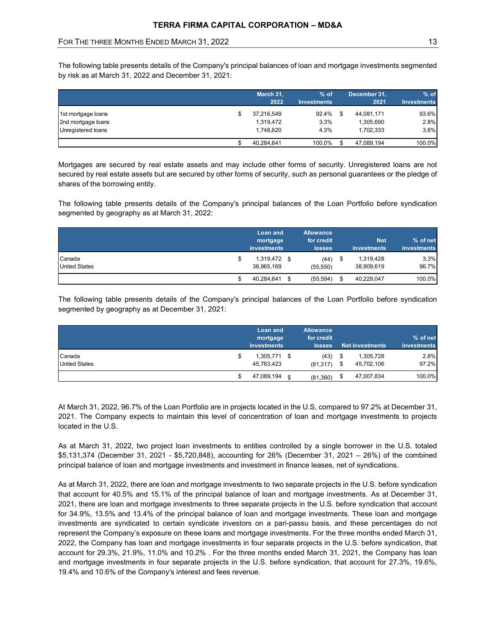# FOR THE THREE MONTHS ENDED MARCH 31, 2022 13 THE THREE MONTHS ENDED MARCH 31, 2022

| FOR THE THREE MONTHS ENDED MARCH 31, 2022                                                                                                                                                                                                 |                                     |                                          |      |                                            |               |
|-------------------------------------------------------------------------------------------------------------------------------------------------------------------------------------------------------------------------------------------|-------------------------------------|------------------------------------------|------|--------------------------------------------|---------------|
|                                                                                                                                                                                                                                           |                                     |                                          |      |                                            | 13            |
|                                                                                                                                                                                                                                           | March 31,<br>2022                   | % of<br><b>Investments</b>               |      | December 31,<br>2021<br><b>Investments</b> | % of          |
| 1st mortgage loans                                                                                                                                                                                                                        | \$<br>37,216,549                    | 92.4% \$                                 |      | 44,081,171                                 | 93.6%<br>2.8% |
| 2nd mortgage loans<br>Unregistered loans                                                                                                                                                                                                  | 1,319,472<br>1,748,620              | 3.3%<br>4.3%                             |      | 1,305,690<br>1,702,333                     | 3.6%          |
|                                                                                                                                                                                                                                           | \$<br>40,284,641                    | 100.0%                                   | - \$ | 47,089,194                                 | 100.0%        |
| Mortgages are secured by real estate assets and may include other forms of security. Unregistered loans are not<br>secured by real estate assets but are secured by other forms of security, such as personal guarantees or the pledge of |                                     |                                          |      |                                            |               |
| shares of the borrowing entity.<br>The following table presents details of the Company's principal balances of the Loan Portfolio before syndication<br>segmented by geography as at March 31, 2022:                                      |                                     |                                          |      |                                            |               |
|                                                                                                                                                                                                                                           | Loan and<br>mortgage<br>investments | <b>Allowance</b><br>for credit<br>losses |      | <b>Net</b><br>investments<br>investments   | % of net      |
| Canada<br><b>United States</b>                                                                                                                                                                                                            | \$<br>1,319,472 \$<br>38,965,169    | $(44)$ \$<br>(55, 550)                   |      | 1,319,428<br>38,909,619                    | 3.3%<br>96.7% |

|                      | Loan and      | <b>Allowance</b>    |      |             |             |
|----------------------|---------------|---------------------|------|-------------|-------------|
|                      | mortgage      | for credit          |      | <b>Net</b>  | % of net    |
|                      | investments   | losses <sup>1</sup> |      | investments | investments |
| Canada               | 1,319,472 \$  | (44)                | - 96 | 1,319,428   | 3.3%        |
| <b>United States</b> | 38,965,169    | (55, 550)           |      | 38,909,619  | 96.7%       |
|                      | 40,284,641 \$ | (55, 594)           |      | 40,229,047  | 100.0%      |

| Mortgages are secured by real estate assets and may include other forms of security. Unregistered loans are not<br>secured by real estate assets but are secured by other forms of security, such as personal guarantees or the pledge of<br>shares of the borrowing entity. |    |                                           |                                                 |                                                   |                              |
|------------------------------------------------------------------------------------------------------------------------------------------------------------------------------------------------------------------------------------------------------------------------------|----|-------------------------------------------|-------------------------------------------------|---------------------------------------------------|------------------------------|
| The following table presents details of the Company's principal balances of the Loan Portfolio before syndication<br>segmented by geography as at March 31, 2022:                                                                                                            |    |                                           |                                                 |                                                   |                              |
|                                                                                                                                                                                                                                                                              |    | Loan and<br>mortgage<br>investments       | <b>Allowance</b><br>for credit<br><b>losses</b> | <b>Net</b><br>investments                         | % of net<br>investments      |
| Canada                                                                                                                                                                                                                                                                       | S  | 1,319,472 \$                              | $(44)$ \$                                       | 1,319,428                                         | 3.3%                         |
| <b>United States</b>                                                                                                                                                                                                                                                         |    | 38,965,169                                | (55, 550)                                       | 38,909,619                                        | 96.7%                        |
|                                                                                                                                                                                                                                                                              | \$ | 40,284,641 \$                             | (55, 594)                                       | \$<br>40,229,047                                  | 100.0%                       |
| The following table presents details of the Company's principal balances of the Loan Portfolio before syndication<br>segmented by geography as at December 31, 2021:                                                                                                         |    | <b>Loan and</b><br>mortgage               | <b>Allowance</b><br>for credit                  |                                                   | % of net                     |
| Canada<br><b>United States</b>                                                                                                                                                                                                                                               | \$ | investments<br>1,305,771 \$<br>45,783,423 | <b>losses</b><br>$(43)$ \$<br>$(81,317)$ \$     | <b>Net investments</b><br>1,305,728<br>45,702,106 | investments<br>2.8%<br>97.2% |

At March 31, 2022, 96.7% of the Loan Portfolio are in projects located in the U.S, compared to 97.2% at December 31, 2021. The Company expects to maintain this level of concentration of loan and mortgage investments to projects located in the U.S.

As at March 31, 2022, two project loan investments to entities controlled by a single borrower in the U.S. totaled \$5,131,374 (December 31, 2021 - \$5,720,848), accounting for 26% (December 31, 2021 – 26%) of the combined principal balance of loan and mortgage investments and investment in finance leases, net of syndications.

As at March 31, 2022, there are loan and mortgage investments to two separate projects in the U.S. before syndication that account for 40.5% and 15.1% of the principal balance of loan and mortgage investments. As at December 31, 2021, there are loan and mortgage investments to three separate projects in the U.S. before syndication that account for 34.9%, 13.5% and 13.4% of the principal balance of loan and mortgage investments. These loan and mortgage investments are syndicated to certain syndicate investors on a pari-passu basis, and these percentages do not represent the Company's exposure on these loans and mortgage investments. For the three months ended March 31, 2022, the Company has loan and mortgage investments in four separate projects in the U.S. before syndication, that account for 29.3%, 21.9%, 11.0% and 10.2% . For the three months ended March 31, 2021, the Company has loan and mortgage investments in four separate projects in the U.S. before syndication, that account for 27.3%, 19.6%, 19.4% and 10.6% of the Company's interest and fees revenue.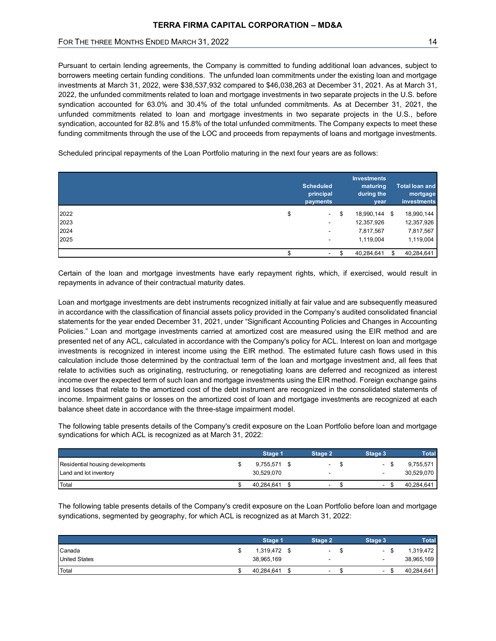|                                                                                                                                                                                                                                                                                                                                                                                                                                                                                                                                                                                                                                                                                                                                                                                                                                                                                                                                                                                                                                                        |                               |                                              | 14                                |
|--------------------------------------------------------------------------------------------------------------------------------------------------------------------------------------------------------------------------------------------------------------------------------------------------------------------------------------------------------------------------------------------------------------------------------------------------------------------------------------------------------------------------------------------------------------------------------------------------------------------------------------------------------------------------------------------------------------------------------------------------------------------------------------------------------------------------------------------------------------------------------------------------------------------------------------------------------------------------------------------------------------------------------------------------------|-------------------------------|----------------------------------------------|-----------------------------------|
| Pursuant to certain lending agreements, the Company is committed to funding additional loan advances, subject to<br>borrowers meeting certain funding conditions. The unfunded loan commitments under the existing loan and mortgage<br>investments at March 31, 2022, were \$38,537,932 compared to \$46,038,263 at December 31, 2021. As at March 31,<br>2022, the unfunded commitments related to loan and mortgage investments in two separate projects in the U.S. before<br>syndication accounted for 63.0% and 30.4% of the total unfunded commitments. As at December 31, 2021, the<br>unfunded commitments related to loan and mortgage investments in two separate projects in the U.S., before<br>syndication, accounted for 82.8% and 15.8% of the total unfunded commitments. The Company expects to meet these<br>funding commitments through the use of the LOC and proceeds from repayments of loans and mortgage investments.<br>Scheduled principal repayments of the Loan Portfolio maturing in the next four years are as follows: |                               |                                              |                                   |
|                                                                                                                                                                                                                                                                                                                                                                                                                                                                                                                                                                                                                                                                                                                                                                                                                                                                                                                                                                                                                                                        |                               |                                              |                                   |
|                                                                                                                                                                                                                                                                                                                                                                                                                                                                                                                                                                                                                                                                                                                                                                                                                                                                                                                                                                                                                                                        | <b>Scheduled</b><br>principal | <b>Investments</b><br>maturing<br>during the | <b>Total loan and</b><br>mortgage |
| 2022                                                                                                                                                                                                                                                                                                                                                                                                                                                                                                                                                                                                                                                                                                                                                                                                                                                                                                                                                                                                                                                   | \$<br>payments                | \$<br>year<br>18,990,144 \$                  | investments<br>18,990,144         |
| 2023                                                                                                                                                                                                                                                                                                                                                                                                                                                                                                                                                                                                                                                                                                                                                                                                                                                                                                                                                                                                                                                   |                               | 12,357,926                                   | 12,357,926                        |
| 2024                                                                                                                                                                                                                                                                                                                                                                                                                                                                                                                                                                                                                                                                                                                                                                                                                                                                                                                                                                                                                                                   |                               | 7,817,567                                    | 7,817,567                         |
| 2025                                                                                                                                                                                                                                                                                                                                                                                                                                                                                                                                                                                                                                                                                                                                                                                                                                                                                                                                                                                                                                                   |                               | 1,119,004                                    | 1,119,004                         |

Loan and mortgage investments are debt instruments recognized initially at fair value and are subsequently measured in accordance with the classification of financial assets policy provided in the Company's audited consolidated financial statements for the year ended December 31, 2021, under "Significant Accounting Policies and Changes in Accounting Policies." Loan and mortgage investments carried at amortized cost are measured using the EIR method and are presented net of any ACL, calculated in accordance with the Company's policy for ACL. Interest on loan and mortgage investments is recognized in interest income using the EIR method. The estimated future cash flows used in this calculation include those determined by the contractual term of the loan and mortgage investment and, all fees that relate to activities such as originating, restructuring, or renegotiating loans are deferred and recognized as interest income over the expected term of such loan and mortgage investments using the EIR method. Foreign exchange gains and losses that relate to the amortized cost of the debt instrument are recognized in the consolidated statements of income. Impairment gains or losses on the amortized cost of loan and mortgage investments are recognized at each balance sheet date in accordance with the three-stage impairment model. Stage 1 Stage 2 Stage 3 Total Certain of the loan and mortgage investments have early repayment rights, which, if exercised, would result in<br>epayments in advance of their contractual maturity dates.<br>
..can and mortgage investments are debt instruments Certian of the lean and mortgage investments have early repayment rights, which, if exercised, would result in<br>epayments in advance of their contractual maturity dates.<br>
Certification and mortgage investments are debit in d cost are measured using the EIR method and are<br>meanly spolicy for ACL. Interest on loan and mortgage<br>elethod. The estimated future cash flows used in this<br>f the loan and mortgage investment and, all fees that<br>taiting loa oresented not any ACL, calculated in accordance with the Company's policy for ACL. Interest in one and mortgage investments is recognized in interest income using the EIR method. The estimated future cash flows used in thi mvestments is recognized in interest income using the ER method. The estimated future cash flows used in this change interest control at the method. The control of convincing or the expected term of such lane and incordate

The following table presents details of the Company's credit exposure on the Loan Portfolio before loan and mortgage syndications for which ACL is recognized as at March 31, 2022:

|                                  | Stage 1    | Stage 2                         | Stage 3 | Total      |
|----------------------------------|------------|---------------------------------|---------|------------|
| Residential housing developments | 9.755.571  | \$.<br>$\overline{\phantom{a}}$ |         | 9,755,571  |
| Land and lot inventory           | 30.529.070 |                                 |         | 30.529.070 |
| Total                            | 40.284.641 | $\overline{\phantom{0}}$        |         | 40,284,641 |

The following table presents details of the Company's credit exposure on the Loan Portfolio before loan and mortgage syndications, segmented by geography, for which ACL is recognized as at March 31, 2022:

|                      | Stage 1           | Stage 2                  | Stage 3                  | <b>Total</b> |
|----------------------|-------------------|--------------------------|--------------------------|--------------|
| Canada               | 1,319,472<br>- \$ | $\overline{\phantom{a}}$ | ۰                        | 1,319,472    |
| <b>United States</b> | 38,965,169        | -                        | $\overline{\phantom{0}}$ | 38,965,169   |
| Total                | 40.284.641        | $\overline{\phantom{0}}$ | -                        | 40.284.641   |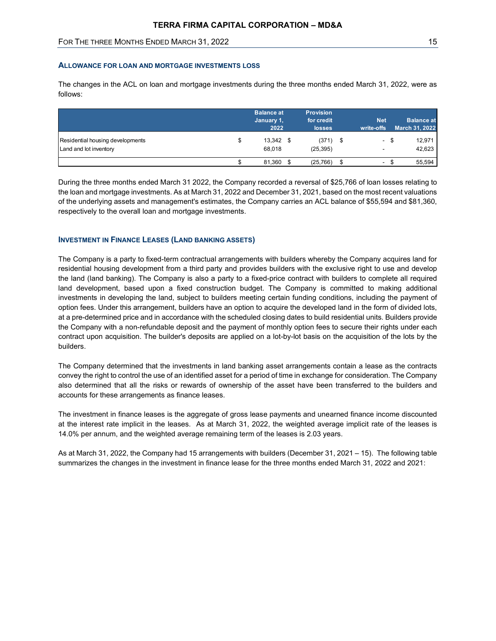# ALLOWANCE FOR LOAN AND MORTGAGE INVESTMENTS LOSS

|                                                                                                               | TERRA FIRMA CAPITAL CORPORATION - MD&A |                    |                             |                          |                                     |
|---------------------------------------------------------------------------------------------------------------|----------------------------------------|--------------------|-----------------------------|--------------------------|-------------------------------------|
|                                                                                                               |                                        |                    |                             |                          |                                     |
| FOR THE THREE MONTHS ENDED MARCH 31, 2022                                                                     |                                        |                    |                             |                          | 15                                  |
| The changes in the ACL on loan and mortgage investments during the three months ended March 31, 2022, were as |                                        |                    |                             |                          |                                     |
| follows:                                                                                                      |                                        | <b>Balance at</b>  | <b>Provision</b>            |                          |                                     |
|                                                                                                               |                                        | January 1,<br>2022 | for credit<br><b>losses</b> | <b>Net</b><br>write-offs | <b>Balance at</b><br>March 31, 2022 |
| Residential housing developments                                                                              | \$                                     | 13,342 \$          | $(371)$ \$                  | - \$                     | 12,971                              |
| Land and lot inventory                                                                                        |                                        | 68,018             | (25, 395)                   |                          | 42,623                              |

During the three months ended March 31 2022, the Company recorded a reversal of \$25,766 of loan losses relating to the loan and mortgage investments. As at March 31, 2022 and December 31, 2021, based on the most recent valuations of the underlying assets and management's estimates, the Company carries an ACL balance of \$55,594 and \$81,360, respectively to the overall loan and mortgage investments.

# INVESTMENT IN FINANCE LEASES (LAND BANKING ASSETS)

The Company is a party to fixed-term contractual arrangements with builders whereby the Company acquires land for residential housing development from a third party and provides builders with the exclusive right to use and develop the land (land banking). The Company is also a party to a fixed-price contract with builders to complete all required land development, based upon a fixed construction budget. The Company is committed to making additional investments in developing the land, subject to builders meeting certain funding conditions, including the payment of option fees. Under this arrangement, builders have an option to acquire the developed land in the form of divided lots, at a pre-determined price and in accordance with the scheduled closing dates to build residential units. Builders provide the Company with a non-refundable deposit and the payment of monthly option fees to secure their rights under each contract upon acquisition. The builder's deposits are applied on a lot-by-lot basis on the acquisition of the lots by the builders.

The Company determined that the investments in land banking asset arrangements contain a lease as the contracts convey the right to control the use of an identified asset for a period of time in exchange for consideration. The Company also determined that all the risks or rewards of ownership of the asset have been transferred to the builders and accounts for these arrangements as finance leases.

The investment in finance leases is the aggregate of gross lease payments and unearned finance income discounted at the interest rate implicit in the leases. As at March 31, 2022, the weighted average implicit rate of the leases is 14.0% per annum, and the weighted average remaining term of the leases is 2.03 years.

As at March 31, 2022, the Company had 15 arrangements with builders (December 31, 2021 – 15). The following table summarizes the changes in the investment in finance lease for the three months ended March 31, 2022 and 2021: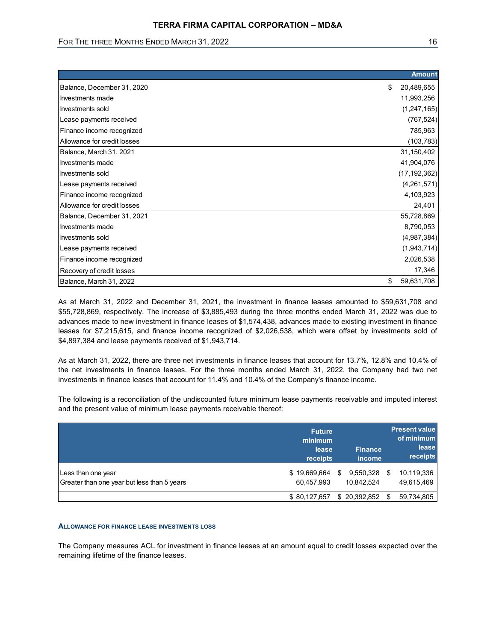| FOR THE THREE MONTHS ENDED MARCH 31, 2022 | 16               |
|-------------------------------------------|------------------|
|                                           |                  |
|                                           | <b>Amount</b>    |
| Balance, December 31, 2020                | 20,489,655<br>\$ |
| Investments made                          | 11,993,256       |
| Investments sold                          | (1, 247, 165)    |
| Lease payments received                   | (767, 524)       |
| Finance income recognized                 | 785,963          |
| Allowance for credit losses               | (103, 783)       |
| Balance, March 31, 2021                   | 31,150,402       |
| Investments made                          | 41,904,076       |
| Investments sold                          | (17, 192, 362)   |
| Lease payments received                   | (4,261,571)      |
| Finance income recognized                 | 4,103,923        |
| Allowance for credit losses               | 24,401           |
| Balance, December 31, 2021                | 55,728,869       |
| Investments made                          | 8,790,053        |
| Investments sold                          | (4,987,384)      |
| Lease payments received                   | (1,943,714)      |
| Finance income recognized                 | 2,026,538        |
| Recovery of credit losses                 | 17,346           |
| Balance, March 31, 2022                   | \$ 59,631,708    |

| Balance, March 31, 2022                                                                                                                                                                                                                                                                                                                                                                                                                                                                                                          |                                               |                          | \$   | 59,631,708                                                            |
|----------------------------------------------------------------------------------------------------------------------------------------------------------------------------------------------------------------------------------------------------------------------------------------------------------------------------------------------------------------------------------------------------------------------------------------------------------------------------------------------------------------------------------|-----------------------------------------------|--------------------------|------|-----------------------------------------------------------------------|
| As at March 31, 2022 and December 31, 2021, the investment in finance leases amounted to \$59,631,708 and<br>\$55,728,869, respectively. The increase of \$3,885,493 during the three months ended March 31, 2022 was due to<br>advances made to new investment in finance leases of \$1,574,438, advances made to existing investment in finance<br>leases for \$7,215,615, and finance income recognized of \$2,026,538, which were offset by investments sold of<br>\$4,897,384 and lease payments received of \$1,943,714.   |                                               |                          |      |                                                                       |
|                                                                                                                                                                                                                                                                                                                                                                                                                                                                                                                                  |                                               |                          |      |                                                                       |
| As at March 31, 2022, there are three net investments in finance leases that account for 13.7%, 12.8% and 10.4% of<br>the net investments in finance leases. For the three months ended March 31, 2022, the Company had two net<br>investments in finance leases that account for 11.4% and 10.4% of the Company's finance income.<br>The following is a reconciliation of the undiscounted future minimum lease payments receivable and imputed interest<br>and the present value of minimum lease payments receivable thereof: |                                               |                          |      |                                                                       |
|                                                                                                                                                                                                                                                                                                                                                                                                                                                                                                                                  | <b>Future</b><br>minimum<br>lease<br>receipts | <b>Finance</b><br>income |      |                                                                       |
| Less than one year                                                                                                                                                                                                                                                                                                                                                                                                                                                                                                               | \$19,669,664                                  | 9,550,328<br>- \$        | - \$ | <b>Present value</b><br>of minimum<br>lease<br>receipts<br>10,119,336 |
| Greater than one year but less than 5 years                                                                                                                                                                                                                                                                                                                                                                                                                                                                                      | 60,457,993                                    | 10,842,524               |      | 49,615,469                                                            |

#### ALLOWANCE FOR FINANCE LEASE INVESTMENTS LOSS

The Company measures ACL for investment in finance leases at an amount equal to credit losses expected over the remaining lifetime of the finance leases.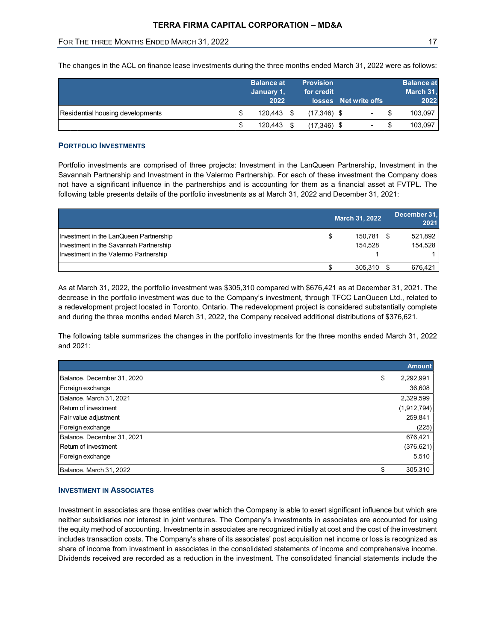| <b>TERRA FIRMA CAPITAL CORPORATION - MD&amp;A</b>                                                                 |                          |                  |                       |                       |
|-------------------------------------------------------------------------------------------------------------------|--------------------------|------------------|-----------------------|-----------------------|
| FOR THE THREE MONTHS ENDED MARCH 31, 2022                                                                         |                          |                  |                       | 17                    |
|                                                                                                                   |                          |                  |                       |                       |
| The changes in the ACL on finance lease investments during the three months ended March 31, 2022 were as follows: |                          |                  |                       |                       |
|                                                                                                                   | <b>Balance at</b>        | <b>Provision</b> |                       | <b>Balance at</b>     |
|                                                                                                                   | January 1,               | for credit       |                       | March 31,             |
| Residential housing developments                                                                                  | \$<br>2022<br>120,443 \$ | $(17,346)$ \$    | losses Net write offs | \$<br>2022<br>103,097 |

# PORTFOLIO INVESTMENTS

| TERRA FIRMA CAPITAL CORPORATION – MD&A                                                                                                                                                                                                                            |    |                                         |                                |                       |                          |    |                                        |
|-------------------------------------------------------------------------------------------------------------------------------------------------------------------------------------------------------------------------------------------------------------------|----|-----------------------------------------|--------------------------------|-----------------------|--------------------------|----|----------------------------------------|
| FOR THE THREE MONTHS ENDED MARCH 31, 2022                                                                                                                                                                                                                         |    |                                         |                                |                       |                          |    | 17                                     |
| The changes in the ACL on finance lease investments during the three months ended March 31, 2022 were as follows:                                                                                                                                                 |    |                                         |                                |                       |                          |    |                                        |
|                                                                                                                                                                                                                                                                   |    | <b>Balance at</b><br>January 1,<br>2022 | <b>Provision</b><br>for credit | losses Net write offs |                          |    | <b>Balance at</b><br>March 31,<br>2022 |
| Residential housing developments                                                                                                                                                                                                                                  | S  | 120,443 \$                              | $(17,346)$ \$                  |                       |                          | S  | 103,097                                |
|                                                                                                                                                                                                                                                                   | \$ | 120,443 \$                              | $(17,346)$ \$                  |                       | $\overline{\phantom{a}}$ | \$ | 103,097                                |
| <b>PORTFOLIO INVESTMENTS</b><br>Portfolio investments are comprised of three projects: Investment in the LanQueen Partnership, Investment in the<br>Savannah Partnership and Investment in the Valermo Partnership. For each of these investment the Company does |    |                                         |                                |                       |                          |    |                                        |
| not have a significant influence in the partnerships and is accounting for them as a financial asset at FVTPL. The<br>following table presents details of the portfolio investments as at March 31, 2022 and December 31, 2021:                                   |    |                                         |                                |                       |                          |    |                                        |
|                                                                                                                                                                                                                                                                   |    |                                         |                                | <b>March 31, 2022</b> |                          |    | December 31,<br>2021                   |
| Investment in the LanQueen Partnership<br>Investment in the Savannah Partnership<br>Investment in the Valermo Partnership                                                                                                                                         |    |                                         | \$                             |                       | 150.781 \$<br>154,528    |    | 521,892<br>154,528                     |

|                                                                                                                                                                                                                                      | March 31, 2022              | December 31.<br>2021                                                                                             |
|--------------------------------------------------------------------------------------------------------------------------------------------------------------------------------------------------------------------------------------|-----------------------------|------------------------------------------------------------------------------------------------------------------|
| Investment in the LanQueen Partnership<br>Investment in the Savannah Partnership<br>Investment in the Valermo Partnership                                                                                                            | \$<br>150,781 \$<br>154,528 | 521,892<br>154,528                                                                                               |
|                                                                                                                                                                                                                                      | \$<br>305,310 \$            | 676,421                                                                                                          |
| a redevelopment project located in Toronto, Ontario. The redevelopment project is considered substantially complete<br>and during the three months ended March 31, 2022, the Company received additional distributions of \$376,621. |                             | decrease in the portfolio investment was due to the Company's investment, through TFCC LanQueen Ltd., related to |
| The following table summarizes the changes in the portfolio investments for the three months ended March 31, 2022<br>and 2021:                                                                                                       |                             |                                                                                                                  |
|                                                                                                                                                                                                                                      |                             | <b>Amount</b>                                                                                                    |
| Balance, December 31, 2020                                                                                                                                                                                                           |                             | \$<br>2,292,991                                                                                                  |
| Foreign exchange                                                                                                                                                                                                                     |                             | 36,608                                                                                                           |
| Balance, March 31, 2021                                                                                                                                                                                                              |                             | 2,329,599                                                                                                        |
| Return of investment                                                                                                                                                                                                                 |                             | (1,912,794)                                                                                                      |
| Fair value adjustment                                                                                                                                                                                                                |                             | 259,841                                                                                                          |
| Foreign exchange                                                                                                                                                                                                                     |                             | (225)                                                                                                            |
| Balance, December 31, 2021<br>Return of investment                                                                                                                                                                                   |                             | 676,421                                                                                                          |
| Foreign exchange                                                                                                                                                                                                                     |                             | (376, 621)<br>5,510                                                                                              |

# INVESTMENT IN ASSOCIATES

Investment in associates are those entities over which the Company is able to exert significant influence but which are neither subsidiaries nor interest in joint ventures. The Company's investments in associates are accounted for using the equity method of accounting. Investments in associates are recognized initially at cost and the cost of the investment includes transaction costs. The Company's share of its associates' post acquisition net income or loss is recognized as share of income from investment in associates in the consolidated statements of income and comprehensive income. Dividends received are recorded as a reduction in the investment. The consolidated financial statements include the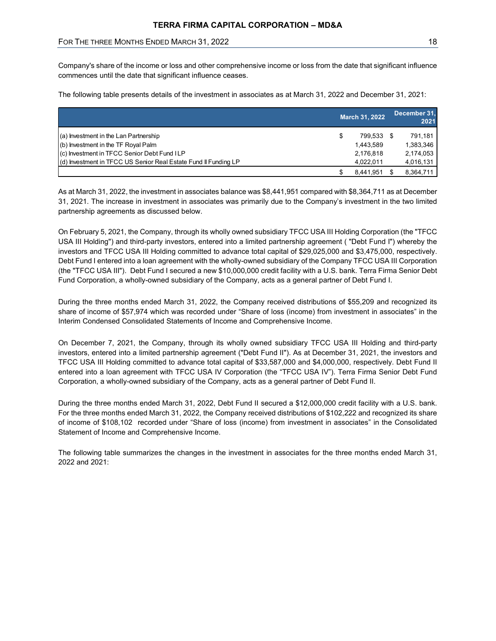# FOR THE THREE MONTHS ENDED MARCH 31, 2022 18 18 18 18 18

| <b>TERRA FIRMA CAPITAL CORPORATION - MD&amp;A</b>                                                                |                                        |
|------------------------------------------------------------------------------------------------------------------|----------------------------------------|
| FOR THE THREE MONTHS ENDED MARCH 31, 2022                                                                        | 18                                     |
|                                                                                                                  |                                        |
| commences until the date that significant influence ceases.                                                      |                                        |
| The following table presents details of the investment in associates as at March 31, 2022 and December 31, 2021: |                                        |
|                                                                                                                  | December 31,<br>March 31, 2022<br>2021 |
| (a) Investment in the Lan Partnership                                                                            | 799,533 \$<br>791,181<br>\$            |
| (b) Investment in the TF Royal Palm                                                                              | 1,383,346<br>1,443,589                 |
| (c) Investment in TFCC Senior Debt Fund ILP                                                                      | 2,174,053<br>2,176,818                 |
| (d) Investment in TFCC US Senior Real Estate Fund II Funding LP                                                  | 4,022,011<br>4,016,131                 |

On February 5, 2021, the Company, through its wholly owned subsidiary TFCC USA III Holding Corporation (the "TFCC USA III Holding") and third-party investors, entered into a limited partnership agreement ( "Debt Fund I") whereby the investors and TFCC USA III Holding committed to advance total capital of \$29,025,000 and \$3,475,000, respectively. Debt Fund I entered into a loan agreement with the wholly-owned subsidiary of the Company TFCC USA III Corporation (the "TFCC USA III"). Debt Fund I secured a new \$10,000,000 credit facility with a U.S. bank. Terra Firma Senior Debt Fund Corporation, a wholly-owned subsidiary of the Company, acts as a general partner of Debt Fund I.

During the three months ended March 31, 2022, the Company received distributions of \$55,209 and recognized its share of income of \$57,974 which was recorded under "Share of loss (income) from investment in associates" in the Interim Condensed Consolidated Statements of Income and Comprehensive Income.

On December 7, 2021, the Company, through its wholly owned subsidiary TFCC USA III Holding and third-party investors, entered into a limited partnership agreement ("Debt Fund II"). As at December 31, 2021, the investors and TFCC USA III Holding committed to advance total capital of \$33,587,000 and \$4,000,000, respectively. Debt Fund II entered into a loan agreement with TFCC USA IV Corporation (the "TFCC USA IV"). Terra Firma Senior Debt Fund Corporation, a wholly-owned subsidiary of the Company, acts as a general partner of Debt Fund II.

During the three months ended March 31, 2022, Debt Fund II secured a \$12,000,000 credit facility with a U.S. bank. For the three months ended March 31, 2022, the Company received distributions of \$102,222 and recognized its share of income of \$108,102 recorded under "Share of loss (income) from investment in associates" in the Consolidated Statement of Income and Comprehensive Income.

The following table summarizes the changes in the investment in associates for the three months ended March 31, 2022 and 2021: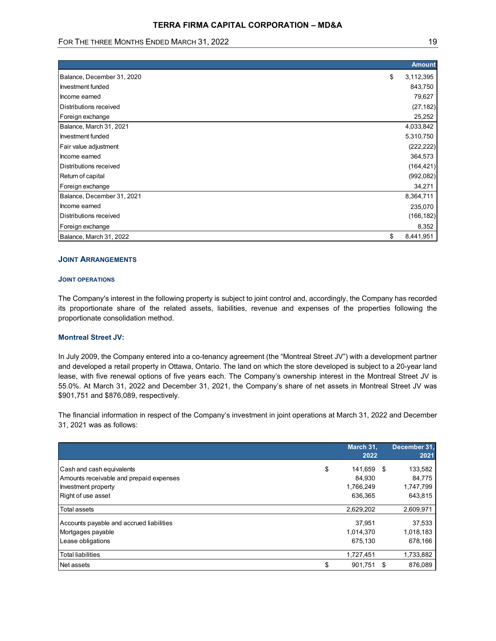| TERRA FIRMA CAPITAL CORPORATION - MD&A<br>FOR THE THREE MONTHS ENDED MARCH 31, 2022 |                     |
|-------------------------------------------------------------------------------------|---------------------|
|                                                                                     |                     |
|                                                                                     |                     |
|                                                                                     |                     |
|                                                                                     |                     |
|                                                                                     |                     |
|                                                                                     |                     |
|                                                                                     |                     |
|                                                                                     |                     |
|                                                                                     | 19                  |
|                                                                                     |                     |
|                                                                                     | <b>Amount</b>       |
| Balance, December 31, 2020                                                          | 3,112,395<br>\$     |
| Investment funded                                                                   | 843,750             |
| Income earned                                                                       | 79,627              |
| Distributions received                                                              | (27, 182)           |
| Foreign exchange                                                                    | 25,252              |
| Balance, March 31, 2021                                                             | 4,033,842           |
| Investment funded                                                                   | 5,310,750           |
| Fair value adjustment                                                               | (222, 222)          |
| Income earned                                                                       | 364,573             |
| Distributions received                                                              | (164, 421)          |
| Return of capital                                                                   | (992, 082)          |
| Foreign exchange                                                                    | 34,271              |
|                                                                                     | 8,364,711           |
| Balance, December 31, 2021                                                          | 235,070             |
| Income earned                                                                       |                     |
| Distributions received                                                              |                     |
| Foreign exchange                                                                    | (166, 182)<br>8,352 |

# JOINT ARRANGEMENTS

## JOINT OPERATIONS

#### Montreal Street JV:

| <b>JOINT ARRANGEMENTS</b>                                                                                                                                                                                                                                                                                                                                                                                                                                                          |                   |                      |
|------------------------------------------------------------------------------------------------------------------------------------------------------------------------------------------------------------------------------------------------------------------------------------------------------------------------------------------------------------------------------------------------------------------------------------------------------------------------------------|-------------------|----------------------|
| <b>JOINT OPERATIONS</b>                                                                                                                                                                                                                                                                                                                                                                                                                                                            |                   |                      |
| The Company's interest in the following property is subject to joint control and, accordingly, the Company has recorded<br>its proportionate share of the related assets, liabilities, revenue and expenses of the properties following the<br>proportionate consolidation method.                                                                                                                                                                                                 |                   |                      |
| <b>Montreal Street JV:</b>                                                                                                                                                                                                                                                                                                                                                                                                                                                         |                   |                      |
| In July 2009, the Company entered into a co-tenancy agreement (the "Montreal Street JV") with a development partner<br>and developed a retail property in Ottawa, Ontario. The land on which the store developed is subject to a 20-year land<br>lease, with five renewal options of five years each. The Company's ownership interest in the Montreal Street JV is<br>55.0%. At March 31, 2022 and December 31, 2021, the Company's share of net assets in Montreal Street JV was |                   |                      |
| \$901,751 and \$876,089, respectively.                                                                                                                                                                                                                                                                                                                                                                                                                                             |                   |                      |
| The financial information in respect of the Company's investment in joint operations at March 31, 2022 and December<br>31, 2021 was as follows:                                                                                                                                                                                                                                                                                                                                    |                   |                      |
|                                                                                                                                                                                                                                                                                                                                                                                                                                                                                    | March 31,<br>2022 | December 31,<br>2021 |
| Cash and cash equivalents                                                                                                                                                                                                                                                                                                                                                                                                                                                          | \$<br>141,659 \$  | 133,582              |
| Amounts receivable and prepaid expenses                                                                                                                                                                                                                                                                                                                                                                                                                                            | 84,930            | 84,775               |
| Investment property                                                                                                                                                                                                                                                                                                                                                                                                                                                                | 1,766,249         | 1,747,799            |
| Right of use asset                                                                                                                                                                                                                                                                                                                                                                                                                                                                 | 636,365           | 643,815              |
| Total assets                                                                                                                                                                                                                                                                                                                                                                                                                                                                       | 2,629,202         | 2,609,971            |
|                                                                                                                                                                                                                                                                                                                                                                                                                                                                                    |                   |                      |
| Accounts payable and accrued liabilities                                                                                                                                                                                                                                                                                                                                                                                                                                           | 37,951            | 37,533               |
| Mortgages payable                                                                                                                                                                                                                                                                                                                                                                                                                                                                  | 1,014,370         | 1,018,183            |
| Lease obligations                                                                                                                                                                                                                                                                                                                                                                                                                                                                  | 675,130           | 678,166              |
| <b>Total liabilities</b>                                                                                                                                                                                                                                                                                                                                                                                                                                                           | 1,727,451         | 1,733,882            |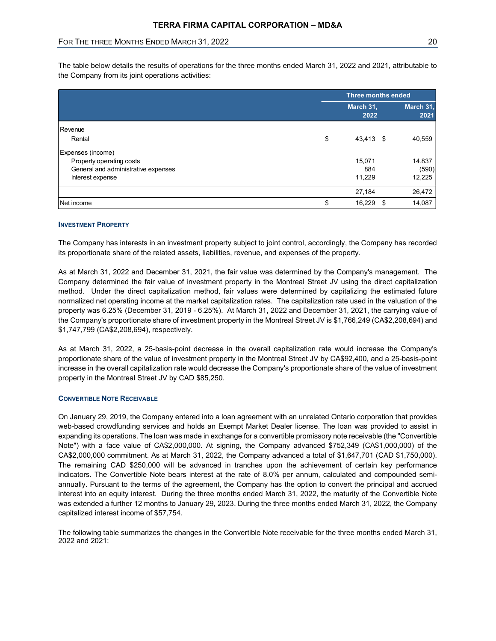| FOR THE THREE MONTHS ENDED MARCH 31, 2022 |                           | 20               |
|-------------------------------------------|---------------------------|------------------|
|                                           | <b>Three months ended</b> |                  |
|                                           | March 31,                 | March 31,        |
|                                           | 2022                      | 2021             |
| Revenue                                   |                           |                  |
| Rental                                    | \$<br>43,413 \$           | 40,559           |
| Expenses (income)                         |                           |                  |
| Property operating costs                  | 15,071                    | 14,837           |
| General and administrative expenses       | 884                       | (590)            |
| Interest expense                          | 11,229<br>27,184          | 12,225<br>26,472 |

#### INVESTMENT PROPERTY

The Company has interests in an investment property subject to joint control, accordingly, the Company has recorded its proportionate share of the related assets, liabilities, revenue, and expenses of the property.

As at March 31, 2022 and December 31, 2021, the fair value was determined by the Company's management. The Company determined the fair value of investment property in the Montreal Street JV using the direct capitalization method. Under the direct capitalization method, fair values were determined by capitalizing the estimated future normalized net operating income at the market capitalization rates. The capitalization rate used in the valuation of the property was 6.25% (December 31, 2019 - 6.25%). At March 31, 2022 and December 31, 2021, the carrying value of the Company's proportionate share of investment property in the Montreal Street JV is \$1,766,249 (CA\$2,208,694) and \$1,747,799 (CA\$2,208,694), respectively.

As at March 31, 2022, a 25-basis-point decrease in the overall capitalization rate would increase the Company's proportionate share of the value of investment property in the Montreal Street JV by CA\$92,400, and a 25-basis-point increase in the overall capitalization rate would decrease the Company's proportionate share of the value of investment property in the Montreal Street JV by CAD \$85,250.

#### CONVERTIBLE NOTE RECEIVABLE

On January 29, 2019, the Company entered into a loan agreement with an unrelated Ontario corporation that provides web-based crowdfunding services and holds an Exempt Market Dealer license. The loan was provided to assist in expanding its operations. The loan was made in exchange for a convertible promissory note receivable (the "Convertible Note") with a face value of CA\$2,000,000. At signing, the Company advanced \$752,349 (CA\$1,000,000) of the CA\$2,000,000 commitment. As at March 31, 2022, the Company advanced a total of \$1,647,701 (CAD \$1,750,000). The remaining CAD \$250,000 will be advanced in tranches upon the achievement of certain key performance indicators. The Convertible Note bears interest at the rate of 8.0% per annum, calculated and compounded semiannually. Pursuant to the terms of the agreement, the Company has the option to convert the principal and accrued interest into an equity interest. During the three months ended March 31, 2022, the maturity of the Convertible Note was extended a further 12 months to January 29, 2023. During the three months ended March 31, 2022, the Company capitalized interest income of \$57,754.

The following table summarizes the changes in the Convertible Note receivable for the three months ended March 31, 2022 and 2021: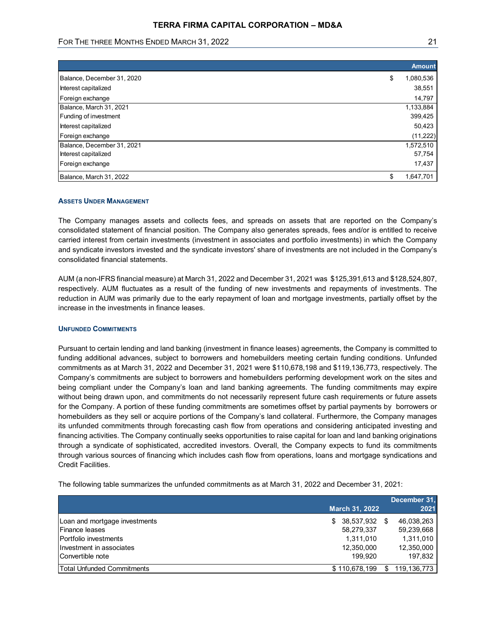# FOR THE THREE MONTHS ENDED MARCH 31, 2022 **21 21 21 21 22 21 21 22 21 21 22 21 22** 21

| <b>TERRA FIRMA CAPITAL CORPORATION - MD&amp;A</b>                      |                 |
|------------------------------------------------------------------------|-----------------|
|                                                                        |                 |
| FOR THE THREE MONTHS ENDED MARCH 31, 2022                              | 21              |
|                                                                        |                 |
|                                                                        |                 |
|                                                                        | <b>Amount</b>   |
|                                                                        | 1,080,536<br>\$ |
| Balance, December 31, 2020                                             | 38,551          |
| Interest capitalized<br>Foreign exchange                               | 14,797          |
| Balance, March 31, 2021                                                | 1,133,884       |
| Funding of investment                                                  | 399,425         |
|                                                                        | 50,423          |
| Interest capitalized<br>Foreign exchange                               | (11, 222)       |
|                                                                        | 1,572,510       |
|                                                                        | 57,754          |
| Balance, December 31, 2021<br>Interest capitalized<br>Foreign exchange | 17,437          |

#### ASSETS UNDER MANAGEMENT

The Company manages assets and collects fees, and spreads on assets that are reported on the Company's consolidated statement of financial position. The Company also generates spreads, fees and/or is entitled to receive carried interest from certain investments (investment in associates and portfolio investments) in which the Company and syndicate investors invested and the syndicate investors' share of investments are not included in the Company's consolidated financial statements.

AUM (a non-IFRS financial measure) at March 31, 2022 and December 31, 2021 was \$125,391,613 and \$128,524,807, respectively. AUM fluctuates as a result of the funding of new investments and repayments of investments. The reduction in AUM was primarily due to the early repayment of loan and mortgage investments, partially offset by the increase in the investments in finance leases.

## UNFUNDED COMMITMENTS

Pursuant to certain lending and land banking (investment in finance leases) agreements, the Company is committed to funding additional advances, subject to borrowers and homebuilders meeting certain funding conditions. Unfunded commitments as at March 31, 2022 and December 31, 2021 were \$110,678,198 and \$119,136,773, respectively. The Company's commitments are subject to borrowers and homebuilders performing development work on the sites and being compliant under the Company's loan and land banking agreements. The funding commitments may expire without being drawn upon, and commitments do not necessarily represent future cash requirements or future assets for the Company. A portion of these funding commitments are sometimes offset by partial payments by borrowers or homebuilders as they sell or acquire portions of the Company's land collateral. Furthermore, the Company manages its unfunded commitments through forecasting cash flow from operations and considering anticipated investing and financing activities. The Company continually seeks opportunities to raise capital for loan and land banking originations through a syndicate of sophisticated, accredited investors. Overall, the Company expects to fund its commitments through various sources of financing which includes cash flow from operations, loans and mortgage syndications and Credit Facilities. UNFUNDED COMMITMENTS<br>
Pursuant to certain lending and land banking (investment in finance leases) agreements, the Company is committed to<br>
furthery additional advances, subject to borrowers and homebuilders meeting certain Unit under Communiterins 1,41 and the main of the comparison is committed to compary is committed to compary a committed to compary a committed to barrowers and homebuilders meeting certain funding conditions. Unfunded<br>
Du Pursuant to certain lending and land banking (investment in finance leases) agreements, the Company is committed to chromomy is committed to committed the company of converts and banking divided in funding conditions: Unfu Unrain additional advances, subject to borrowers and homebuliders meeting certain functing coordiness. Unrinded<br>
Company's committents are subject to borrowers and come builders performing development work on the siles and

The following table summarizes the unfunded commitments as at March 31, 2022 and December 31, 2021:

|                               |                       |     | December 31. |
|-------------------------------|-----------------------|-----|--------------|
|                               | <b>March 31, 2022</b> |     | 2021         |
| Loan and mortgage investments | 38,537,932<br>S       | SS. | 46,038,263   |
| Finance leases                | 58,279,337            |     | 59,239,668   |
| Portfolio investments         | 1.311.010             |     | 1,311,010    |
| Investment in associates      | 12,350,000            |     | 12,350,000   |
| Convertible note              | 199.920               |     | 197.832      |
| Total Unfunded Commitments    | \$110,678,199         | S.  | 119.136,773  |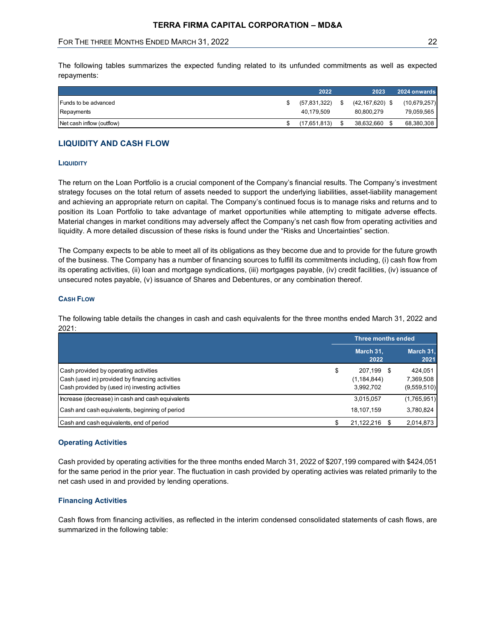# LIQUIDITY AND CASH FLOW

#### **LIQUIDITY**

#### CASH FLOW

| <b>LIQUIDITY</b>                                                                                                                                                                                                                                                                                                                                                                                                                                                                                                                                                                                                                                                                                                                    |                                                |                                             |
|-------------------------------------------------------------------------------------------------------------------------------------------------------------------------------------------------------------------------------------------------------------------------------------------------------------------------------------------------------------------------------------------------------------------------------------------------------------------------------------------------------------------------------------------------------------------------------------------------------------------------------------------------------------------------------------------------------------------------------------|------------------------------------------------|---------------------------------------------|
| The return on the Loan Portfolio is a crucial component of the Company's financial results. The Company's investment<br>strategy focuses on the total return of assets needed to support the underlying liabilities, asset-liability management<br>and achieving an appropriate return on capital. The Company's continued focus is to manage risks and returns and to<br>position its Loan Portfolio to take advantage of market opportunities while attempting to mitigate adverse effects.<br>Material changes in market conditions may adversely affect the Company's net cash flow from operating activities and<br>liquidity. A more detailed discussion of these risks is found under the "Risks and Uncertainties" section. |                                                |                                             |
| The Company expects to be able to meet all of its obligations as they become due and to provide for the future growth<br>of the business. The Company has a number of financing sources to fulfill its commitments including, (i) cash flow from<br>its operating activities, (ii) loan and mortgage syndications, (iii) mortgages payable, (iv) credit facilities, (iv) issuance of                                                                                                                                                                                                                                                                                                                                                |                                                |                                             |
| unsecured notes payable, (v) issuance of Shares and Debentures, or any combination thereof.                                                                                                                                                                                                                                                                                                                                                                                                                                                                                                                                                                                                                                         |                                                |                                             |
| <b>CASH FLOW</b>                                                                                                                                                                                                                                                                                                                                                                                                                                                                                                                                                                                                                                                                                                                    |                                                |                                             |
| The following table details the changes in cash and cash equivalents for the three months ended March 31, 2022 and<br>2021:                                                                                                                                                                                                                                                                                                                                                                                                                                                                                                                                                                                                         |                                                |                                             |
|                                                                                                                                                                                                                                                                                                                                                                                                                                                                                                                                                                                                                                                                                                                                     | <b>Three months ended</b>                      |                                             |
|                                                                                                                                                                                                                                                                                                                                                                                                                                                                                                                                                                                                                                                                                                                                     | March 31,<br>2022                              | March 31                                    |
| Cash provided by operating activities<br>Cash (used in) provided by financing activities<br>Cash provided by (used in) investing activities                                                                                                                                                                                                                                                                                                                                                                                                                                                                                                                                                                                         | \$<br>207,199 \$<br>(1, 184, 844)<br>3,992,702 | 2021<br>424,051<br>7,369,508<br>(9,559,510) |
| Increase (decrease) in cash and cash equivalents                                                                                                                                                                                                                                                                                                                                                                                                                                                                                                                                                                                                                                                                                    | 3,015,057                                      | (1,765,951)                                 |
| Cash and cash equivalents, beginning of period                                                                                                                                                                                                                                                                                                                                                                                                                                                                                                                                                                                                                                                                                      | 18,107,159                                     | 3,780,824                                   |

## Operating Activities

Cash provided by operating activities for the three months ended March 31, 2022 of \$207,199 compared with \$424,051 for the same period in the prior year. The fluctuation in cash provided by operating activies was related primarily to the net cash used in and provided by lending operations.

## Financing Activities

Cash flows from financing activities, as reflected in the interim condensed consolidated statements of cash flows, are summarized in the following table: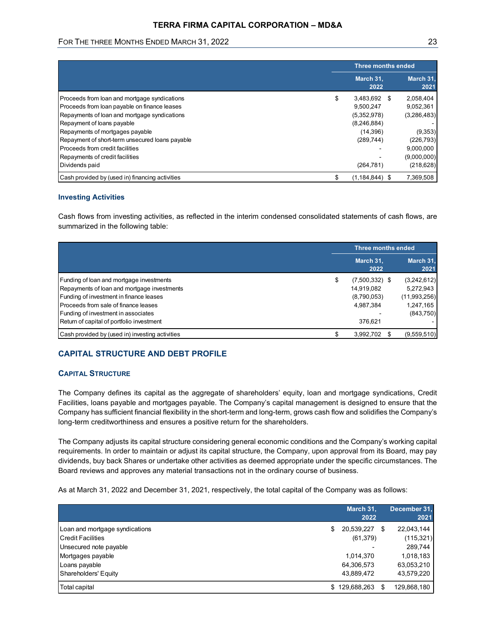# TERRA FIRMA CAPITAL CORPORATION – MD&A

# FOR THE THREE MONTHS ENDED MARCH 31, 2022 **23** 23

| FOR THE THREE MONTHS ENDED MARCH 31, 2022                                                                                                                                                                                                                                                                                                                                                                                                                                                                                                                                                                  |          |                                                                                                                        |                                                                                                                        |
|------------------------------------------------------------------------------------------------------------------------------------------------------------------------------------------------------------------------------------------------------------------------------------------------------------------------------------------------------------------------------------------------------------------------------------------------------------------------------------------------------------------------------------------------------------------------------------------------------------|----------|------------------------------------------------------------------------------------------------------------------------|------------------------------------------------------------------------------------------------------------------------|
|                                                                                                                                                                                                                                                                                                                                                                                                                                                                                                                                                                                                            |          |                                                                                                                        | 23                                                                                                                     |
|                                                                                                                                                                                                                                                                                                                                                                                                                                                                                                                                                                                                            |          | Three months ended                                                                                                     |                                                                                                                        |
|                                                                                                                                                                                                                                                                                                                                                                                                                                                                                                                                                                                                            |          | March 31,<br>2022                                                                                                      | March 31,<br>2021                                                                                                      |
| Proceeds from loan and mortgage syndications<br>Proceeds from loan payable on finance leases<br>Repayments of loan and mortgage syndications<br>Repayment of loans payable<br>Repayments of mortgages payable<br>Repayment of short-term unsecured loans payable<br>Proceeds from credit facilities<br>Repayments of credit facilities<br>Dividends paid<br>Cash provided by (used in) financing activities<br><b>Investing Activities</b><br>Cash flows from investing activities, as reflected in the interim condensed consolidated statements of cash flows, are<br>summarized in the following table: | \$<br>\$ | 3,483,692 \$<br>9,500,247<br>(5,352,978)<br>(8,246,884)<br>(14, 396)<br>(289, 744)<br>(264, 781)<br>$(1, 184, 844)$ \$ | 2,058,404<br>9,052,361<br>(3,286,483)<br>(9, 353)<br>(226, 793)<br>9,000,000<br>(9,000,000)<br>(218, 628)<br>7,369,508 |
|                                                                                                                                                                                                                                                                                                                                                                                                                                                                                                                                                                                                            |          | Three months ended                                                                                                     |                                                                                                                        |
|                                                                                                                                                                                                                                                                                                                                                                                                                                                                                                                                                                                                            |          | March 31,<br>2022                                                                                                      | March 31<br>2021                                                                                                       |
| Funding of loan and mortgage investments<br>Repayments of loan and mortgage investments<br>Funding of investment in finance leases                                                                                                                                                                                                                                                                                                                                                                                                                                                                         | \$       | $(7,500,332)$ \$<br>14,919,082<br>(8,790,053)<br>4,987,384                                                             | (3,242,612)<br>5,272,943<br>(11,993,256)<br>1,247,165<br>(843, 750)                                                    |
| Proceeds from sale of finance leases<br>Funding of investment in associates<br>Return of capital of portfolio investment                                                                                                                                                                                                                                                                                                                                                                                                                                                                                   |          | 376,621                                                                                                                |                                                                                                                        |

#### Investing Activities

|                                                 |    | Three months ended |                   |
|-------------------------------------------------|----|--------------------|-------------------|
|                                                 |    | March 31,<br>2022  | March 31.<br>2021 |
| Funding of loan and mortgage investments        | S. | $(7,500,332)$ \$   | (3,242,612)       |
| Repayments of loan and mortgage investments     |    | 14,919,082         | 5,272,943         |
| Funding of investment in finance leases         |    | (8,790,053)        | (11,993,256)      |
| Proceeds from sale of finance leases            |    | 4,987,384          | 1,247,165         |
| Funding of investment in associates             |    |                    | (843,750)         |
| Return of capital of portfolio investment       |    | 376,621            |                   |
| Cash provided by (used in) investing activities |    | 3,992,702 \$       | (9,559,510)       |

# CAPITAL STRUCTURE AND DEBT PROFILE

# CAPITAL STRUCTURE

| Return of capital of portfolio investment                                                                                                                                                                                                                                                                                                                                                                                                                                                                                                                                           | 376,621                                                                   |                                                                              |
|-------------------------------------------------------------------------------------------------------------------------------------------------------------------------------------------------------------------------------------------------------------------------------------------------------------------------------------------------------------------------------------------------------------------------------------------------------------------------------------------------------------------------------------------------------------------------------------|---------------------------------------------------------------------------|------------------------------------------------------------------------------|
| Cash provided by (used in) investing activities                                                                                                                                                                                                                                                                                                                                                                                                                                                                                                                                     | \$<br>3,992,702 \$                                                        | (9,559,510)                                                                  |
| <b>CAPITAL STRUCTURE AND DEBT PROFILE</b>                                                                                                                                                                                                                                                                                                                                                                                                                                                                                                                                           |                                                                           |                                                                              |
| <b>CAPITAL STRUCTURE</b>                                                                                                                                                                                                                                                                                                                                                                                                                                                                                                                                                            |                                                                           |                                                                              |
| The Company defines its capital as the aggregate of shareholders' equity, loan and mortgage syndications, Credit<br>Facilities, loans payable and mortgages payable. The Company's capital management is designed to ensure that the<br>Company has sufficient financial flexibility in the short-term and long-term, grows cash flow and solidifies the Company's<br>long-term creditworthiness and ensures a positive return for the shareholders.                                                                                                                                |                                                                           |                                                                              |
|                                                                                                                                                                                                                                                                                                                                                                                                                                                                                                                                                                                     |                                                                           |                                                                              |
| The Company adjusts its capital structure considering general economic conditions and the Company's working capital<br>requirements. In order to maintain or adjust its capital structure, the Company, upon approval from its Board, may pay<br>dividends, buy back Shares or undertake other activities as deemed appropriate under the specific circumstances. The<br>Board reviews and approves any material transactions not in the ordinary course of business.<br>As at March 31, 2022 and December 31, 2021, respectively, the total capital of the Company was as follows: |                                                                           |                                                                              |
|                                                                                                                                                                                                                                                                                                                                                                                                                                                                                                                                                                                     | March 31,<br>2022                                                         | December 31,<br>2021                                                         |
| Loan and mortgage syndications<br>Credit Facilities<br>Unsecured note payable<br>Mortgages payable<br>Loans payable<br>Shareholders' Equity                                                                                                                                                                                                                                                                                                                                                                                                                                         | \$<br>20,539,227 \$<br>(61, 379)<br>1,014,370<br>64,306,573<br>43,889,472 | 22,043,144<br>(115, 321)<br>289,744<br>1,018,183<br>63,053,210<br>43,579,220 |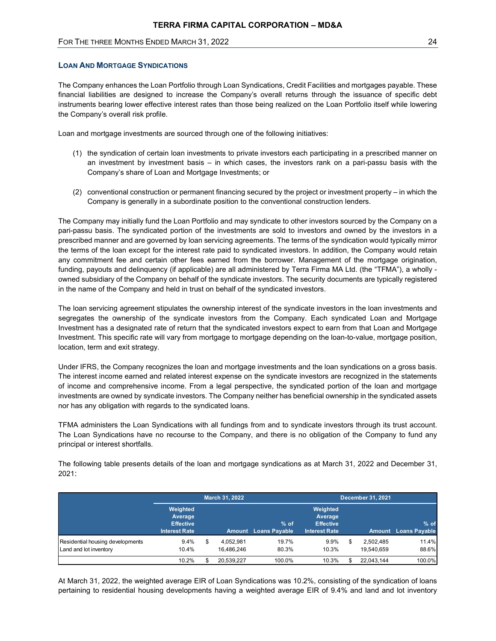# LOAN AND MORTGAGE SYNDICATIONS

The Company enhances the Loan Portfolio through Loan Syndications, Credit Facilities and mortgages payable. These financial liabilities are designed to increase the Company's overall returns through the issuance of specific debt instruments bearing lower effective interest rates than those being realized on the Loan Portfolio itself while lowering the Company's overall risk profile.

Loan and mortgage investments are sourced through one of the following initiatives:

- (1) the syndication of certain loan investments to private investors each participating in a prescribed manner on an investment by investment basis – in which cases, the investors rank on a pari-passu basis with the Company's share of Loan and Mortgage Investments; or
- (2) conventional construction or permanent financing secured by the project or investment property in which the Company is generally in a subordinate position to the conventional construction lenders.

The Company may initially fund the Loan Portfolio and may syndicate to other investors sourced by the Company on a pari-passu basis. The syndicated portion of the investments are sold to investors and owned by the investors in a prescribed manner and are governed by loan servicing agreements. The terms of the syndication would typically mirror the terms of the loan except for the interest rate paid to syndicated investors. In addition, the Company would retain any commitment fee and certain other fees earned from the borrower. Management of the mortgage origination, funding, payouts and delinquency (if applicable) are all administered by Terra Firma MA Ltd. (the "TFMA"), a wholly owned subsidiary of the Company on behalf of the syndicate investors. The security documents are typically registered in the name of the Company and held in trust on behalf of the syndicated investors.

| in the name of the Company and held in trust on behalf of the syndicated investors.                                                                                                                                                                                                                                                                                                                                                                                                                                   |                                                                 |                               |                                     |                                                                 |                               |                              |
|-----------------------------------------------------------------------------------------------------------------------------------------------------------------------------------------------------------------------------------------------------------------------------------------------------------------------------------------------------------------------------------------------------------------------------------------------------------------------------------------------------------------------|-----------------------------------------------------------------|-------------------------------|-------------------------------------|-----------------------------------------------------------------|-------------------------------|------------------------------|
| The loan servicing agreement stipulates the ownership interest of the syndicate investors in the loan investments and<br>segregates the ownership of the syndicate investors from the Company. Each syndicated Loan and Mortgage<br>Investment has a designated rate of return that the syndicated investors expect to earn from that Loan and Mortgage<br>Investment. This specific rate will vary from mortgage to mortgage depending on the loan-to-value, mortgage position,<br>location, term and exit strategy. |                                                                 |                               |                                     |                                                                 |                               |                              |
| Under IFRS, the Company recognizes the loan and mortgage investments and the loan syndications on a gross basis.<br>The interest income earned and related interest expense on the syndicate investors are recognized in the statements<br>of income and comprehensive income. From a legal perspective, the syndicated portion of the loan and mortgage<br>investments are owned by syndicate investors. The Company neither has beneficial ownership in the syndicated assets                                       |                                                                 |                               |                                     |                                                                 |                               |                              |
| nor has any obligation with regards to the syndicated loans.                                                                                                                                                                                                                                                                                                                                                                                                                                                          |                                                                 |                               |                                     |                                                                 |                               |                              |
| TFMA administers the Loan Syndications with all fundings from and to syndicate investors through its trust account.<br>The Loan Syndications have no recourse to the Company, and there is no obligation of the Company to fund any<br>principal or interest shortfalls.<br>The following table presents details of the loan and mortgage syndications as at March 31, 2022 and December 31,<br>2021:                                                                                                                 |                                                                 |                               |                                     |                                                                 |                               |                              |
|                                                                                                                                                                                                                                                                                                                                                                                                                                                                                                                       |                                                                 | March 31, 2022                |                                     |                                                                 | <b>December 31, 2021</b>      |                              |
|                                                                                                                                                                                                                                                                                                                                                                                                                                                                                                                       | Weighted<br>Average<br><b>Effective</b><br><b>Interest Rate</b> |                               | % of<br><b>Amount</b> Loans Payable | Weighted<br>Average<br><b>Effective</b><br><b>Interest Rate</b> |                               | % of<br>Amount Loans Payable |
| Residential housing developments<br>Land and lot inventory                                                                                                                                                                                                                                                                                                                                                                                                                                                            | 9.4%<br>10.4%                                                   | \$<br>4,052,981<br>16,486,246 | 19.7%<br>80.3%                      | 9.9%<br>10.3%                                                   | \$<br>2,502,485<br>19,540,659 | 11.4%<br>88.6%               |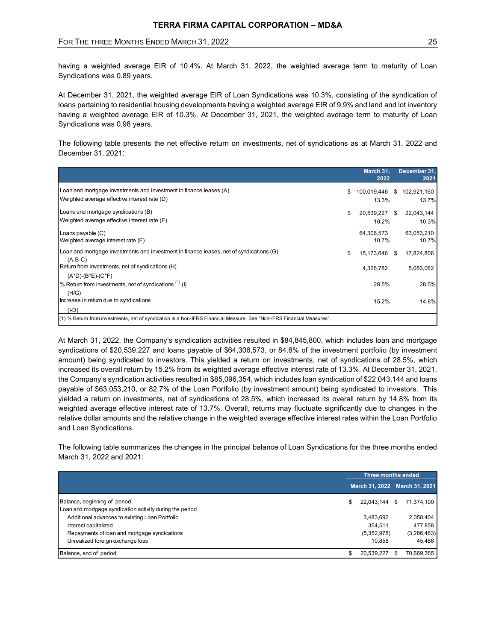# FOR THE THREE MONTHS ENDED MARCH 31, 2022 **25 and 24 and 24** 25

| <b>TERRA FIRMA CAPITAL CORPORATION - MD&amp;A</b>                                                                                                                                                                                                                                                                                                                                       |                                        |                      |
|-----------------------------------------------------------------------------------------------------------------------------------------------------------------------------------------------------------------------------------------------------------------------------------------------------------------------------------------------------------------------------------------|----------------------------------------|----------------------|
| FOR THE THREE MONTHS ENDED MARCH 31, 2022                                                                                                                                                                                                                                                                                                                                               |                                        | 25                   |
| having a weighted average EIR of 10.4%. At March 31, 2022, the weighted average term to maturity of Loan<br>Syndications was 0.89 years.                                                                                                                                                                                                                                                |                                        |                      |
| At December 31, 2021, the weighted average EIR of Loan Syndications was 10.3%, consisting of the syndication of<br>loans pertaining to residential housing developments having a weighted average EIR of 9.9% and land and lot inventory<br>having a weighted average EIR of 10.3%. At December 31, 2021, the weighted average term to maturity of Loan<br>Syndications was 0.98 years. |                                        |                      |
| The following table presents the net effective return on investments, net of syndications as at March 31, 2022 and<br>December 31, 2021:                                                                                                                                                                                                                                                |                                        |                      |
|                                                                                                                                                                                                                                                                                                                                                                                         |                                        |                      |
|                                                                                                                                                                                                                                                                                                                                                                                         | March 31,<br>2022                      | December 31,<br>2021 |
| Loan and mortgage investments and investment in finance leases (A)<br>Weighted average effective interest rate (D)                                                                                                                                                                                                                                                                      | \$ 100,019,446 \$ 102,921,160<br>13.3% | 13.7%                |
| Loans and mortgage syndications (B)<br>Weighted average effective interest rate (E)                                                                                                                                                                                                                                                                                                     | 20,539,227 \$<br>\$<br>10.2%           | 22,043,144<br>10.3%  |
| Loans payable (C)<br>Weighted average interest rate (F)                                                                                                                                                                                                                                                                                                                                 | 64,306,573<br>10.7%                    | 63,053,210<br>10.7%  |
| Loan and mortgage investments and investment in finance leases, net of syndications (G)<br>$(A-B-C)$                                                                                                                                                                                                                                                                                    | 15,173,646 \$                          | 17,824,806           |
| Return from investments, net of syndications (H)                                                                                                                                                                                                                                                                                                                                        | 4,326,782                              | 5,083,062            |
| $(A*D)-(B*E)-(C*F)$<br>% Return from investments, net of syndications $(1)$ (I)                                                                                                                                                                                                                                                                                                         | 28.5%                                  | 28.5%                |
| (H/G)<br>Increase in return due to syndications<br>(HD)                                                                                                                                                                                                                                                                                                                                 | 15.2%                                  | 14.8%                |

At March 31, 2022, the Company's syndication activities resulted in \$84,845,800, which includes loan and mortgage syndications of \$20,539,227 and loans payable of \$64,306,573, or 84.8% of the investment portfolio (by investment amount) being syndicated to investors. This yielded a return on investments, net of syndications of 28.5%, which increased its overall return by 15.2% from its weighted average effective interest rate of 13.3%. At December 31, 2021, the Company's syndication activities resulted in \$85,096,354, which includes loan syndication of \$22,043,144 and loans payable of \$63,053,210, or 82.7% of the Loan Portfolio (by investment amount) being syndicated to investors. This yielded a return on investments, net of syndications of 28.5%, which increased its overall return by 14.8% from its weighted average effective interest rate of 13.7%. Overall, returns may fluctuate significantly due to changes in the relative dollar amounts and the relative change in the weighted average effective interest rates within the Loan Portfolio and Loan Syndications. 28.5% 28.5% 28.5% 28.5% 15.2% 14.8% 16.2% 14.8% 16.2% 16.2% 16.2% 16.2% 16.2% 16.2% 16.2% 16.2% 16.2% 16.2% 16.2% 16.1% 16.1% 16.1% 16.1% 16.1% 16.1% 16.1% 16.1% 16.1% 16.1% 16.1% 16.1% 16.1% 16.1% 16.1% 16.1% 16.1% 16.1% (i.b)<br>
Sixtem hon measures and of syndestics is a ban-FRS Financial Measure See "bon-FRS Francois Measure".<br>
Match 31, 2022, the Company's syndication activities resulted in \$84,845,800, which includes loan and mortgage<br> 10.5.86um tem exerientic exclometrations a klanet Storic Secrets Filips Fax and Moreh 31, 2022, the CM Moreh 354, 2022, the Company's syndications achievities resulted in S48,45,800, which includes loan and mortgage syndi

The following table summarizes the changes in the principal balance of Loan Syndications for the three months ended March 31, 2022 and 2021:

|                                                          | Three months ended |                               |
|----------------------------------------------------------|--------------------|-------------------------------|
|                                                          |                    | March 31, 2022 March 31, 2021 |
| Balance, beginning of period                             |                    | 22,043,144 \$ 71,374,100      |
| Loan and mortgage syndication activity during the period |                    |                               |
| Additional advances to existing Loan Portfolio           | 3,483,692          | 2,058,404                     |
| Interest capitalized                                     | 354.511            | 477,858                       |
| Repayments of loan and mortgage syndications             | (5,352,978)        | (3,286,483)                   |
| Unrealized foreign exchange loss                         | 10.858             | 45.486                        |
| Balance, end of period                                   | 20,539,227 \$      | 70,669,365                    |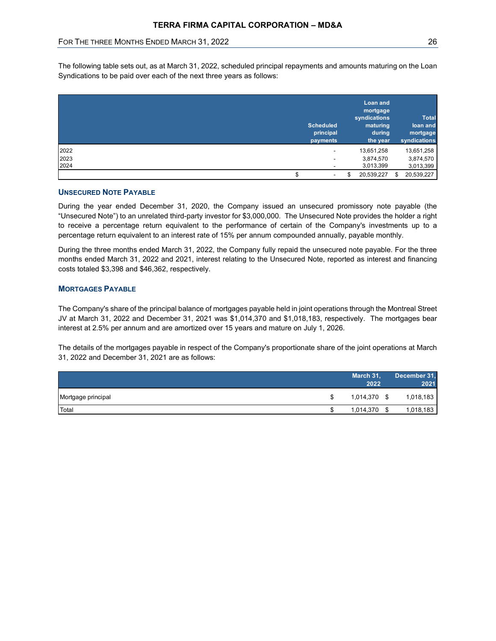|                                           | <b>TERRA FIRMA CAPITAL CORPORATION - MD&amp;A</b> |                          |                          |
|-------------------------------------------|---------------------------------------------------|--------------------------|--------------------------|
| FOR THE THREE MONTHS ENDED MARCH 31, 2022 |                                                   |                          | 26                       |
|                                           |                                                   |                          |                          |
|                                           |                                                   | <b>Loan and</b>          |                          |
|                                           |                                                   | mortgage<br>syndications | <b>Total</b>             |
|                                           | <b>Scheduled</b>                                  | maturing                 | loan and                 |
|                                           | principal<br>payments                             | during<br>the year       | mortgage<br>syndications |
| 2022                                      | $\overline{\phantom{a}}$                          | 13,651,258               | 13,651,258               |
| 2023<br>2024                              |                                                   | 3,874,570<br>3,013,399   | 3,874,570<br>3,013,399   |

# UNSECURED NOTE PAYABLE

# MORTGAGES PAYABLE

| <b>UNSECURED NOTE PAYABLE</b>                                                                                                                                                                                                                                                                                                                                                                                                                              |                    |                      |
|------------------------------------------------------------------------------------------------------------------------------------------------------------------------------------------------------------------------------------------------------------------------------------------------------------------------------------------------------------------------------------------------------------------------------------------------------------|--------------------|----------------------|
| During the year ended December 31, 2020, the Company issued an unsecured promissory note payable (the<br>"Unsecured Note") to an unrelated third-party investor for \$3,000,000. The Unsecured Note provides the holder a right<br>to receive a percentage return equivalent to the performance of certain of the Company's investments up to a<br>percentage return equivalent to an interest rate of 15% per annum compounded annually, payable monthly. |                    |                      |
| During the three months ended March 31, 2022, the Company fully repaid the unsecured note payable. For the three<br>months ended March 31, 2022 and 2021, interest relating to the Unsecured Note, reported as interest and financing<br>costs totaled \$3,398 and \$46,362, respectively.                                                                                                                                                                 |                    |                      |
| <b>MORTGAGES PAYABLE</b>                                                                                                                                                                                                                                                                                                                                                                                                                                   |                    |                      |
| The Company's share of the principal balance of mortgages payable held in joint operations through the Montreal Street                                                                                                                                                                                                                                                                                                                                     |                    |                      |
| JV at March 31, 2022 and December 31, 2021 was \$1,014,370 and \$1,018,183, respectively. The mortgages bear<br>interest at 2.5% per annum and are amortized over 15 years and mature on July 1, 2026.<br>The details of the mortgages payable in respect of the Company's proportionate share of the joint operations at March<br>31, 2022 and December 31, 2021 are as follows:                                                                          |                    |                      |
|                                                                                                                                                                                                                                                                                                                                                                                                                                                            | March 31,<br>2022  | December 31,<br>2021 |
| Mortgage principal                                                                                                                                                                                                                                                                                                                                                                                                                                         | \$<br>1,014,370 \$ | 1,018,183            |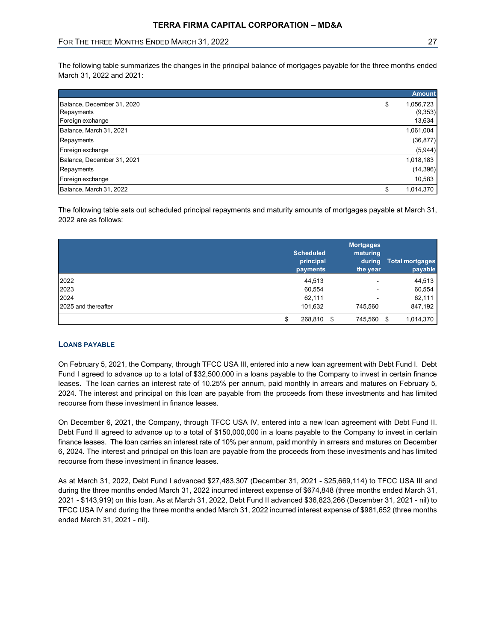| FOR THE THREE MONTHS ENDED MARCH 31, 2022                                                                           | TERRA FIRMA CAPITAL CORPORATION - MD&A |                          |                        |
|---------------------------------------------------------------------------------------------------------------------|----------------------------------------|--------------------------|------------------------|
|                                                                                                                     |                                        |                          |                        |
|                                                                                                                     |                                        |                          |                        |
|                                                                                                                     |                                        |                          |                        |
|                                                                                                                     |                                        |                          | 27                     |
|                                                                                                                     |                                        |                          |                        |
|                                                                                                                     |                                        |                          |                        |
| The following table summarizes the changes in the principal balance of mortgages payable for the three months ended |                                        |                          |                        |
| March 31, 2022 and 2021:                                                                                            |                                        |                          |                        |
|                                                                                                                     |                                        |                          | <b>Amount</b>          |
| Balance, December 31, 2020                                                                                          |                                        | \$                       | 1,056,723              |
| Repayments                                                                                                          |                                        |                          | (9, 353)               |
| Foreign exchange                                                                                                    |                                        |                          | 13,634                 |
| Balance, March 31, 2021                                                                                             |                                        |                          | 1,061,004              |
| Repayments                                                                                                          |                                        |                          | (36, 877)              |
| Foreign exchange                                                                                                    |                                        |                          | (5,944)                |
| Balance, December 31, 2021                                                                                          |                                        |                          | 1,018,183              |
| Repayments                                                                                                          |                                        |                          | (14, 396)              |
| Foreign exchange                                                                                                    |                                        |                          | 10,583                 |
| Balance, March 31, 2022                                                                                             |                                        | \$                       | 1,014,370              |
|                                                                                                                     |                                        |                          |                        |
| The following table sets out scheduled principal repayments and maturity amounts of mortgages payable at March 31,  |                                        |                          |                        |
| 2022 are as follows:                                                                                                |                                        |                          |                        |
|                                                                                                                     |                                        |                          |                        |
|                                                                                                                     |                                        | <b>Mortgages</b>         |                        |
|                                                                                                                     | <b>Scheduled</b>                       | maturing                 |                        |
|                                                                                                                     | principal                              |                          | during Total mortgages |
|                                                                                                                     | payments                               | the year                 | payable                |
|                                                                                                                     | 44,513                                 | $\blacksquare$           | 44,513                 |
| 2022                                                                                                                | 60,554                                 |                          | 60,554                 |
| 2023                                                                                                                |                                        | $\overline{\phantom{a}}$ | 62,111                 |
|                                                                                                                     | 62,111                                 |                          |                        |
| 2024<br>2025 and thereafter                                                                                         | 101,632                                | 745,560                  | 847,192                |

|                     | <b>Scheduled</b><br>principal<br>payments | <b>Mortgages</b><br>maturing<br>the year | during Total mortgages<br>payable |
|---------------------|-------------------------------------------|------------------------------------------|-----------------------------------|
| 2022                | 44,513                                    | $\blacksquare$                           | 44,513                            |
| 2023                | 60,554                                    | $\blacksquare$                           | 60,554                            |
| 2024                | 62,111                                    | $\blacksquare$                           | 62,111                            |
| 2025 and thereafter | 101,632                                   | 745,560                                  | 847,192                           |
|                     | 268,810<br>-\$                            | 745,560                                  | 1,014,370<br>- \$                 |

# LOANS PAYABLE

On February 5, 2021, the Company, through TFCC USA III, entered into a new loan agreement with Debt Fund I. Debt Fund I agreed to advance up to a total of \$32,500,000 in a loans payable to the Company to invest in certain finance leases. The loan carries an interest rate of 10.25% per annum, paid monthly in arrears and matures on February 5, 2024. The interest and principal on this loan are payable from the proceeds from these investments and has limited recourse from these investment in finance leases.

On December 6, 2021, the Company, through TFCC USA IV, entered into a new loan agreement with Debt Fund II. Debt Fund II agreed to advance up to a total of \$150,000,000 in a loans payable to the Company to invest in certain finance leases. The loan carries an interest rate of 10% per annum, paid monthly in arrears and matures on December 6, 2024. The interest and principal on this loan are payable from the proceeds from these investments and has limited recourse from these investment in finance leases.

As at March 31, 2022, Debt Fund I advanced \$27,483,307 (December 31, 2021 - \$25,669,114) to TFCC USA III and during the three months ended March 31, 2022 incurred interest expense of \$674,848 (three months ended March 31, 2021 - \$143,919) on this loan. As at March 31, 2022, Debt Fund II advanced \$36,823,266 (December 31, 2021 - nil) to TFCC USA IV and during the three months ended March 31, 2022 incurred interest expense of \$981,652 (three months ended March 31, 2021 - nil).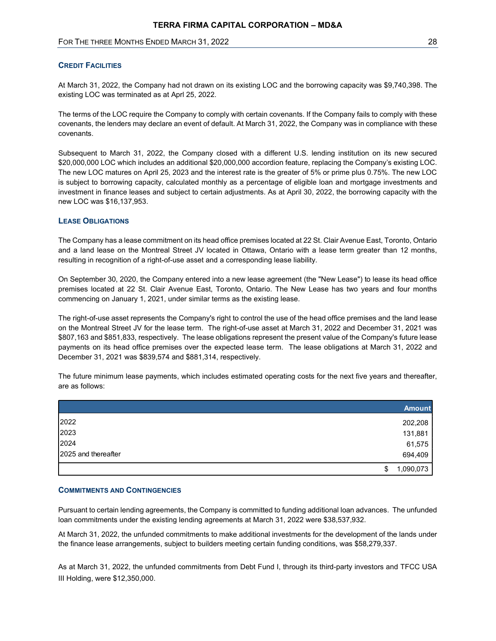# **CREDIT FACILITIES**

At March 31, 2022, the Company had not drawn on its existing LOC and the borrowing capacity was \$9,740,398. The existing LOC was terminated as at Aprl 25, 2022.

The terms of the LOC require the Company to comply with certain covenants. If the Company fails to comply with these covenants, the lenders may declare an event of default. At March 31, 2022, the Company was in compliance with these covenants.

Subsequent to March 31, 2022, the Company closed with a different U.S. lending institution on its new secured \$20,000,000 LOC which includes an additional \$20,000,000 accordion feature, replacing the Company's existing LOC. The new LOC matures on April 25, 2023 and the interest rate is the greater of 5% or prime plus 0.75%. The new LOC is subject to borrowing capacity, calculated monthly as a percentage of eligible loan and mortgage investments and investment in finance leases and subject to certain adjustments. As at April 30, 2022, the borrowing capacity with the new LOC was \$16,137,953.

# LEASE OBLIGATIONS

The Company has a lease commitment on its head office premises located at 22 St. Clair Avenue East, Toronto, Ontario and a land lease on the Montreal Street JV located in Ottawa, Ontario with a lease term greater than 12 months, resulting in recognition of a right-of-use asset and a corresponding lease liability.

On September 30, 2020, the Company entered into a new lease agreement (the "New Lease") to lease its head office premises located at 22 St. Clair Avenue East, Toronto, Ontario. The New Lease has two years and four months commencing on January 1, 2021, under similar terms as the existing lease.

The right-of-use asset represents the Company's right to control the use of the head office premises and the land lease on the Montreal Street JV for the lease term. The right-of-use asset at March 31, 2022 and December 31, 2021 was \$807,163 and \$851,833, respectively. The lease obligations represent the present value of the Company's future lease payments on its head office premises over the expected lease term. The lease obligations at March 31, 2022 and December 31, 2021 was \$839,574 and \$881,314, respectively.

The future minimum lease payments, which includes estimated operating costs for the next five years and thereafter, are as follows:

|                     | <b>Amount</b>        |
|---------------------|----------------------|
| 2022                | 202,208              |
| 2023                | 131,881              |
| 2024                | 61,575               |
| 2025 and thereafter | 694,409              |
|                     | 1,090,073<br>œ<br>J. |

## COMMITMENTS AND CONTINGENCIES

Pursuant to certain lending agreements, the Company is committed to funding additional loan advances. The unfunded loan commitments under the existing lending agreements at March 31, 2022 were \$38,537,932.

At March 31, 2022, the unfunded commitments to make additional investments for the development of the lands under the finance lease arrangements, subject to builders meeting certain funding conditions, was \$58,279,337.

As at March 31, 2022, the unfunded commitments from Debt Fund I, through its third-party investors and TFCC USA III Holding, were \$12,350,000.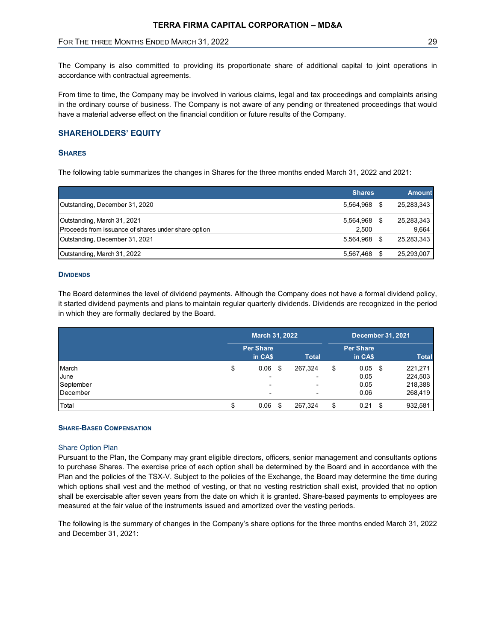# FOR THE THREE MONTHS ENDED MARCH 31, 2022 **29 ACCREDITE 120 ACCREDITE 120 ACCREDITE** 29

# SHAREHOLDERS' EQUITY

## **SHARES**

|                                                                                                                                                                                                                                                                                                                                       | TERRA FIRMA CAPITAL CORPORATION – MD&A |                              |                         |                               |                             |
|---------------------------------------------------------------------------------------------------------------------------------------------------------------------------------------------------------------------------------------------------------------------------------------------------------------------------------------|----------------------------------------|------------------------------|-------------------------|-------------------------------|-----------------------------|
| FOR THE THREE MONTHS ENDED MARCH 31, 2022                                                                                                                                                                                                                                                                                             |                                        |                              |                         |                               | 29                          |
| The Company is also committed to providing its proportionate share of additional capital to joint operations in<br>accordance with contractual agreements.                                                                                                                                                                            |                                        |                              |                         |                               |                             |
| From time to time, the Company may be involved in various claims, legal and tax proceedings and complaints arising<br>in the ordinary course of business. The Company is not aware of any pending or threatened proceedings that would<br>have a material adverse effect on the financial condition or future results of the Company. |                                        |                              |                         |                               |                             |
| <b>SHAREHOLDERS' EQUITY</b>                                                                                                                                                                                                                                                                                                           |                                        |                              |                         |                               |                             |
| <b>SHARES</b>                                                                                                                                                                                                                                                                                                                         |                                        |                              |                         |                               |                             |
| The following table summarizes the changes in Shares for the three months ended March 31, 2022 and 2021:                                                                                                                                                                                                                              |                                        |                              |                         |                               |                             |
|                                                                                                                                                                                                                                                                                                                                       |                                        |                              |                         |                               |                             |
| Outstanding, December 31, 2020                                                                                                                                                                                                                                                                                                        |                                        |                              |                         | <b>Shares</b><br>5,564,968 \$ | <b>Amount</b><br>25,283,343 |
| Outstanding, March 31, 2021                                                                                                                                                                                                                                                                                                           |                                        |                              |                         | 5,564,968 \$                  | 25,283,343                  |
| Proceeds from issuance of shares under share option                                                                                                                                                                                                                                                                                   |                                        |                              |                         | 2,500                         | 9,664                       |
| Outstanding, December 31, 2021                                                                                                                                                                                                                                                                                                        |                                        |                              |                         | 5,564,968 \$                  | 25,283,343                  |
|                                                                                                                                                                                                                                                                                                                                       |                                        |                              |                         | 5,567,468 \$                  | 25,293,007                  |
| Outstanding, March 31, 2022                                                                                                                                                                                                                                                                                                           |                                        |                              |                         |                               |                             |
|                                                                                                                                                                                                                                                                                                                                       |                                        |                              |                         |                               |                             |
| <b>DIVIDENDS</b>                                                                                                                                                                                                                                                                                                                      |                                        |                              |                         |                               |                             |
| The Board determines the level of dividend payments. Although the Company does not have a formal dividend policy,<br>it started dividend payments and plans to maintain regular quarterly dividends. Dividends are recognized in the period<br>in which they are formally declared by the Board.                                      |                                        |                              |                         |                               |                             |
|                                                                                                                                                                                                                                                                                                                                       |                                        | March 31, 2022               |                         | <b>December 31, 2021</b>      |                             |
|                                                                                                                                                                                                                                                                                                                                       |                                        | <b>Per Share</b>             |                         | <b>Per Share</b>              |                             |
| March                                                                                                                                                                                                                                                                                                                                 | \$                                     | in CA\$<br>0.06 <sup>5</sup> | <b>Total</b><br>267,324 | in CA\$<br>\$<br>$0.05$ \$    | Total<br>221,271            |

#### **DIVIDENDS**

|                                                                                                                                                                                                                                                                                                                      |                            |                         | <b>Shares</b>                                      | <b>Amount</b>                                            |
|----------------------------------------------------------------------------------------------------------------------------------------------------------------------------------------------------------------------------------------------------------------------------------------------------------------------|----------------------------|-------------------------|----------------------------------------------------|----------------------------------------------------------|
| Outstanding, December 31, 2020                                                                                                                                                                                                                                                                                       |                            |                         | 5,564,968 \$                                       | 25,283,343                                               |
| Outstanding, March 31, 2021                                                                                                                                                                                                                                                                                          |                            |                         | 5,564,968 \$                                       | 25,283,343                                               |
| Proceeds from issuance of shares under share option                                                                                                                                                                                                                                                                  |                            |                         | 2,500                                              | 9,664                                                    |
| Outstanding, December 31, 2021                                                                                                                                                                                                                                                                                       |                            |                         | 5,564,968 \$                                       | 25,283,343                                               |
| Outstanding, March 31, 2022                                                                                                                                                                                                                                                                                          |                            |                         | 5,567,468 \$                                       | 25,293,007                                               |
| <b>DIVIDENDS</b><br>The Board determines the level of dividend payments. Although the Company does not have a formal dividend policy,<br>it started dividend payments and plans to maintain regular quarterly dividends. Dividends are recognized in the period<br>in which they are formally declared by the Board. |                            |                         |                                                    |                                                          |
|                                                                                                                                                                                                                                                                                                                      | March 31, 2022             |                         | <b>December 31, 2021</b>                           |                                                          |
|                                                                                                                                                                                                                                                                                                                      | <b>Per Share</b><br>in CAS |                         | <b>Per Share</b>                                   |                                                          |
| March<br>June<br>September<br>December                                                                                                                                                                                                                                                                               | \$<br>$0.06$ \$            | <b>Total</b><br>267,324 | \$<br>in CA\$<br>$0.05$ \$<br>0.05<br>0.05<br>0.06 | <b>Total</b><br>221,271<br>224,503<br>218,388<br>268,419 |

## SHARE-BASED COMPENSATION

#### Share Option Plan

Pursuant to the Plan, the Company may grant eligible directors, officers, senior management and consultants options to purchase Shares. The exercise price of each option shall be determined by the Board and in accordance with the Plan and the policies of the TSX-V. Subject to the policies of the Exchange, the Board may determine the time during which options shall vest and the method of vesting, or that no vesting restriction shall exist, provided that no option shall be exercisable after seven years from the date on which it is granted. Share-based payments to employees are measured at the fair value of the instruments issued and amortized over the vesting periods.

The following is the summary of changes in the Company's share options for the three months ended March 31, 2022 and December 31, 2021: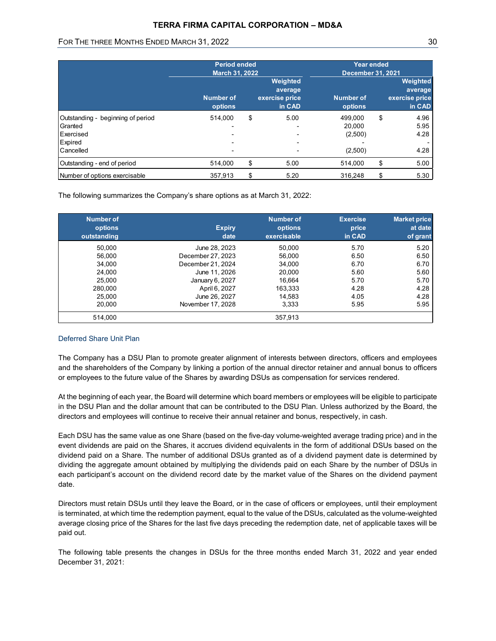# TERRA FIRMA CAPITAL CORPORATION – MD&A

# FOR THE THREE MONTHS ENDED MARCH 31, 2022 30 AM AND THE THREE MONTHS ENDED MARCH 31, 2022

|                                   | <b>Period ended</b><br><b>March 31, 2022</b> |                                                 | Year ended<br><b>December 31, 2021</b> |                                                 |
|-----------------------------------|----------------------------------------------|-------------------------------------------------|----------------------------------------|-------------------------------------------------|
|                                   | <b>Number of</b><br>options                  | Weighted<br>average<br>exercise price<br>in CAD | <b>Number of</b><br>options            | Weighted<br>average<br>exercise price<br>in CAD |
| Outstanding - beginning of period | 514,000                                      | \$<br>5.00                                      | 499,000                                | \$<br>4.96                                      |
| Granted                           |                                              |                                                 | 20,000                                 | 5.95                                            |
| Exercised<br>Expired              |                                              |                                                 | (2,500)                                | 4.28                                            |
| Cancelled                         |                                              |                                                 | (2,500)                                | 4.28                                            |
| Outstanding - end of period       | 514,000                                      | \$<br>5.00                                      | 514,000                                | \$<br>5.00                                      |
| Number of options exercisable     | 357,913                                      | \$<br>5.20                                      | 316,248                                | \$<br>5.30                                      |

|                                                                            | <b>Number of</b><br>options | Weighted<br>average<br>exercise price<br>in CAD | <b>Number of</b><br>options        | Weighted<br>average<br>exercise price<br>in CAD |
|----------------------------------------------------------------------------|-----------------------------|-------------------------------------------------|------------------------------------|-------------------------------------------------|
| Outstanding - beginning of period                                          | 514,000                     | \$<br>5.00                                      | 499,000                            | \$<br>4.96                                      |
| Granted                                                                    |                             |                                                 | 20,000                             | 5.95                                            |
| Exercised                                                                  |                             |                                                 | (2,500)                            | 4.28                                            |
| Expired                                                                    |                             |                                                 |                                    |                                                 |
| Cancelled                                                                  |                             |                                                 | (2,500)                            | 4.28                                            |
| Outstanding - end of period                                                | 514,000                     | \$<br>5.00                                      | 514,000                            | \$<br>5.00                                      |
| Number of options exercisable                                              | 357,913                     | \$<br>5.20                                      | 316,248                            | \$<br>5.30                                      |
| The following summarizes the Company's share options as at March 31, 2022: |                             |                                                 |                                    |                                                 |
| <b>Number of</b><br>options<br>outstanding                                 | <b>Expiry</b><br>date       | <b>Number of</b><br>options<br>exercisable      | <b>Exercise</b><br>price<br>in CAD | <b>Market price</b><br>at date<br>of grant      |
| 50,000                                                                     | June 28, 2023               | 50,000                                          | 5.70                               | 5.20                                            |
| 56,000                                                                     | December 27, 2023           | 56,000                                          | 6.50                               | 6.50                                            |
| 34,000                                                                     | December 21, 2024           | 34,000                                          | 6.70                               | 6.70                                            |
| 24,000                                                                     | June 11, 2026               | 20,000                                          | 5.60                               | 5.60                                            |
| 25,000                                                                     | January 6, 2027             | 16,664                                          | 5.70                               | 5.70                                            |
| 280,000                                                                    | April 6, 2027               | 163,333                                         | 4.28                               | 4.28                                            |
| 25,000                                                                     | June 26, 2027               | 14,583                                          | 4.05                               | 4.28                                            |
| 20,000                                                                     | November 17, 2028           | 3,333                                           | 5.95                               | 5.95                                            |

# Deferred Share Unit Plan

The Company has a DSU Plan to promote greater alignment of interests between directors, officers and employees and the shareholders of the Company by linking a portion of the annual director retainer and annual bonus to officers or employees to the future value of the Shares by awarding DSUs as compensation for services rendered.

At the beginning of each year, the Board will determine which board members or employees will be eligible to participate in the DSU Plan and the dollar amount that can be contributed to the DSU Plan. Unless authorized by the Board, the directors and employees will continue to receive their annual retainer and bonus, respectively, in cash.

Each DSU has the same value as one Share (based on the five-day volume-weighted average trading price) and in the event dividends are paid on the Shares, it accrues dividend equivalents in the form of additional DSUs based on the dividend paid on a Share. The number of additional DSUs granted as of a dividend payment date is determined by dividing the aggregate amount obtained by multiplying the dividends paid on each Share by the number of DSUs in each participant's account on the dividend record date by the market value of the Shares on the dividend payment date.

Directors must retain DSUs until they leave the Board, or in the case of officers or employees, until their employment is terminated, at which time the redemption payment, equal to the value of the DSUs, calculated as the volume-weighted average closing price of the Shares for the last five days preceding the redemption date, net of applicable taxes will be paid out.

The following table presents the changes in DSUs for the three months ended March 31, 2022 and year ended December 31, 2021: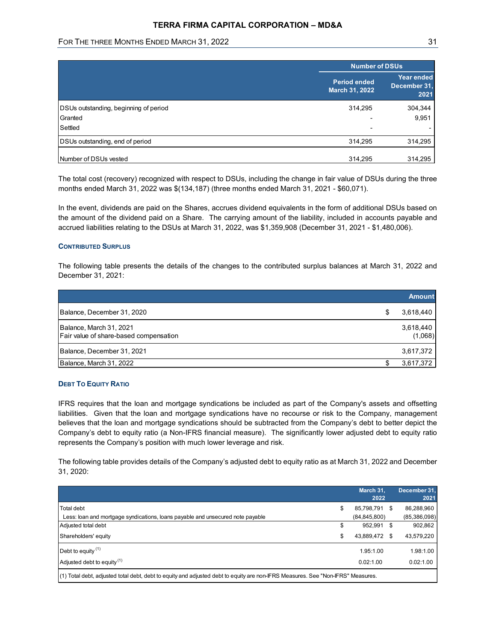# FOR THE THREE MONTHS ENDED MARCH 31, 2022 31 AM AND THE THREE MONTHS ENDED MARCH 31, 2022

| <b>TERRA FIRMA CAPITAL CORPORATION - MD&amp;A</b> |                                       |                                    |
|---------------------------------------------------|---------------------------------------|------------------------------------|
| FOR THE THREE MONTHS ENDED MARCH 31, 2022         |                                       | 31                                 |
|                                                   |                                       |                                    |
|                                                   | <b>Number of DSUs</b>                 |                                    |
|                                                   | <b>Period ended</b><br>March 31, 2022 | Year ended<br>December 31,<br>2021 |
|                                                   |                                       | 304,344                            |
| DSUs outstanding, beginning of period             | 314,295                               |                                    |
| Granted                                           |                                       | 9,951                              |
| Settled                                           |                                       |                                    |
| DSUs outstanding, end of period                   | 314,295                               | 314,295                            |
| Number of DSUs vested                             | 314,295                               | 314,295                            |

## CONTRIBUTED SURPLUS

| DSUs outstanding, beginning of period                                                                                                                                                                                                                                                                                                                        | 314,295 | 304,344       |
|--------------------------------------------------------------------------------------------------------------------------------------------------------------------------------------------------------------------------------------------------------------------------------------------------------------------------------------------------------------|---------|---------------|
| Granted                                                                                                                                                                                                                                                                                                                                                      |         | 9,951         |
| Settled                                                                                                                                                                                                                                                                                                                                                      |         |               |
| DSUs outstanding, end of period                                                                                                                                                                                                                                                                                                                              | 314,295 | 314,295       |
| Number of DSUs vested                                                                                                                                                                                                                                                                                                                                        | 314,295 | 314,295       |
| The total cost (recovery) recognized with respect to DSUs, including the change in fair value of DSUs during the three<br>months ended March 31, 2022 was \$(134,187) (three months ended March 31, 2021 - \$60,071).                                                                                                                                        |         |               |
|                                                                                                                                                                                                                                                                                                                                                              |         |               |
| In the event, dividends are paid on the Shares, accrues dividend equivalents in the form of additional DSUs based on<br>the amount of the dividend paid on a Share. The carrying amount of the liability, included in accounts payable and<br>accrued liabilities relating to the DSUs at March 31, 2022, was \$1,359,908 (December 31, 2021 - \$1,480,006). |         |               |
| <b>CONTRIBUTED SURPLUS</b>                                                                                                                                                                                                                                                                                                                                   |         |               |
|                                                                                                                                                                                                                                                                                                                                                              |         |               |
| The following table presents the details of the changes to the contributed surplus balances at March 31, 2022 and<br>December 31, 2021:                                                                                                                                                                                                                      |         | <b>Amount</b> |
| Balance, December 31, 2020                                                                                                                                                                                                                                                                                                                                   |         | 3,618,440     |
| Balance, March 31, 2021                                                                                                                                                                                                                                                                                                                                      |         | 3,618,440     |
| Fair value of share-based compensation                                                                                                                                                                                                                                                                                                                       |         | (1,068)       |
| Balance, December 31, 2021                                                                                                                                                                                                                                                                                                                                   |         | 3,617,372     |

# DEBT TO EQUITY RATIO

|                                                                                                                                                                                                                                                                                                                                                                                                                                                          |     |                       | Amount               |
|----------------------------------------------------------------------------------------------------------------------------------------------------------------------------------------------------------------------------------------------------------------------------------------------------------------------------------------------------------------------------------------------------------------------------------------------------------|-----|-----------------------|----------------------|
| Balance, December 31, 2020                                                                                                                                                                                                                                                                                                                                                                                                                               |     |                       | 3,618,440            |
| Balance, March 31, 2021<br>Fair value of share-based compensation                                                                                                                                                                                                                                                                                                                                                                                        |     |                       | 3,618,440<br>(1,068) |
| Balance, December 31, 2021                                                                                                                                                                                                                                                                                                                                                                                                                               |     |                       | 3,617,372            |
| Balance, March 31, 2022                                                                                                                                                                                                                                                                                                                                                                                                                                  |     |                       | 3,617,372<br>\$      |
| <b>DEBT TO EQUITY RATIO</b>                                                                                                                                                                                                                                                                                                                                                                                                                              |     |                       |                      |
| liabilities. Given that the loan and mortgage syndications have no recourse or risk to the Company, management                                                                                                                                                                                                                                                                                                                                           |     |                       |                      |
| believes that the loan and mortgage syndications should be subtracted from the Company's debt to better depict the<br>Company's debt to equity ratio (a Non-IFRS financial measure). The significantly lower adjusted debt to equity ratio<br>represents the Company's position with much lower leverage and risk.<br>The following table provides details of the Company's adjusted debt to equity ratio as at March 31, 2022 and December<br>31, 2020: |     |                       |                      |
|                                                                                                                                                                                                                                                                                                                                                                                                                                                          |     | March 31,             | December 31,         |
| Total debt                                                                                                                                                                                                                                                                                                                                                                                                                                               |     | 2022<br>85,798,791 \$ | 2021<br>86,288,960   |
| Less: loan and mortgage syndications, loans payable and unsecured note payable                                                                                                                                                                                                                                                                                                                                                                           |     | (84, 845, 800)        | (85,386,098)         |
| Adjusted total debt                                                                                                                                                                                                                                                                                                                                                                                                                                      | \$  | 952,991 \$            | 902,862              |
| Shareholders' equity                                                                                                                                                                                                                                                                                                                                                                                                                                     | \$. | 43,889,472 \$         | 43,579,220           |
| Debt to equity $(1)$                                                                                                                                                                                                                                                                                                                                                                                                                                     |     | 1.95:1.00             | 1.98:1.00            |
| Adjusted debt to equity <sup>(1)</sup>                                                                                                                                                                                                                                                                                                                                                                                                                   |     | 0.02:1.00             | 0.02:1.00            |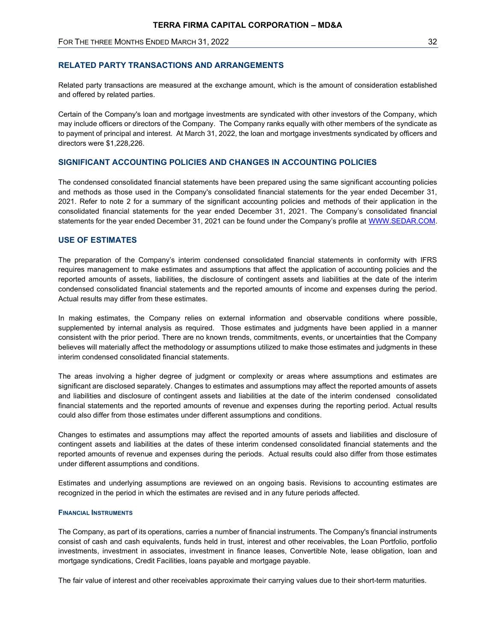# RELATED PARTY TRANSACTIONS AND ARRANGEMENTS

Related party transactions are measured at the exchange amount, which is the amount of consideration established and offered by related parties.

Certain of the Company's loan and mortgage investments are syndicated with other investors of the Company, which may include officers or directors of the Company. The Company ranks equally with other members of the syndicate as to payment of principal and interest. At March 31, 2022, the loan and mortgage investments syndicated by officers and directors were \$1,228,226.

# SIGNIFICANT ACCOUNTING POLICIES AND CHANGES IN ACCOUNTING POLICIES

The condensed consolidated financial statements have been prepared using the same significant accounting policies and methods as those used in the Company's consolidated financial statements for the year ended December 31, 2021. Refer to note 2 for a summary of the significant accounting policies and methods of their application in the consolidated financial statements for the year ended December 31, 2021. The Company's consolidated financial statements for the year ended December 31, 2021 can be found under the Company's profile at WWW.SEDAR.COM.

# USE OF ESTIMATES

The preparation of the Company's interim condensed consolidated financial statements in conformity with IFRS requires management to make estimates and assumptions that affect the application of accounting policies and the reported amounts of assets, liabilities, the disclosure of contingent assets and liabilities at the date of the interim condensed consolidated financial statements and the reported amounts of income and expenses during the period. Actual results may differ from these estimates.

In making estimates, the Company relies on external information and observable conditions where possible, supplemented by internal analysis as required. Those estimates and judgments have been applied in a manner consistent with the prior period. There are no known trends, commitments, events, or uncertainties that the Company believes will materially affect the methodology or assumptions utilized to make those estimates and judgments in these interim condensed consolidated financial statements.

The areas involving a higher degree of judgment or complexity or areas where assumptions and estimates are significant are disclosed separately. Changes to estimates and assumptions may affect the reported amounts of assets and liabilities and disclosure of contingent assets and liabilities at the date of the interim condensed consolidated financial statements and the reported amounts of revenue and expenses during the reporting period. Actual results could also differ from those estimates under different assumptions and conditions.

Changes to estimates and assumptions may affect the reported amounts of assets and liabilities and disclosure of contingent assets and liabilities at the dates of these interim condensed consolidated financial statements and the reported amounts of revenue and expenses during the periods. Actual results could also differ from those estimates under different assumptions and conditions.

Estimates and underlying assumptions are reviewed on an ongoing basis. Revisions to accounting estimates are recognized in the period in which the estimates are revised and in any future periods affected.

## FINANCIAL INSTRUMENTS

The Company, as part of its operations, carries a number of financial instruments. The Company's financial instruments consist of cash and cash equivalents, funds held in trust, interest and other receivables, the Loan Portfolio, portfolio investments, investment in associates, investment in finance leases, Convertible Note, lease obligation, loan and mortgage syndications, Credit Facilities, loans payable and mortgage payable.

The fair value of interest and other receivables approximate their carrying values due to their short-term maturities.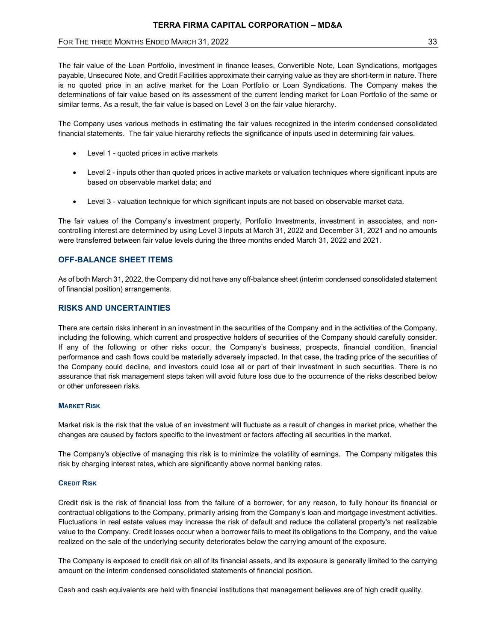# FOR THE THREE MONTHS ENDED MARCH 31, 2022 33 AM AND THE THREE MONTHS ENDED MARCH 31, 2022

The fair value of the Loan Portfolio, investment in finance leases, Convertible Note, Loan Syndications, mortgages payable, Unsecured Note, and Credit Facilities approximate their carrying value as they are short-term in nature. There is no quoted price in an active market for the Loan Portfolio or Loan Syndications. The Company makes the determinations of fair value based on its assessment of the current lending market for Loan Portfolio of the same or similar terms. As a result, the fair value is based on Level 3 on the fair value hierarchy.

The Company uses various methods in estimating the fair values recognized in the interim condensed consolidated financial statements. The fair value hierarchy reflects the significance of inputs used in determining fair values.

- Level 1 quoted prices in active markets
- Level 2 inputs other than quoted prices in active markets or valuation techniques where significant inputs are based on observable market data; and
- Level 3 valuation technique for which significant inputs are not based on observable market data.

The fair values of the Company's investment property, Portfolio Investments, investment in associates, and noncontrolling interest are determined by using Level 3 inputs at March 31, 2022 and December 31, 2021 and no amounts were transferred between fair value levels during the three months ended March 31, 2022 and 2021.

# OFF-BALANCE SHEET ITEMS

As of both March 31, 2022, the Company did not have any off-balance sheet (interim condensed consolidated statement of financial position) arrangements.

# RISKS AND UNCERTAINTIES

There are certain risks inherent in an investment in the securities of the Company and in the activities of the Company, including the following, which current and prospective holders of securities of the Company should carefully consider. If any of the following or other risks occur, the Company's business, prospects, financial condition, financial performance and cash flows could be materially adversely impacted. In that case, the trading price of the securities of the Company could decline, and investors could lose all or part of their investment in such securities. There is no assurance that risk management steps taken will avoid future loss due to the occurrence of the risks described below or other unforeseen risks.

## **MARKET RISK**

Market risk is the risk that the value of an investment will fluctuate as a result of changes in market price, whether the changes are caused by factors specific to the investment or factors affecting all securities in the market.

The Company's objective of managing this risk is to minimize the volatility of earnings. The Company mitigates this risk by charging interest rates, which are significantly above normal banking rates.

## **CREDIT RISK**

Credit risk is the risk of financial loss from the failure of a borrower, for any reason, to fully honour its financial or contractual obligations to the Company, primarily arising from the Company's loan and mortgage investment activities. Fluctuations in real estate values may increase the risk of default and reduce the collateral property's net realizable value to the Company. Credit losses occur when a borrower fails to meet its obligations to the Company, and the value realized on the sale of the underlying security deteriorates below the carrying amount of the exposure.

The Company is exposed to credit risk on all of its financial assets, and its exposure is generally limited to the carrying amount on the interim condensed consolidated statements of financial position.

Cash and cash equivalents are held with financial institutions that management believes are of high credit quality.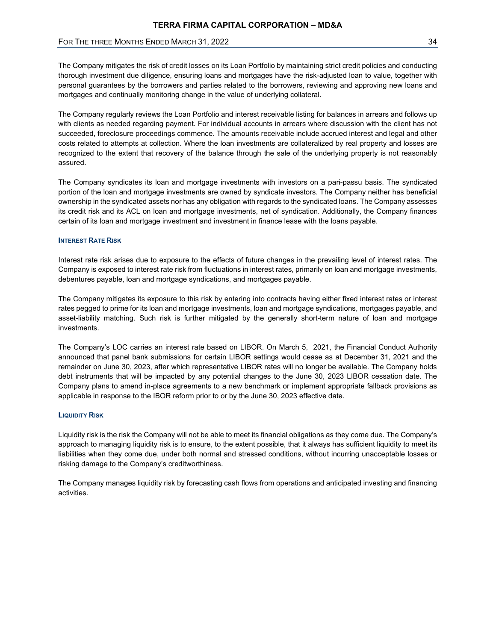The Company mitigates the risk of credit losses on its Loan Portfolio by maintaining strict credit policies and conducting thorough investment due diligence, ensuring loans and mortgages have the risk-adjusted loan to value, together with personal guarantees by the borrowers and parties related to the borrowers, reviewing and approving new loans and mortgages and continually monitoring change in the value of underlying collateral.

The Company regularly reviews the Loan Portfolio and interest receivable listing for balances in arrears and follows up with clients as needed regarding payment. For individual accounts in arrears where discussion with the client has not succeeded, foreclosure proceedings commence. The amounts receivable include accrued interest and legal and other costs related to attempts at collection. Where the loan investments are collateralized by real property and losses are recognized to the extent that recovery of the balance through the sale of the underlying property is not reasonably assured.

The Company syndicates its loan and mortgage investments with investors on a pari-passu basis. The syndicated portion of the loan and mortgage investments are owned by syndicate investors. The Company neither has beneficial ownership in the syndicated assets nor has any obligation with regards to the syndicated loans. The Company assesses its credit risk and its ACL on loan and mortgage investments, net of syndication. Additionally, the Company finances certain of its loan and mortgage investment and investment in finance lease with the loans payable.

#### INTEREST RATE RISK

Interest rate risk arises due to exposure to the effects of future changes in the prevailing level of interest rates. The Company is exposed to interest rate risk from fluctuations in interest rates, primarily on loan and mortgage investments, debentures payable, loan and mortgage syndications, and mortgages payable.

The Company mitigates its exposure to this risk by entering into contracts having either fixed interest rates or interest rates pegged to prime for its loan and mortgage investments, loan and mortgage syndications, mortgages payable, and asset-liability matching. Such risk is further mitigated by the generally short-term nature of loan and mortgage investments.

The Company's LOC carries an interest rate based on LIBOR. On March 5, 2021, the Financial Conduct Authority announced that panel bank submissions for certain LIBOR settings would cease as at December 31, 2021 and the remainder on June 30, 2023, after which representative LIBOR rates will no longer be available. The Company holds debt instruments that will be impacted by any potential changes to the June 30, 2023 LIBOR cessation date. The Company plans to amend in-place agreements to a new benchmark or implement appropriate fallback provisions as applicable in response to the IBOR reform prior to or by the June 30, 2023 effective date.

#### LIQUIDITY RISK

Liquidity risk is the risk the Company will not be able to meet its financial obligations as they come due. The Company's approach to managing liquidity risk is to ensure, to the extent possible, that it always has sufficient liquidity to meet its liabilities when they come due, under both normal and stressed conditions, without incurring unacceptable losses or risking damage to the Company's creditworthiness.

The Company manages liquidity risk by forecasting cash flows from operations and anticipated investing and financing activities.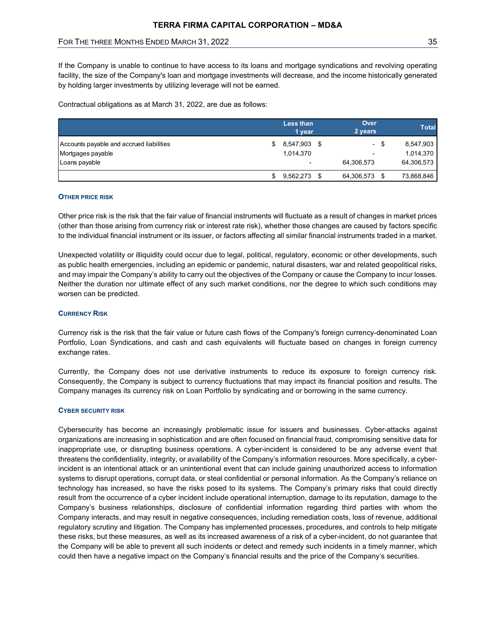| TERRA FIRMA CAPITAL CORPORATION - MD&A                                                                                                       |                            |                       |              |
|----------------------------------------------------------------------------------------------------------------------------------------------|----------------------------|-----------------------|--------------|
| FOR THE THREE MONTHS ENDED MARCH 31, 2022                                                                                                    |                            |                       | 35           |
|                                                                                                                                              |                            |                       |              |
| by holding larger investments by utilizing leverage will not be earned.<br>Contractual obligations as at March 31, 2022, are due as follows: |                            |                       |              |
|                                                                                                                                              | <b>Less than</b><br>1 year | Over<br>2 years       | <b>Total</b> |
| Accounts payable and accrued liabilities                                                                                                     | 8,547,903 \$<br>\$         | -\$<br>$\blacksquare$ | 8,547,903    |
| Mortgages payable                                                                                                                            | 1,014,370                  |                       | 1,014,370    |
| Loans payable                                                                                                                                |                            | 64,306,573            | 64,306,573   |

#### OTHER PRICE RISK

Other price risk is the risk that the fair value of financial instruments will fluctuate as a result of changes in market prices (other than those arising from currency risk or interest rate risk), whether those changes are caused by factors specific to the individual financial instrument or its issuer, or factors affecting all similar financial instruments traded in a market.

Unexpected volatility or illiquidity could occur due to legal, political, regulatory, economic or other developments, such as public health emergencies, including an epidemic or pandemic, natural disasters, war and related geopolitical risks, and may impair the Company's ability to carry out the objectives of the Company or cause the Company to incur losses. Neither the duration nor ultimate effect of any such market conditions, nor the degree to which such conditions may worsen can be predicted.

#### CURRENCY RISK

Currency risk is the risk that the fair value or future cash flows of the Company's foreign currency-denominated Loan Portfolio, Loan Syndications, and cash and cash equivalents will fluctuate based on changes in foreign currency exchange rates.

Currently, the Company does not use derivative instruments to reduce its exposure to foreign currency risk. Consequently, the Company is subject to currency fluctuations that may impact its financial position and results. The Company manages its currency risk on Loan Portfolio by syndicating and or borrowing in the same currency.

#### CYBER SECURITY RISK

Cybersecurity has become an increasingly problematic issue for issuers and businesses. Cyber-attacks against organizations are increasing in sophistication and are often focused on financial fraud, compromising sensitive data for inappropriate use, or disrupting business operations. A cyber-incident is considered to be any adverse event that threatens the confidentiality, integrity, or availability of the Company's information resources. More specifically, a cyberincident is an intentional attack or an unintentional event that can include gaining unauthorized access to information systems to disrupt operations, corrupt data, or steal confidential or personal information. As the Company's reliance on technology has increased, so have the risks posed to its systems. The Company's primary risks that could directly result from the occurrence of a cyber incident include operational interruption, damage to its reputation, damage to the Company's business relationships, disclosure of confidential information regarding third parties with whom the Company interacts, and may result in negative consequences, including remediation costs, loss of revenue, additional regulatory scrutiny and litigation. The Company has implemented processes, procedures, and controls to help mitigate these risks, but these measures, as well as its increased awareness of a risk of a cyber-incident, do not guarantee that the Company will be able to prevent all such incidents or detect and remedy such incidents in a timely manner, which could then have a negative impact on the Company's financial results and the price of the Company's securities.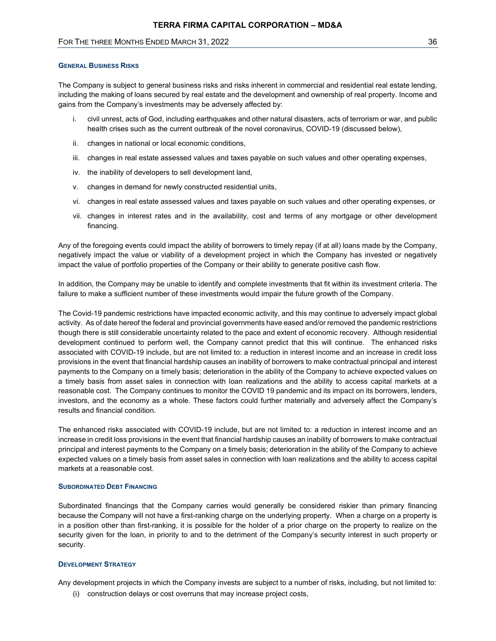# FOR THE THREE MONTHS ENDED MARCH 31, 2022 36 AM AND THE THREE MONTHS ENDED MARCH 31, 2022

#### GENERAL BUSINESS RISKS

The Company is subject to general business risks and risks inherent in commercial and residential real estate lending, including the making of loans secured by real estate and the development and ownership of real property. Income and gains from the Company's investments may be adversely affected by:

- i. civil unrest, acts of God, including earthquakes and other natural disasters, acts of terrorism or war, and public health crises such as the current outbreak of the novel coronavirus, COVID-19 (discussed below),
- ii. changes in national or local economic conditions,
- iii. changes in real estate assessed values and taxes payable on such values and other operating expenses,
- iv. the inability of developers to sell development land,
- v. changes in demand for newly constructed residential units,
- vi. changes in real estate assessed values and taxes payable on such values and other operating expenses, or
- vii. changes in interest rates and in the availability, cost and terms of any mortgage or other development financing.

Any of the foregoing events could impact the ability of borrowers to timely repay (if at all) loans made by the Company, negatively impact the value or viability of a development project in which the Company has invested or negatively impact the value of portfolio properties of the Company or their ability to generate positive cash flow.

In addition, the Company may be unable to identify and complete investments that fit within its investment criteria. The failure to make a sufficient number of these investments would impair the future growth of the Company.

The Covid-19 pandemic restrictions have impacted economic activity, and this may continue to adversely impact global activity. As of date hereof the federal and provincial governments have eased and/or removed the pandemic restrictions though there is still considerable uncertainty related to the pace and extent of economic recovery. Although residential development continued to perform well, the Company cannot predict that this will continue. The enhanced risks associated with COVID-19 include, but are not limited to: a reduction in interest income and an increase in credit loss provisions in the event that financial hardship causes an inability of borrowers to make contractual principal and interest payments to the Company on a timely basis; deterioration in the ability of the Company to achieve expected values on a timely basis from asset sales in connection with loan realizations and the ability to access capital markets at a reasonable cost. The Company continues to monitor the COVID 19 pandemic and its impact on its borrowers, lenders, investors, and the economy as a whole. These factors could further materially and adversely affect the Company's results and financial condition.

The enhanced risks associated with COVID-19 include, but are not limited to: a reduction in interest income and an increase in credit loss provisions in the event that financial hardship causes an inability of borrowers to make contractual principal and interest payments to the Company on a timely basis; deterioration in the ability of the Company to achieve expected values on a timely basis from asset sales in connection with loan realizations and the ability to access capital markets at a reasonable cost.

#### SUBORDINATED DEBT FINANCING

Subordinated financings that the Company carries would generally be considered riskier than primary financing because the Company will not have a first-ranking charge on the underlying property. When a charge on a property is in a position other than first-ranking, it is possible for the holder of a prior charge on the property to realize on the security given for the loan, in priority to and to the detriment of the Company's security interest in such property or security.

#### DEVELOPMENT STRATEGY

Any development projects in which the Company invests are subject to a number of risks, including, but not limited to:

(i) construction delays or cost overruns that may increase project costs,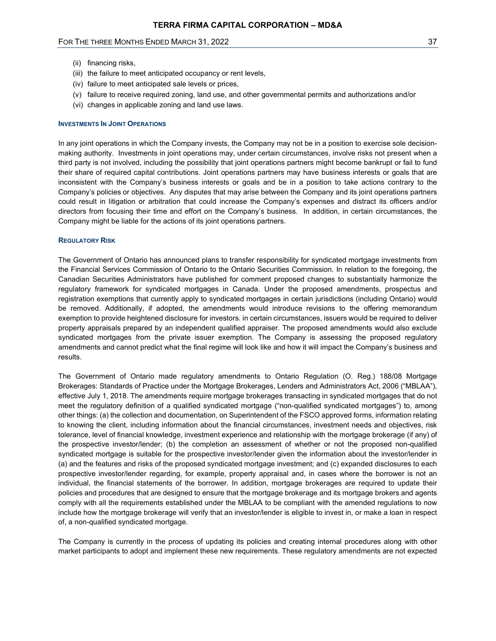# FOR THE THREE MONTHS ENDED MARCH 31, 2022 37 AM AND THE THREE MONTHS ENDED MARCH 31, 2022

- (ii) financing risks,
- (iii) the failure to meet anticipated occupancy or rent levels,
- (iv) failure to meet anticipated sale levels or prices,
- (v) failure to receive required zoning, land use, and other governmental permits and authorizations and/or
- (vi) changes in applicable zoning and land use laws.

#### INVESTMENTS IN JOINT OPERATIONS

In any joint operations in which the Company invests, the Company may not be in a position to exercise sole decisionmaking authority. Investments in joint operations may, under certain circumstances, involve risks not present when a third party is not involved, including the possibility that joint operations partners might become bankrupt or fail to fund their share of required capital contributions. Joint operations partners may have business interests or goals that are inconsistent with the Company's business interests or goals and be in a position to take actions contrary to the Company's policies or objectives. Any disputes that may arise between the Company and its joint operations partners could result in litigation or arbitration that could increase the Company's expenses and distract its officers and/or directors from focusing their time and effort on the Company's business. In addition, in certain circumstances, the Company might be liable for the actions of its joint operations partners.

#### REGULATORY RISK

The Government of Ontario has announced plans to transfer responsibility for syndicated mortgage investments from the Financial Services Commission of Ontario to the Ontario Securities Commission. In relation to the foregoing, the Canadian Securities Administrators have published for comment proposed changes to substantially harmonize the regulatory framework for syndicated mortgages in Canada. Under the proposed amendments, prospectus and registration exemptions that currently apply to syndicated mortgages in certain jurisdictions (including Ontario) would be removed. Additionally, if adopted, the amendments would introduce revisions to the offering memorandum exemption to provide heightened disclosure for investors. in certain circumstances, issuers would be required to deliver property appraisals prepared by an independent qualified appraiser. The proposed amendments would also exclude syndicated mortgages from the private issuer exemption. The Company is assessing the proposed regulatory amendments and cannot predict what the final regime will look like and how it will impact the Company's business and results.

The Government of Ontario made regulatory amendments to Ontario Regulation (O. Reg.) 188/08 Mortgage Brokerages: Standards of Practice under the Mortgage Brokerages, Lenders and Administrators Act, 2006 ("MBLAA"), effective July 1, 2018. The amendments require mortgage brokerages transacting in syndicated mortgages that do not meet the regulatory definition of a qualified syndicated mortgage ("non-qualified syndicated mortgages") to, among other things: (a) the collection and documentation, on Superintendent of the FSCO approved forms, information relating to knowing the client, including information about the financial circumstances, investment needs and objectives, risk tolerance, level of financial knowledge, investment experience and relationship with the mortgage brokerage (if any) of the prospective investor/lender; (b) the completion an assessment of whether or not the proposed non-qualified syndicated mortgage is suitable for the prospective investor/lender given the information about the investor/lender in (a) and the features and risks of the proposed syndicated mortgage investment; and (c) expanded disclosures to each prospective investor/lender regarding, for example, property appraisal and, in cases where the borrower is not an individual, the financial statements of the borrower. In addition, mortgage brokerages are required to update their policies and procedures that are designed to ensure that the mortgage brokerage and its mortgage brokers and agents comply with all the requirements established under the MBLAA to be compliant with the amended regulations to now include how the mortgage brokerage will verify that an investor/lender is eligible to invest in, or make a loan in respect of, a non-qualified syndicated mortgage.

The Company is currently in the process of updating its policies and creating internal procedures along with other market participants to adopt and implement these new requirements. These regulatory amendments are not expected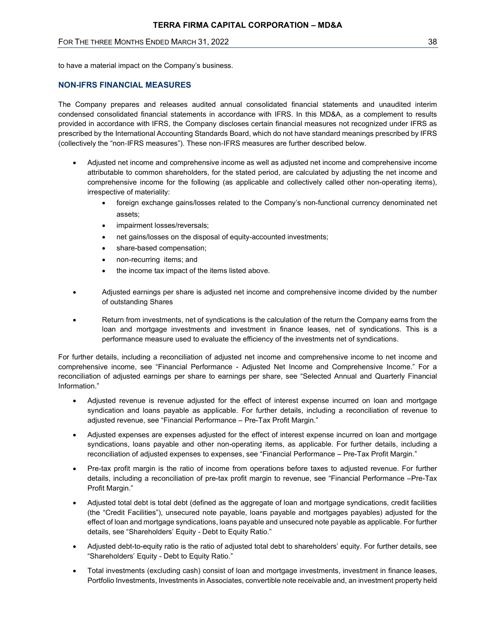# FOR THE THREE MONTHS ENDED MARCH 31, 2022 38 AND THE THREE MONTHS ENDED MARCH 31, 2022

to have a material impact on the Company's business.

# NON-IFRS FINANCIAL MEASURES

The Company prepares and releases audited annual consolidated financial statements and unaudited interim condensed consolidated financial statements in accordance with IFRS. In this MD&A, as a complement to results provided in accordance with IFRS, the Company discloses certain financial measures not recognized under IFRS as prescribed by the International Accounting Standards Board, which do not have standard meanings prescribed by IFRS (collectively the "non‐IFRS measures"). These non‐IFRS measures are further described below.

- Adjusted net income and comprehensive income as well as adjusted net income and comprehensive income attributable to common shareholders, for the stated period, are calculated by adjusting the net income and comprehensive income for the following (as applicable and collectively called other non-operating items), irrespective of materiality:
	- foreign exchange gains/losses related to the Company's non-functional currency denominated net assets;
	- impairment losses/reversals;
	- net gains/losses on the disposal of equity-accounted investments;
	- share-based compensation;
	- non-recurring items; and
	- the income tax impact of the items listed above.
- Adjusted earnings per share is adjusted net income and comprehensive income divided by the number of outstanding Shares
- Return from investments, net of syndications is the calculation of the return the Company earns from the loan and mortgage investments and investment in finance leases, net of syndications. This is a performance measure used to evaluate the efficiency of the investments net of syndications.

For further details, including a reconciliation of adjusted net income and comprehensive income to net income and comprehensive income, see "Financial Performance - Adjusted Net Income and Comprehensive Income." For a reconciliation of adjusted earnings per share to earnings per share, see "Selected Annual and Quarterly Financial Information."

- Adjusted revenue is revenue adjusted for the effect of interest expense incurred on loan and mortgage syndication and loans payable as applicable. For further details, including a reconciliation of revenue to adjusted revenue, see "Financial Performance – Pre-Tax Profit Margin."
- Adjusted expenses are expenses adjusted for the effect of interest expense incurred on loan and mortgage syndications, loans payable and other non-operating items, as applicable. For further details, including a reconciliation of adjusted expenses to expenses, see "Financial Performance – Pre-Tax Profit Margin."
- Pre-tax profit margin is the ratio of income from operations before taxes to adjusted revenue. For further details, including a reconciliation of pre-tax profit margin to revenue, see "Financial Performance –Pre-Tax Profit Margin."
- Adjusted total debt is total debt (defined as the aggregate of loan and mortgage syndications, credit facilities (the "Credit Facilities"), unsecured note payable, loans payable and mortgages payables) adjusted for the effect of loan and mortgage syndications, loans payable and unsecured note payable as applicable. For further details, see "Shareholders' Equity - Debt to Equity Ratio."
- Adjusted debt-to-equity ratio is the ratio of adjusted total debt to shareholders' equity. For further details, see "Shareholders' Equity - Debt to Equity Ratio."
- Total investments (excluding cash) consist of loan and mortgage investments, investment in finance leases, Portfolio Investments, Investments in Associates, convertible note receivable and, an investment property held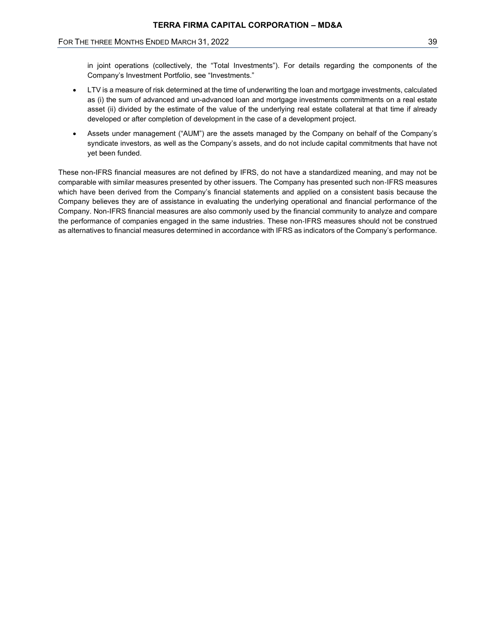# FOR THE THREE MONTHS ENDED MARCH 31, 2022 39 AND THE THREE MONTHS ENDED MARCH 31, 2022

in joint operations (collectively, the "Total Investments"). For details regarding the components of the Company's Investment Portfolio, see "Investments."

- LTV is a measure of risk determined at the time of underwriting the loan and mortgage investments, calculated as (i) the sum of advanced and un-advanced loan and mortgage investments commitments on a real estate asset (ii) divided by the estimate of the value of the underlying real estate collateral at that time if already developed or after completion of development in the case of a development project.
- Assets under management ("AUM") are the assets managed by the Company on behalf of the Company's syndicate investors, as well as the Company's assets, and do not include capital commitments that have not yet been funded.

These non-IFRS financial measures are not defined by IFRS, do not have a standardized meaning, and may not be comparable with similar measures presented by other issuers. The Company has presented such non‐IFRS measures which have been derived from the Company's financial statements and applied on a consistent basis because the Company believes they are of assistance in evaluating the underlying operational and financial performance of the Company. Non-IFRS financial measures are also commonly used by the financial community to analyze and compare the performance of companies engaged in the same industries. These non‐IFRS measures should not be construed as alternatives to financial measures determined in accordance with IFRS as indicators of the Company's performance.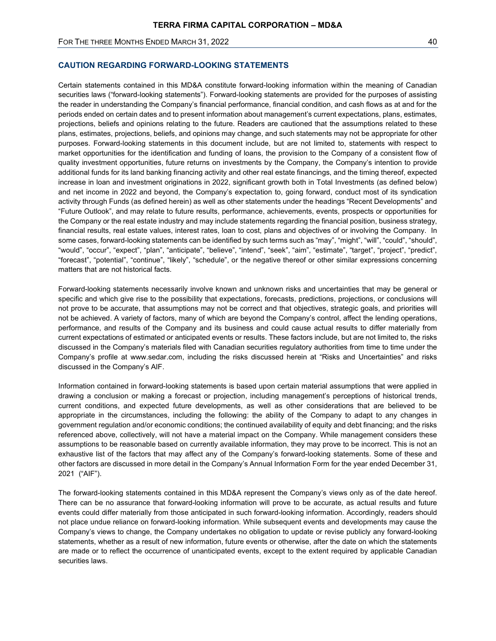## FOR THE THREE MONTHS ENDED MARCH 31, 2022 40 and the state of the state of the state of the state of the state of the state of the state of the state of the state of the state of the state of the state of the state of the

# CAUTION REGARDING FORWARD-LOOKING STATEMENTS

Certain statements contained in this MD&A constitute forward-looking information within the meaning of Canadian securities laws ("forward-looking statements"). Forward-looking statements are provided for the purposes of assisting the reader in understanding the Company's financial performance, financial condition, and cash flows as at and for the periods ended on certain dates and to present information about management's current expectations, plans, estimates, projections, beliefs and opinions relating to the future. Readers are cautioned that the assumptions related to these plans, estimates, projections, beliefs, and opinions may change, and such statements may not be appropriate for other purposes. Forward-looking statements in this document include, but are not limited to, statements with respect to market opportunities for the identification and funding of loans, the provision to the Company of a consistent flow of quality investment opportunities, future returns on investments by the Company, the Company's intention to provide additional funds for its land banking financing activity and other real estate financings, and the timing thereof, expected increase in loan and investment originations in 2022, significant growth both in Total Investments (as defined below) and net income in 2022 and beyond, the Company's expectation to, going forward, conduct most of its syndication activity through Funds (as defined herein) as well as other statements under the headings "Recent Developments" and "Future Outlook", and may relate to future results, performance, achievements, events, prospects or opportunities for the Company or the real estate industry and may include statements regarding the financial position, business strategy, financial results, real estate values, interest rates, loan to cost, plans and objectives of or involving the Company. In some cases, forward-looking statements can be identified by such terms such as "may", "might", "will", "could", "should", "would", "occur", "expect", "plan", "anticipate", "believe", "intend", "seek", "aim", "estimate", "target", "project", "predict", "forecast", "potential", "continue", "likely", "schedule", or the negative thereof or other similar expressions concerning matters that are not historical facts.

Forward-looking statements necessarily involve known and unknown risks and uncertainties that may be general or specific and which give rise to the possibility that expectations, forecasts, predictions, projections, or conclusions will not prove to be accurate, that assumptions may not be correct and that objectives, strategic goals, and priorities will not be achieved. A variety of factors, many of which are beyond the Company's control, affect the lending operations, performance, and results of the Company and its business and could cause actual results to differ materially from current expectations of estimated or anticipated events or results. These factors include, but are not limited to, the risks discussed in the Company's materials filed with Canadian securities regulatory authorities from time to time under the Company's profile at www.sedar.com, including the risks discussed herein at "Risks and Uncertainties" and risks discussed in the Company's AIF.

Information contained in forward-looking statements is based upon certain material assumptions that were applied in drawing a conclusion or making a forecast or projection, including management's perceptions of historical trends, current conditions, and expected future developments, as well as other considerations that are believed to be appropriate in the circumstances, including the following: the ability of the Company to adapt to any changes in government regulation and/or economic conditions; the continued availability of equity and debt financing; and the risks referenced above, collectively, will not have a material impact on the Company. While management considers these assumptions to be reasonable based on currently available information, they may prove to be incorrect. This is not an exhaustive list of the factors that may affect any of the Company's forward-looking statements. Some of these and other factors are discussed in more detail in the Company's Annual Information Form for the year ended December 31, 2021 ("AIF").

The forward-looking statements contained in this MD&A represent the Company's views only as of the date hereof. There can be no assurance that forward-looking information will prove to be accurate, as actual results and future events could differ materially from those anticipated in such forward-looking information. Accordingly, readers should not place undue reliance on forward-looking information. While subsequent events and developments may cause the Company's views to change, the Company undertakes no obligation to update or revise publicly any forward-looking statements, whether as a result of new information, future events or otherwise, after the date on which the statements are made or to reflect the occurrence of unanticipated events, except to the extent required by applicable Canadian securities laws.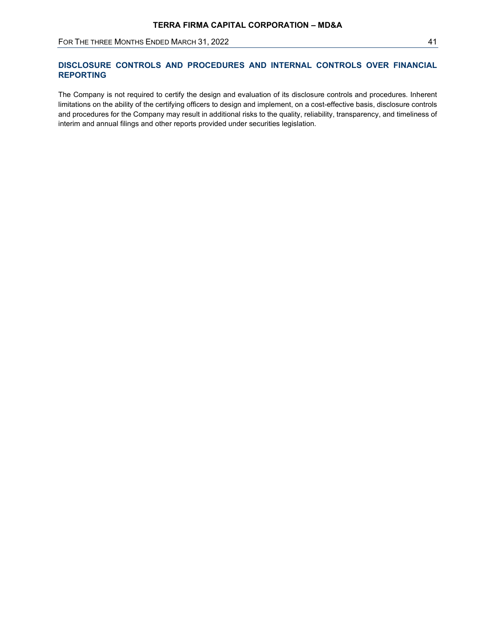# DISCLOSURE CONTROLS AND PROCEDURES AND INTERNAL CONTROLS OVER FINANCIAL REPORTING

The Company is not required to certify the design and evaluation of its disclosure controls and procedures. Inherent limitations on the ability of the certifying officers to design and implement, on a cost-effective basis, disclosure controls and procedures for the Company may result in additional risks to the quality, reliability, transparency, and timeliness of interim and annual filings and other reports provided under securities legislation.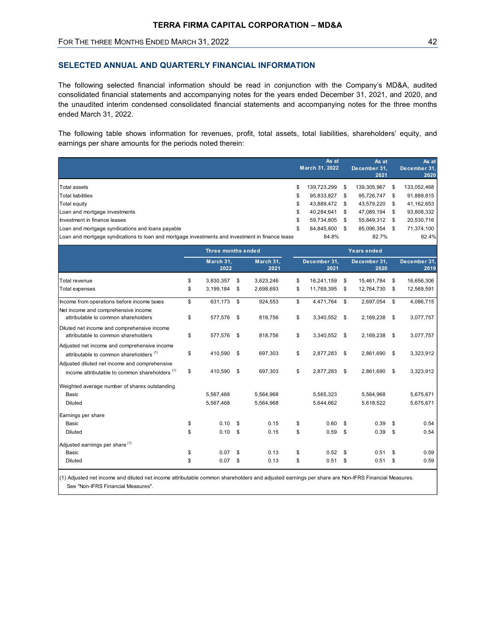# SELECTED ANNUAL AND QUARTERLY FINANCIAL INFORMATION

| FOR THE THREE MONTHS ENDED MARCH 31, 2022                                                                                                                                                                                                                                                                                                                              |          |                                         |                        |                                 |                                                                                                              |                                                                                                              | 42                                                                                         |
|------------------------------------------------------------------------------------------------------------------------------------------------------------------------------------------------------------------------------------------------------------------------------------------------------------------------------------------------------------------------|----------|-----------------------------------------|------------------------|---------------------------------|--------------------------------------------------------------------------------------------------------------|--------------------------------------------------------------------------------------------------------------|--------------------------------------------------------------------------------------------|
| SELECTED ANNUAL AND QUARTERLY FINANCIAL INFORMATION                                                                                                                                                                                                                                                                                                                    |          |                                         |                        |                                 |                                                                                                              |                                                                                                              |                                                                                            |
| The following selected financial information should be read in conjunction with the Company's MD&A, audited<br>consolidated financial statements and accompanying notes for the years ended December 31, 2021, and 2020, and<br>the unaudited interim condensed consolidated financial statements and accompanying notes for the three months<br>ended March 31, 2022. |          |                                         |                        |                                 |                                                                                                              |                                                                                                              |                                                                                            |
| The following table shows information for revenues, profit, total assets, total liabilities, shareholders' equity, and<br>earnings per share amounts for the periods noted therein:                                                                                                                                                                                    |          |                                         |                        |                                 |                                                                                                              |                                                                                                              |                                                                                            |
|                                                                                                                                                                                                                                                                                                                                                                        |          |                                         |                        |                                 | As at<br>March 31, 2022                                                                                      | As at<br>December 31,<br>2021                                                                                | As at<br>December 31<br>2020                                                               |
| <b>Total assets</b><br><b>Total liabilities</b><br>Total equity<br>Loan and mortgage investments<br>Investment in finance leases<br>Loan and mortgage syndications and loans payable<br>Loan and mortgage syndications to loan and mortgage investments and investment in finance lease                                                                                |          |                                         |                        | S<br>\$<br>- 5<br>\$<br>\$<br>S | 139,723,299 \$<br>95,833,827 \$<br>43,889,472 \$<br>40,284,641 \$<br>59,734,805 \$<br>84,845,800 \$<br>84.8% | 139,305,967 \$<br>95,726,747 \$<br>43,579,220 \$<br>47,089,194 \$<br>55,849,312 \$<br>85,096,354 \$<br>82.7% | 133,052,468<br>91,889,815<br>41,162,653<br>93,808,332<br>20,530,716<br>71,374,100<br>62.4% |
|                                                                                                                                                                                                                                                                                                                                                                        |          | Three months ended<br>March 31,<br>2022 | March 31,<br>2021      |                                 | December 31,<br>2021                                                                                         | Years ended<br>December 31,<br>2020                                                                          | December 31<br>2019                                                                        |
| Total revenue<br><b>Total expenses</b>                                                                                                                                                                                                                                                                                                                                 | \$<br>\$ | 3,830,357 \$<br>3,199,184 \$            | 3,623,246<br>2,698,693 | \$<br>\$                        | 16,241,159 \$<br>11,769,395 \$                                                                               | 15,461,784 \$<br>12,764,730 \$                                                                               | 16,656,306<br>12,569,591                                                                   |
| Income from operations before income taxes<br>Net income and comprehensive income<br>attributable to common shareholders                                                                                                                                                                                                                                               | \$<br>\$ | 631,173 \$<br>577,576 \$                | 924,553<br>818,756     | \$<br>\$                        | 4,471,764 \$<br>3,340,552 \$                                                                                 | 2,697,054 \$<br>2,169,238 \$                                                                                 | 4,086,715<br>3,077,757                                                                     |
| Diluted net income and comprehensive income<br>attributable to common shareholders                                                                                                                                                                                                                                                                                     | \$       | 577,576 \$                              | 818,756                | \$                              | 3,340,552 \$                                                                                                 | 2,169,238 \$                                                                                                 | 3,077,757                                                                                  |
| Adjusted net income and comprehensive income<br>attributable to common shareholders <sup>(1)</sup><br>Adjusted diluted net income and comprehensive                                                                                                                                                                                                                    | \$       | 410,590 \$                              | 697,303                | \$                              | 2,877,283 \$                                                                                                 | 2,861,690 \$                                                                                                 | 3,323,912                                                                                  |
| income attributable to common shareholders <sup>(1)</sup><br>Weighted average number of shares outstanding<br>Basic                                                                                                                                                                                                                                                    | \$       | 410,590 \$<br>5,567,468                 | 697,303<br>5,564,968   | \$                              | 2,877,283 \$<br>5,565,323                                                                                    | 2,861,690 \$<br>5,564,968                                                                                    | 3,323,912<br>5,675,671                                                                     |
| <b>Diluted</b><br>Earnings per share<br>Basic                                                                                                                                                                                                                                                                                                                          | \$       | 5,567,468<br>$0.10$ \$                  | 5,564,968<br>0.15      | \$                              | 5,644,662<br>$0.60$ \$                                                                                       | 5,618,522<br>$0.39$ \$                                                                                       | 5,675,671<br>0.54                                                                          |
| Diluted<br>Adjusted earnings per share (1)                                                                                                                                                                                                                                                                                                                             | \$       | $0.10$ \$                               | 0.15                   | \$                              | $0.59$ \$                                                                                                    | $0.39$ \$                                                                                                    | 0.54                                                                                       |
| Basic                                                                                                                                                                                                                                                                                                                                                                  | \$       | $0.07$ \$                               | 0.13                   | \$                              | $0.52$ \$                                                                                                    | $0.51$ \$                                                                                                    | 0.59<br>0.59                                                                               |